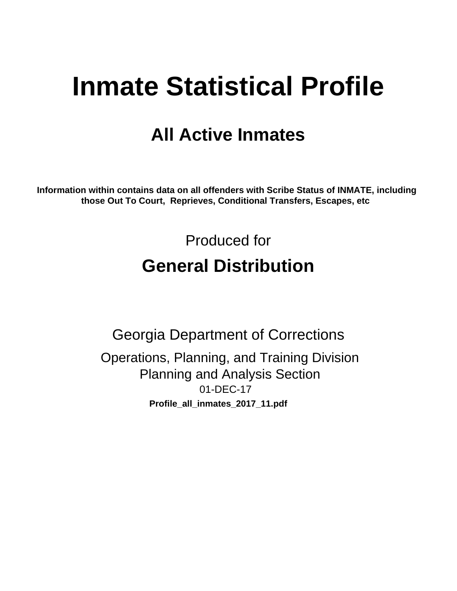# **Inmate Statistical Profile**

# **All Active Inmates**

Information within contains data on all offenders with Scribe Status of INMATE, including those Out To Court, Reprieves, Conditional Transfers, Escapes, etc

> Produced for **General Distribution**

**Georgia Department of Corrections** Operations, Planning, and Training Division **Planning and Analysis Section** 01-DEC-17 Profile\_all\_inmates\_2017\_11.pdf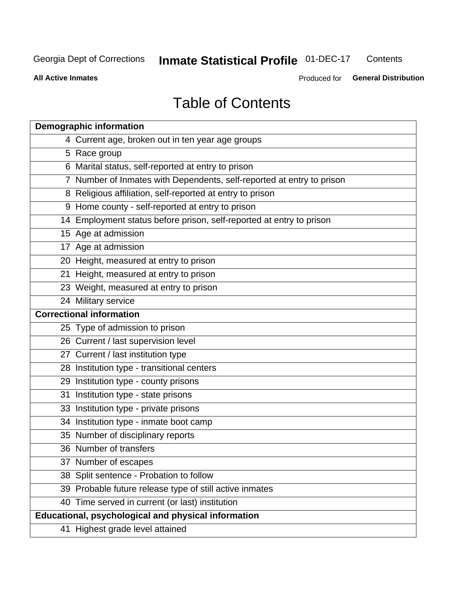#### **Inmate Statistical Profile 01-DEC-17** Contents

**All Active Inmates** 

Produced for General Distribution

# **Table of Contents**

| <b>Demographic information</b>                                        |
|-----------------------------------------------------------------------|
| 4 Current age, broken out in ten year age groups                      |
| 5 Race group                                                          |
| 6 Marital status, self-reported at entry to prison                    |
| 7 Number of Inmates with Dependents, self-reported at entry to prison |
| 8 Religious affiliation, self-reported at entry to prison             |
| 9 Home county - self-reported at entry to prison                      |
| 14 Employment status before prison, self-reported at entry to prison  |
| 15 Age at admission                                                   |
| 17 Age at admission                                                   |
| 20 Height, measured at entry to prison                                |
| 21 Height, measured at entry to prison                                |
| 23 Weight, measured at entry to prison                                |
| 24 Military service                                                   |
| <b>Correctional information</b>                                       |
| 25 Type of admission to prison                                        |
| 26 Current / last supervision level                                   |
| 27 Current / last institution type                                    |
| 28 Institution type - transitional centers                            |
| 29 Institution type - county prisons                                  |
| 31 Institution type - state prisons                                   |
| 33 Institution type - private prisons                                 |
| 34 Institution type - inmate boot camp                                |
| 35 Number of disciplinary reports                                     |
| 36 Number of transfers                                                |
| 37 Number of escapes                                                  |
| 38 Split sentence - Probation to follow                               |
| 39 Probable future release type of still active inmates               |
| 40 Time served in current (or last) institution                       |
| Educational, psychological and physical information                   |
| 41 Highest grade level attained                                       |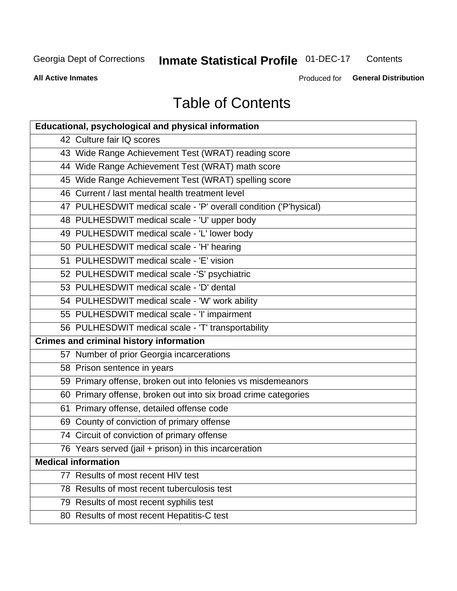#### **Inmate Statistical Profile 01-DEC-17** Contents

**All Active Inmates** 

Produced for General Distribution

# **Table of Contents**

| <b>Educational, psychological and physical information</b>       |
|------------------------------------------------------------------|
| 42 Culture fair IQ scores                                        |
| 43 Wide Range Achievement Test (WRAT) reading score              |
| 44 Wide Range Achievement Test (WRAT) math score                 |
| 45 Wide Range Achievement Test (WRAT) spelling score             |
| 46 Current / last mental health treatment level                  |
| 47 PULHESDWIT medical scale - 'P' overall condition ('P'hysical) |
| 48 PULHESDWIT medical scale - 'U' upper body                     |
| 49 PULHESDWIT medical scale - 'L' lower body                     |
| 50 PULHESDWIT medical scale - 'H' hearing                        |
| 51 PULHESDWIT medical scale - 'E' vision                         |
| 52 PULHESDWIT medical scale -'S' psychiatric                     |
| 53 PULHESDWIT medical scale - 'D' dental                         |
| 54 PULHESDWIT medical scale - 'W' work ability                   |
| 55 PULHESDWIT medical scale - 'I' impairment                     |
| 56 PULHESDWIT medical scale - 'T' transportability               |
| <b>Crimes and criminal history information</b>                   |
| 57 Number of prior Georgia incarcerations                        |
| 58 Prison sentence in years                                      |
| 59 Primary offense, broken out into felonies vs misdemeanors     |
| 60 Primary offense, broken out into six broad crime categories   |
| 61 Primary offense, detailed offense code                        |
| 69 County of conviction of primary offense                       |
| 74 Circuit of conviction of primary offense                      |
| 76 Years served (jail + prison) in this incarceration            |
| <b>Medical information</b>                                       |
| 77 Results of most recent HIV test                               |
| 78 Results of most recent tuberculosis test                      |
| 79 Results of most recent syphilis test                          |
| 80 Results of most recent Hepatitis-C test                       |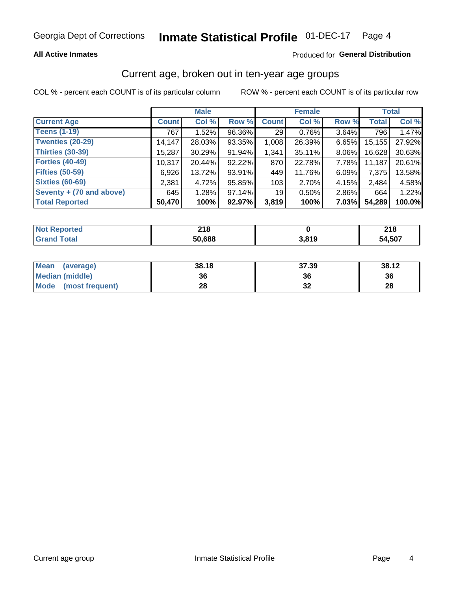#### Inmate Statistical Profile 01-DEC-17 Page 4

### **All Active Inmates**

### Produced for General Distribution

### Current age, broken out in ten-year age groups

COL % - percent each COUNT is of its particular column

|                          |              | <b>Male</b> |        |                 | <b>Female</b> |       |              | <b>Total</b> |  |
|--------------------------|--------------|-------------|--------|-----------------|---------------|-------|--------------|--------------|--|
| <b>Current Age</b>       | <b>Count</b> | Col %       | Row %  | <b>Count</b>    | Col %         | Row % | <b>Total</b> | Col %        |  |
| <b>Teens (1-19)</b>      | 767          | 1.52%       | 96.36% | 29              | 0.76%         | 3.64% | 796          | 1.47%        |  |
| <b>Twenties (20-29)</b>  | 14,147       | 28.03%      | 93.35% | 1,008           | 26.39%        | 6.65% | 15,155       | 27.92%       |  |
| <b>Thirties (30-39)</b>  | 15,287       | 30.29%      | 91.94% | 1,341           | 35.11%        | 8.06% | 16,628       | 30.63%       |  |
| <b>Forties (40-49)</b>   | 10,317       | 20.44%      | 92.22% | 870             | 22.78%        | 7.78% | 11,187       | 20.61%       |  |
| <b>Fifties (50-59)</b>   | 6,926        | 13.72%      | 93.91% | 449             | 11.76%        | 6.09% | 7,375        | 13.58%       |  |
| <b>Sixties (60-69)</b>   | 2,381        | 4.72%       | 95.85% | 103             | 2.70%         | 4.15% | 2,484        | 4.58%        |  |
| Seventy + (70 and above) | 645          | 1.28%       | 97.14% | 19 <sup>1</sup> | 0.50%         | 2.86% | 664          | 1.22%        |  |
| <b>Total Reported</b>    | 50,470       | 100%        | 92.97% | 3,819           | 100%          | 7.03% | 54,289       | 100.0%       |  |

| <b>Not Reported</b> | <b>040</b><br>ZIO. |       | 24C<br><b>LIO</b> |
|---------------------|--------------------|-------|-------------------|
| <b>Total</b>        | 50,688             | 3,819 | 54,507            |

| <b>Mean</b><br>(average) | 38.18 | 37.39 | 38.12 |
|--------------------------|-------|-------|-------|
| Median (middle)          | 36    | 36    | 36    |
| Mode<br>(most frequent)  | 28    | ◡▵    | 28    |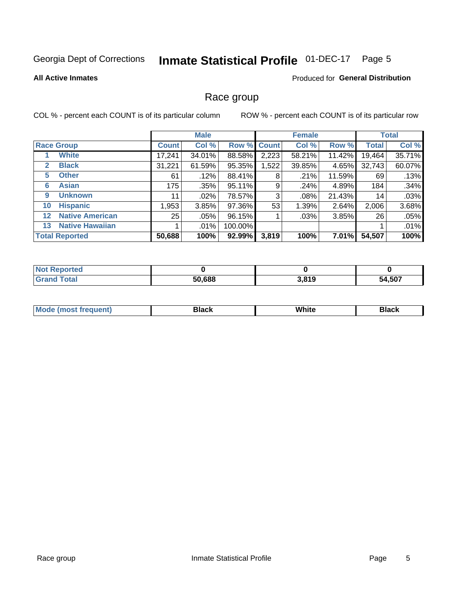#### **Inmate Statistical Profile 01-DEC-17** Page 5

#### **All Active Inmates**

### Produced for General Distribution

### Race group

COL % - percent each COUNT is of its particular column

|                   |                        | <b>Male</b>  |         |         | <b>Female</b> |        |          | <b>Total</b> |        |
|-------------------|------------------------|--------------|---------|---------|---------------|--------|----------|--------------|--------|
|                   | <b>Race Group</b>      | <b>Count</b> | Col %   |         | Row % Count   | Col %  | Row %    | <b>Total</b> | Col %  |
|                   | <b>White</b>           | 17,241       | 34.01%  | 88.58%  | 2,223         | 58.21% | 11.42%   | 19,464       | 35.71% |
| 2                 | <b>Black</b>           | 31,221       | 61.59%  | 95.35%  | 1,522         | 39.85% | 4.65%    | 32,743       | 60.07% |
| 5                 | <b>Other</b>           | 61           | .12%    | 88.41%  | 8             | .21%   | 11.59%   | 69           | .13%   |
| 6                 | <b>Asian</b>           | 175          | $.35\%$ | 95.11%  | 9             | .24%   | 4.89%    | 184          | .34%   |
| 9                 | <b>Unknown</b>         | 11           | $.02\%$ | 78.57%  | 3             | .08%   | 21.43%   | 14           | .03%   |
| 10                | <b>Hispanic</b>        | ,953         | 3.85%   | 97.36%  | 53            | 1.39%  | 2.64%    | 2,006        | 3.68%  |
| $12 \overline{ }$ | <b>Native American</b> | 25           | $.05\%$ | 96.15%  |               | .03%   | 3.85%    | 26           | .05%   |
| 13                | <b>Native Hawaiian</b> |              | $.01\%$ | 100.00% |               |        |          |              | .01%   |
|                   | <b>Total Reported</b>  | 50,688       | 100%    | 92.99%  | 3,819         | 100%   | $7.01\%$ | 54,507       | 100%   |

| <b>Not Reported</b> |        |       |        |
|---------------------|--------|-------|--------|
| <b>Grand Total</b>  | 50,688 | 3,819 | 54,507 |

| <b>Mode</b><br>---<br>most frequent) | Black | White | <b>Black</b> |
|--------------------------------------|-------|-------|--------------|
|                                      |       |       |              |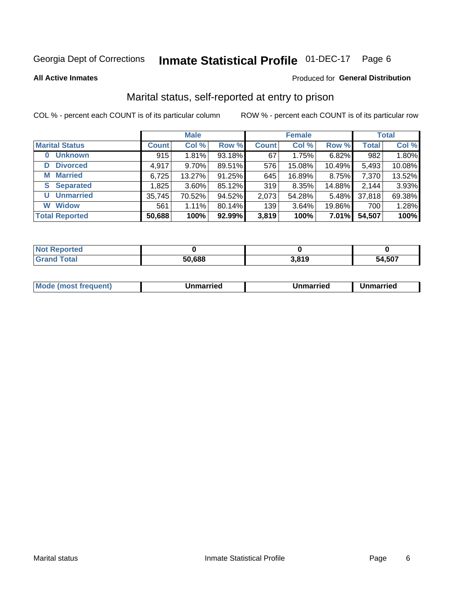#### **Inmate Statistical Profile 01-DEC-17** Page 6

**All Active Inmates** 

### Produced for General Distribution

### Marital status, self-reported at entry to prison

COL % - percent each COUNT is of its particular column

|                            | <b>Male</b>  |          |        |              | <b>Female</b> | <b>Total</b> |              |        |
|----------------------------|--------------|----------|--------|--------------|---------------|--------------|--------------|--------|
| <b>Marital Status</b>      | <b>Count</b> | Col %    | Row %  | <b>Count</b> | Col %         | Row %        | <b>Total</b> | Col %  |
| <b>Unknown</b><br>$\bf{0}$ | 915          | 1.81%    | 93.18% | 67           | 1.75%         | 6.82%        | 982          | 1.80%  |
| <b>Divorced</b><br>D       | 4,917        | $9.70\%$ | 89.51% | 576          | 15.08%        | 10.49%       | 5,493        | 10.08% |
| <b>Married</b><br>М        | 6,725        | 13.27%   | 91.25% | 645          | 16.89%        | 8.75%        | 7,370        | 13.52% |
| <b>Separated</b><br>S.     | 1,825        | $3.60\%$ | 85.12% | 319          | 8.35%         | 14.88%       | 2,144        | 3.93%  |
| <b>Unmarried</b><br>U      | 35,745       | 70.52%   | 94.52% | 2,073        | 54.28%        | 5.48%        | 37,818       | 69.38% |
| <b>Widow</b><br>W          | 561          | 1.11%    | 80.14% | 139          | 3.64%         | 19.86%       | 700          | 1.28%  |
| <b>Total Reported</b>      | 50,688       | 100%     | 92.99% | 3,819        | 100%          | 7.01%        | 54,507       | 100%   |

| $^{\dagger}$ Not.<br><b>horted</b> |      |       |        |
|------------------------------------|------|-------|--------|
| <b>Total</b>                       | .688 | 3,819 | 54.507 |

|--|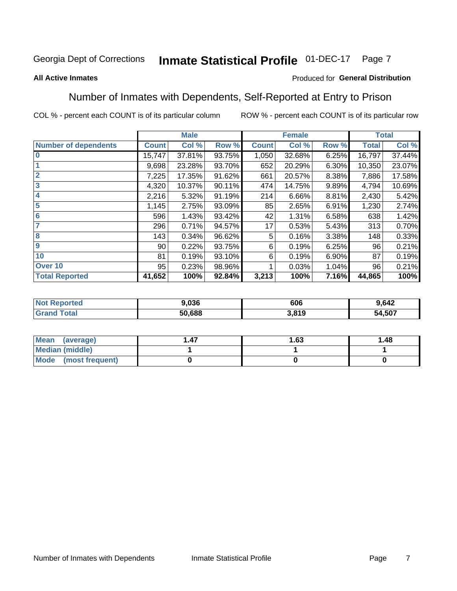#### Inmate Statistical Profile 01-DEC-17 Page 7

### **All Active Inmates**

### Produced for General Distribution

### Number of Inmates with Dependents, Self-Reported at Entry to Prison

COL % - percent each COUNT is of its particular column

|                             |                 | <b>Male</b> |        |              | <b>Female</b> |          |              | <b>Total</b> |
|-----------------------------|-----------------|-------------|--------|--------------|---------------|----------|--------------|--------------|
| <b>Number of dependents</b> | <b>Count</b>    | Col %       | Row %  | <b>Count</b> | Col %         | Row %    | <b>Total</b> | Col %        |
| l 0                         | 15,747          | 37.81%      | 93.75% | 1,050        | 32.68%        | 6.25%    | 16,797       | 37.44%       |
|                             | 9,698           | 23.28%      | 93.70% | 652          | 20.29%        | $6.30\%$ | 10,350       | 23.07%       |
| $\overline{2}$              | 7,225           | 17.35%      | 91.62% | 661          | 20.57%        | 8.38%    | 7,886        | 17.58%       |
| $\mathbf{3}$                | 4,320           | 10.37%      | 90.11% | 474          | 14.75%        | 9.89%    | 4,794        | 10.69%       |
| $\overline{\mathbf{4}}$     | 2,216           | 5.32%       | 91.19% | 214          | 6.66%         | 8.81%    | 2,430        | 5.42%        |
| 5                           | 1,145           | 2.75%       | 93.09% | 85           | 2.65%         | 6.91%    | 1,230        | 2.74%        |
| 6                           | 596             | 1.43%       | 93.42% | 42           | 1.31%         | 6.58%    | 638          | 1.42%        |
| 7                           | 296             | 0.71%       | 94.57% | 17           | 0.53%         | 5.43%    | 313          | 0.70%        |
| 8                           | 143             | 0.34%       | 96.62% | 5            | 0.16%         | 3.38%    | 148          | 0.33%        |
| 9                           | 90 <sub>1</sub> | 0.22%       | 93.75% | 6            | 0.19%         | 6.25%    | 96           | 0.21%        |
| 10                          | 81              | 0.19%       | 93.10% | 6            | 0.19%         | 6.90%    | 87           | 0.19%        |
| Over 10                     | 95              | 0.23%       | 98.96% |              | 0.03%         | 1.04%    | 96           | 0.21%        |
| <b>Total Reported</b>       | 41,652          | 100%        | 92.84% | 3,213        | 100%          | 7.16%    | 44,865       | 100%         |

| w. | 9.036  | 606   | .642         |
|----|--------|-------|--------------|
|    | 50.688 | 3,819 | .,507<br>54. |

| Mean (average)         | 1.63 | 1.48 |
|------------------------|------|------|
| <b>Median (middle)</b> |      |      |
| Mode (most frequent)   |      |      |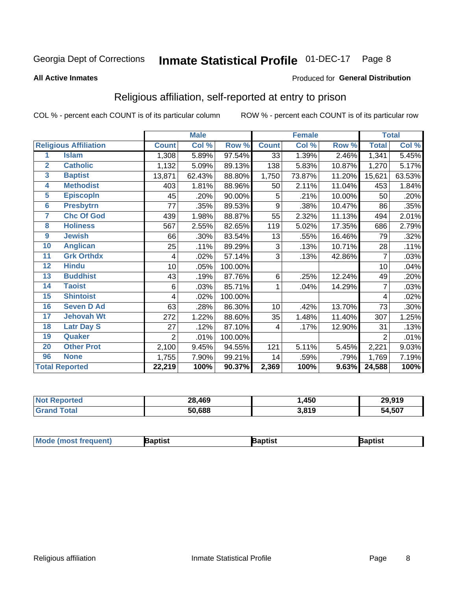#### **Inmate Statistical Profile 01-DEC-17** Page 8

#### **All Active Inmates**

### Produced for General Distribution

### Religious affiliation, self-reported at entry to prison

COL % - percent each COUNT is of its particular column

|                |                              |                | <b>Male</b> |         |              | <b>Female</b> |        |                | <b>Total</b> |
|----------------|------------------------------|----------------|-------------|---------|--------------|---------------|--------|----------------|--------------|
|                | <b>Religious Affiliation</b> | <b>Count</b>   | Col %       | Row %   | <b>Count</b> | Col %         | Row %  | <b>Total</b>   | Col %        |
| 1              | <b>Islam</b>                 | 1,308          | 5.89%       | 97.54%  | 33           | 1.39%         | 2.46%  | 1,341          | 5.45%        |
| $\overline{2}$ | <b>Catholic</b>              | 1,132          | 5.09%       | 89.13%  | 138          | 5.83%         | 10.87% | 1,270          | 5.17%        |
| 3              | <b>Baptist</b>               | 13,871         | 62.43%      | 88.80%  | 1,750        | 73.87%        | 11.20% | 15,621         | 63.53%       |
| 4              | <b>Methodist</b>             | 403            | 1.81%       | 88.96%  | 50           | 2.11%         | 11.04% | 453            | 1.84%        |
| 5              | <b>EpiscopIn</b>             | 45             | .20%        | 90.00%  | 5            | .21%          | 10.00% | 50             | .20%         |
| $6\phantom{a}$ | <b>Presbytrn</b>             | 77             | .35%        | 89.53%  | 9            | .38%          | 10.47% | 86             | .35%         |
| 7              | <b>Chc Of God</b>            | 439            | 1.98%       | 88.87%  | 55           | 2.32%         | 11.13% | 494            | 2.01%        |
| 8              | <b>Holiness</b>              | 567            | 2.55%       | 82.65%  | 119          | 5.02%         | 17.35% | 686            | 2.79%        |
| 9              | <b>Jewish</b>                | 66             | .30%        | 83.54%  | 13           | .55%          | 16.46% | 79             | .32%         |
| 10             | <b>Anglican</b>              | 25             | .11%        | 89.29%  | 3            | .13%          | 10.71% | 28             | .11%         |
| 11             | <b>Grk Orthdx</b>            | 4              | .02%        | 57.14%  | 3            | .13%          | 42.86% | 7              | .03%         |
| 12             | <b>Hindu</b>                 | 10             | .05%        | 100.00% |              |               |        | 10             | .04%         |
| 13             | <b>Buddhist</b>              | 43             | .19%        | 87.76%  | 6            | .25%          | 12.24% | 49             | .20%         |
| 14             | <b>Taoist</b>                | 6              | .03%        | 85.71%  | 1            | .04%          | 14.29% | 7              | .03%         |
| 15             | <b>Shintoist</b>             | 4              | .02%        | 100.00% |              |               |        | 4              | .02%         |
| 16             | <b>Seven D Ad</b>            | 63             | .28%        | 86.30%  | 10           | .42%          | 13.70% | 73             | .30%         |
| 17             | <b>Jehovah Wt</b>            | 272            | 1.22%       | 88.60%  | 35           | 1.48%         | 11.40% | 307            | 1.25%        |
| 18             | <b>Latr Day S</b>            | 27             | .12%        | 87.10%  | 4            | .17%          | 12.90% | 31             | .13%         |
| 19             | Quaker                       | $\overline{2}$ | .01%        | 100.00% |              |               |        | $\overline{2}$ | .01%         |
| 20             | <b>Other Prot</b>            | 2,100          | 9.45%       | 94.55%  | 121          | 5.11%         | 5.45%  | 2,221          | 9.03%        |
| 96             | <b>None</b>                  | 1,755          | 7.90%       | 99.21%  | 14           | .59%          | .79%   | 1,769          | 7.19%        |
|                | <b>Total Reported</b>        | 22,219         | 100%        | 90.37%  | 2,369        | 100%          | 9.63%  | 24,588         | 100%         |

| <b>orteo</b><br>NO. | 28,469 | ,450  | 29,919 |
|---------------------|--------|-------|--------|
| <b>otal</b>         | 50,688 | 3,819 | 54,507 |

|  | $ $ Mod<br>de (most frequent) | aptist | <b>laptist</b> | 3aptist |
|--|-------------------------------|--------|----------------|---------|
|--|-------------------------------|--------|----------------|---------|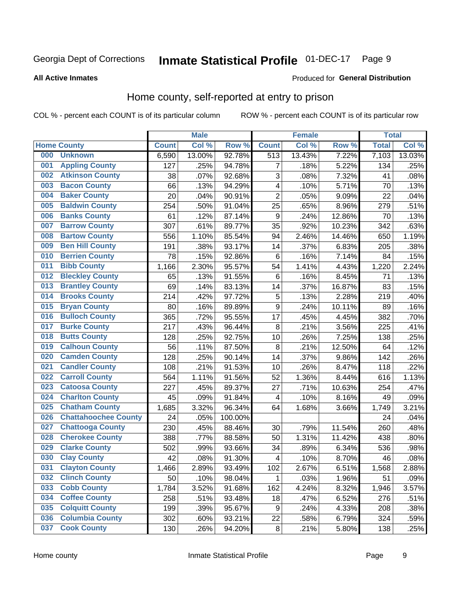#### **Inmate Statistical Profile 01-DEC-17** Page 9

#### **All Active Inmates**

### Produced for General Distribution

### Home county, self-reported at entry to prison

COL % - percent each COUNT is of its particular column

|     |                             |              | <b>Male</b> |                  |                         | <b>Female</b> |        | <b>Total</b> |        |
|-----|-----------------------------|--------------|-------------|------------------|-------------------------|---------------|--------|--------------|--------|
|     | <b>Home County</b>          | <b>Count</b> | Col %       | Row <sup>%</sup> | <b>Count</b>            | Col %         | Row %  | <b>Total</b> | Col %  |
| 000 | <b>Unknown</b>              | 6,590        | 13.00%      | 92.78%           | $\overline{513}$        | 13.43%        | 7.22%  | 7,103        | 13.03% |
| 001 | <b>Appling County</b>       | 127          | .25%        | 94.78%           | 7                       | .18%          | 5.22%  | 134          | .25%   |
| 002 | <b>Atkinson County</b>      | 38           | .07%        | 92.68%           | 3                       | .08%          | 7.32%  | 41           | .08%   |
| 003 | <b>Bacon County</b>         | 66           | .13%        | 94.29%           | 4                       | .10%          | 5.71%  | 70           | .13%   |
| 004 | <b>Baker County</b>         | 20           | .04%        | 90.91%           | $\overline{2}$          | .05%          | 9.09%  | 22           | .04%   |
| 005 | <b>Baldwin County</b>       | 254          | .50%        | 91.04%           | 25                      | .65%          | 8.96%  | 279          | .51%   |
| 006 | <b>Banks County</b>         | 61           | .12%        | 87.14%           | $\boldsymbol{9}$        | .24%          | 12.86% | 70           | .13%   |
| 007 | <b>Barrow County</b>        | 307          | .61%        | 89.77%           | 35                      | .92%          | 10.23% | 342          | .63%   |
| 008 | <b>Bartow County</b>        | 556          | 1.10%       | 85.54%           | 94                      | 2.46%         | 14.46% | 650          | 1.19%  |
| 009 | <b>Ben Hill County</b>      | 191          | .38%        | 93.17%           | 14                      | .37%          | 6.83%  | 205          | .38%   |
| 010 | <b>Berrien County</b>       | 78           | .15%        | 92.86%           | $\,6$                   | .16%          | 7.14%  | 84           | .15%   |
| 011 | <b>Bibb County</b>          | 1,166        | 2.30%       | 95.57%           | 54                      | 1.41%         | 4.43%  | 1,220        | 2.24%  |
| 012 | <b>Bleckley County</b>      | 65           | .13%        | 91.55%           | $\,6$                   | .16%          | 8.45%  | 71           | .13%   |
| 013 | <b>Brantley County</b>      | 69           | .14%        | 83.13%           | 14                      | .37%          | 16.87% | 83           | .15%   |
| 014 | <b>Brooks County</b>        | 214          | .42%        | 97.72%           | 5                       | .13%          | 2.28%  | 219          | .40%   |
| 015 | <b>Bryan County</b>         | 80           | .16%        | 89.89%           | $\boldsymbol{9}$        | .24%          | 10.11% | 89           | .16%   |
| 016 | <b>Bulloch County</b>       | 365          | .72%        | 95.55%           | 17                      | .45%          | 4.45%  | 382          | .70%   |
| 017 | <b>Burke County</b>         | 217          | .43%        | 96.44%           | $\bf 8$                 | .21%          | 3.56%  | 225          | .41%   |
| 018 | <b>Butts County</b>         | 128          | .25%        | 92.75%           | 10                      | .26%          | 7.25%  | 138          | .25%   |
| 019 | <b>Calhoun County</b>       | 56           | .11%        | 87.50%           | 8                       | .21%          | 12.50% | 64           | .12%   |
| 020 | <b>Camden County</b>        | 128          | .25%        | 90.14%           | 14                      | .37%          | 9.86%  | 142          | .26%   |
| 021 | <b>Candler County</b>       | 108          | .21%        | 91.53%           | 10                      | .26%          | 8.47%  | 118          | .22%   |
| 022 | <b>Carroll County</b>       | 564          | 1.11%       | 91.56%           | 52                      | 1.36%         | 8.44%  | 616          | 1.13%  |
| 023 | <b>Catoosa County</b>       | 227          | .45%        | 89.37%           | 27                      | .71%          | 10.63% | 254          | .47%   |
| 024 | <b>Charlton County</b>      | 45           | .09%        | 91.84%           | 4                       | .10%          | 8.16%  | 49           | .09%   |
| 025 | <b>Chatham County</b>       | 1,685        | 3.32%       | 96.34%           | 64                      | 1.68%         | 3.66%  | 1,749        | 3.21%  |
| 026 | <b>Chattahoochee County</b> | 24           | .05%        | 100.00%          |                         |               |        | 24           | .04%   |
| 027 | <b>Chattooga County</b>     | 230          | .45%        | 88.46%           | 30                      | .79%          | 11.54% | 260          | .48%   |
| 028 | <b>Cherokee County</b>      | 388          | .77%        | 88.58%           | 50                      | 1.31%         | 11.42% | 438          | .80%   |
| 029 | <b>Clarke County</b>        | 502          | .99%        | 93.66%           | 34                      | .89%          | 6.34%  | 536          | .98%   |
| 030 | <b>Clay County</b>          | 42           | .08%        | 91.30%           | $\overline{\mathbf{4}}$ | .10%          | 8.70%  | 46           | .08%   |
| 031 | <b>Clayton County</b>       | 1,466        | 2.89%       | 93.49%           | 102                     | 2.67%         | 6.51%  | 1,568        | 2.88%  |
| 032 | <b>Clinch County</b>        | 50           | .10%        | 98.04%           | 1                       | .03%          | 1.96%  | 51           | .09%   |
| 033 | <b>Cobb County</b>          | 1,784        | 3.52%       | 91.68%           | 162                     | 4.24%         | 8.32%  | 1,946        | 3.57%  |
| 034 | <b>Coffee County</b>        | 258          | .51%        | 93.48%           | 18                      | .47%          | 6.52%  | 276          | .51%   |
| 035 | <b>Colquitt County</b>      | 199          | .39%        | 95.67%           | 9                       | .24%          | 4.33%  | 208          | .38%   |
| 036 | <b>Columbia County</b>      | 302          | .60%        | 93.21%           | 22                      | .58%          | 6.79%  | 324          | .59%   |
| 037 | <b>Cook County</b>          | 130          | .26%        | 94.20%           | $\bf 8$                 | .21%          | 5.80%  | 138          | .25%   |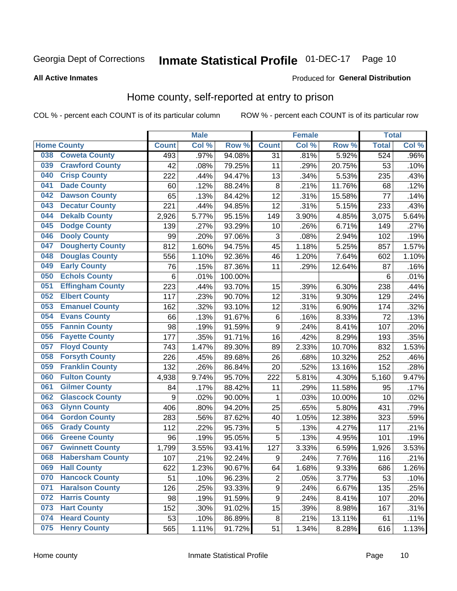#### Inmate Statistical Profile 01-DEC-17 Page 10

#### **All Active Inmates**

### Produced for General Distribution

### Home county, self-reported at entry to prison

COL % - percent each COUNT is of its particular column

|     |                         |                  | <b>Male</b> |                  |                  | <b>Female</b> |        | <b>Total</b> |       |
|-----|-------------------------|------------------|-------------|------------------|------------------|---------------|--------|--------------|-------|
|     | <b>Home County</b>      | <b>Count</b>     | Col %       | Row <sup>%</sup> | <b>Count</b>     | Col %         | Row %  | <b>Total</b> | Col % |
| 038 | <b>Coweta County</b>    | 493              | .97%        | 94.08%           | 31               | .81%          | 5.92%  | 524          | .96%  |
| 039 | <b>Crawford County</b>  | 42               | .08%        | 79.25%           | 11               | .29%          | 20.75% | 53           | .10%  |
| 040 | <b>Crisp County</b>     | 222              | .44%        | 94.47%           | 13               | .34%          | 5.53%  | 235          | .43%  |
| 041 | <b>Dade County</b>      | 60               | .12%        | 88.24%           | 8                | .21%          | 11.76% | 68           | .12%  |
| 042 | <b>Dawson County</b>    | 65               | .13%        | 84.42%           | 12               | .31%          | 15.58% | 77           | .14%  |
| 043 | <b>Decatur County</b>   | 221              | .44%        | 94.85%           | 12               | .31%          | 5.15%  | 233          | .43%  |
| 044 | <b>Dekalb County</b>    | 2,926            | 5.77%       | 95.15%           | 149              | 3.90%         | 4.85%  | 3,075        | 5.64% |
| 045 | <b>Dodge County</b>     | 139              | .27%        | 93.29%           | 10               | .26%          | 6.71%  | 149          | .27%  |
| 046 | <b>Dooly County</b>     | 99               | .20%        | 97.06%           | 3                | .08%          | 2.94%  | 102          | .19%  |
| 047 | <b>Dougherty County</b> | 812              | 1.60%       | 94.75%           | 45               | 1.18%         | 5.25%  | 857          | 1.57% |
| 048 | <b>Douglas County</b>   | 556              | 1.10%       | 92.36%           | 46               | 1.20%         | 7.64%  | 602          | 1.10% |
| 049 | <b>Early County</b>     | 76               | .15%        | 87.36%           | 11               | .29%          | 12.64% | 87           | .16%  |
| 050 | <b>Echols County</b>    | 6                | .01%        | 100.00%          |                  |               |        | $\,6$        | .01%  |
| 051 | <b>Effingham County</b> | 223              | .44%        | 93.70%           | 15               | .39%          | 6.30%  | 238          | .44%  |
| 052 | <b>Elbert County</b>    | 117              | .23%        | 90.70%           | 12               | .31%          | 9.30%  | 129          | .24%  |
| 053 | <b>Emanuel County</b>   | 162              | .32%        | 93.10%           | 12               | .31%          | 6.90%  | 174          | .32%  |
| 054 | <b>Evans County</b>     | 66               | .13%        | 91.67%           | 6                | .16%          | 8.33%  | 72           | .13%  |
| 055 | <b>Fannin County</b>    | 98               | .19%        | 91.59%           | $\boldsymbol{9}$ | .24%          | 8.41%  | 107          | .20%  |
| 056 | <b>Fayette County</b>   | 177              | .35%        | 91.71%           | 16               | .42%          | 8.29%  | 193          | .35%  |
| 057 | <b>Floyd County</b>     | 743              | 1.47%       | 89.30%           | 89               | 2.33%         | 10.70% | 832          | 1.53% |
| 058 | <b>Forsyth County</b>   | 226              | .45%        | 89.68%           | 26               | .68%          | 10.32% | 252          | .46%  |
| 059 | <b>Franklin County</b>  | 132              | .26%        | 86.84%           | 20               | .52%          | 13.16% | 152          | .28%  |
| 060 | <b>Fulton County</b>    | 4,938            | 9.74%       | 95.70%           | 222              | 5.81%         | 4.30%  | 5,160        | 9.47% |
| 061 | <b>Gilmer County</b>    | 84               | .17%        | 88.42%           | 11               | .29%          | 11.58% | 95           | .17%  |
| 062 | <b>Glascock County</b>  | $\boldsymbol{9}$ | .02%        | 90.00%           | 1                | .03%          | 10.00% | 10           | .02%  |
| 063 | <b>Glynn County</b>     | 406              | .80%        | 94.20%           | 25               | .65%          | 5.80%  | 431          | .79%  |
| 064 | <b>Gordon County</b>    | 283              | .56%        | 87.62%           | 40               | 1.05%         | 12.38% | 323          | .59%  |
| 065 | <b>Grady County</b>     | 112              | .22%        | 95.73%           | 5                | .13%          | 4.27%  | 117          | .21%  |
| 066 | <b>Greene County</b>    | 96               | .19%        | 95.05%           | 5                | .13%          | 4.95%  | 101          | .19%  |
| 067 | <b>Gwinnett County</b>  | 1,799            | 3.55%       | 93.41%           | 127              | 3.33%         | 6.59%  | 1,926        | 3.53% |
| 068 | <b>Habersham County</b> | 107              | .21%        | 92.24%           | $\boldsymbol{9}$ | .24%          | 7.76%  | 116          | .21%  |
| 069 | <b>Hall County</b>      | 622              | 1.23%       | 90.67%           | 64               | 1.68%         | 9.33%  | 686          | 1.26% |
| 070 | <b>Hancock County</b>   | 51               | .10%        | 96.23%           | $\overline{2}$   | .05%          | 3.77%  | 53           | .10%  |
| 071 | <b>Haralson County</b>  | 126              | .25%        | 93.33%           | $\boldsymbol{9}$ | .24%          | 6.67%  | 135          | .25%  |
| 072 | <b>Harris County</b>    | 98               | .19%        | 91.59%           | $\boldsymbol{9}$ | .24%          | 8.41%  | 107          | .20%  |
| 073 | <b>Hart County</b>      | 152              | .30%        | 91.02%           | 15               | .39%          | 8.98%  | 167          | .31%  |
| 074 | <b>Heard County</b>     | 53               | .10%        | 86.89%           | $\bf 8$          | .21%          | 13.11% | 61           | .11%  |
| 075 | <b>Henry County</b>     | 565              | 1.11%       | 91.72%           | 51               | 1.34%         | 8.28%  | 616          | 1.13% |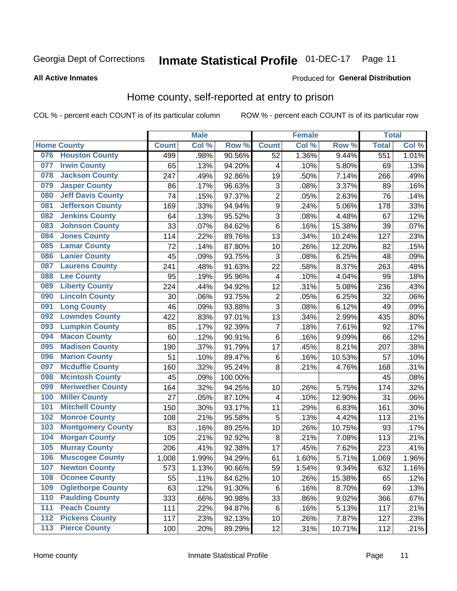#### Inmate Statistical Profile 01-DEC-17 Page 11

**All Active Inmates** 

#### Produced for General Distribution

### Home county, self-reported at entry to prison

COL % - percent each COUNT is of its particular column

|                  |                          |              | <b>Male</b> |                  |                         | <b>Female</b> |        | <b>Total</b> |       |
|------------------|--------------------------|--------------|-------------|------------------|-------------------------|---------------|--------|--------------|-------|
|                  | <b>Home County</b>       | <b>Count</b> | Col%        | Row <sup>%</sup> | <b>Count</b>            | Col %         | Row %  | <b>Total</b> | Col % |
| 076              | <b>Houston County</b>    | 499          | .98%        | 90.56%           | 52                      | 1.36%         | 9.44%  | 551          | 1.01% |
| 077              | <b>Irwin County</b>      | 65           | .13%        | 94.20%           | 4                       | .10%          | 5.80%  | 69           | .13%  |
| 078              | <b>Jackson County</b>    | 247          | .49%        | 92.86%           | 19                      | .50%          | 7.14%  | 266          | .49%  |
| 079              | <b>Jasper County</b>     | 86           | .17%        | 96.63%           | 3                       | .08%          | 3.37%  | 89           | .16%  |
| 080              | <b>Jeff Davis County</b> | 74           | .15%        | 97.37%           | $\overline{c}$          | .05%          | 2.63%  | 76           | .14%  |
| 081              | <b>Jefferson County</b>  | 169          | .33%        | 94.94%           | $\mathsf 9$             | .24%          | 5.06%  | 178          | .33%  |
| 082              | <b>Jenkins County</b>    | 64           | .13%        | 95.52%           | 3                       | .08%          | 4.48%  | 67           | .12%  |
| 083              | <b>Johnson County</b>    | 33           | .07%        | 84.62%           | 6                       | .16%          | 15.38% | 39           | .07%  |
| 084              | <b>Jones County</b>      | 114          | .22%        | 89.76%           | 13                      | .34%          | 10.24% | 127          | .23%  |
| 085              | <b>Lamar County</b>      | 72           | .14%        | 87.80%           | 10                      | .26%          | 12.20% | 82           | .15%  |
| 086              | <b>Lanier County</b>     | 45           | .09%        | 93.75%           | 3                       | .08%          | 6.25%  | 48           | .09%  |
| 087              | <b>Laurens County</b>    | 241          | .48%        | 91.63%           | 22                      | .58%          | 8.37%  | 263          | .48%  |
| 088              | <b>Lee County</b>        | 95           | .19%        | 95.96%           | $\overline{\mathbf{4}}$ | .10%          | 4.04%  | 99           | .18%  |
| 089              | <b>Liberty County</b>    | 224          | .44%        | 94.92%           | 12                      | .31%          | 5.08%  | 236          | .43%  |
| 090              | <b>Lincoln County</b>    | 30           | .06%        | 93.75%           | $\overline{c}$          | .05%          | 6.25%  | 32           | .06%  |
| 091              | <b>Long County</b>       | 46           | .09%        | 93.88%           | 3                       | .08%          | 6.12%  | 49           | .09%  |
| 092              | <b>Lowndes County</b>    | 422          | .83%        | 97.01%           | 13                      | .34%          | 2.99%  | 435          | .80%  |
| 093              | <b>Lumpkin County</b>    | 85           | .17%        | 92.39%           | $\overline{7}$          | .18%          | 7.61%  | 92           | .17%  |
| 094              | <b>Macon County</b>      | 60           | .12%        | 90.91%           | $\,6$                   | .16%          | 9.09%  | 66           | .12%  |
| 095              | <b>Madison County</b>    | 190          | .37%        | 91.79%           | 17                      | .45%          | 8.21%  | 207          | .38%  |
| 096              | <b>Marion County</b>     | 51           | .10%        | 89.47%           | 6                       | .16%          | 10.53% | 57           | .10%  |
| 097              | <b>Mcduffie County</b>   | 160          | .32%        | 95.24%           | 8                       | .21%          | 4.76%  | 168          | .31%  |
| 098              | <b>Mcintosh County</b>   | 45           | .09%        | 100.00%          |                         |               |        | 45           | .08%  |
| 099              | <b>Meriwether County</b> | 164          | .32%        | 94.25%           | 10                      | .26%          | 5.75%  | 174          | .32%  |
| 100              | <b>Miller County</b>     | 27           | .05%        | 87.10%           | 4                       | .10%          | 12.90% | 31           | .06%  |
| 101              | <b>Mitchell County</b>   | 150          | .30%        | 93.17%           | 11                      | .29%          | 6.83%  | 161          | .30%  |
| 102              | <b>Monroe County</b>     | 108          | .21%        | 95.58%           | 5                       | .13%          | 4.42%  | 113          | .21%  |
| 103              | <b>Montgomery County</b> | 83           | .16%        | 89.25%           | 10                      | .26%          | 10.75% | 93           | .17%  |
| 104              | <b>Morgan County</b>     | 105          | .21%        | 92.92%           | 8                       | .21%          | 7.08%  | 113          | .21%  |
| 105              | <b>Murray County</b>     | 206          | .41%        | 92.38%           | 17                      | .45%          | 7.62%  | 223          | .41%  |
| 106              | <b>Muscogee County</b>   | 1,008        | 1.99%       | 94.29%           | 61                      | 1.60%         | 5.71%  | 1,069        | 1.96% |
| 107              | <b>Newton County</b>     | 573          | 1.13%       | 90.66%           | 59                      | 1.54%         | 9.34%  | 632          | 1.16% |
| 108              | <b>Oconee County</b>     | 55           | .11%        | 84.62%           | 10                      | .26%          | 15.38% | 65           | .12%  |
| 109              | <b>Oglethorpe County</b> | 63           | .12%        | 91.30%           | 6                       | .16%          | 8.70%  | 69           | .13%  |
| 110              | <b>Paulding County</b>   | 333          | .66%        | 90.98%           | 33                      | .86%          | 9.02%  | 366          | .67%  |
| 111              | <b>Peach County</b>      | 111          | .22%        | 94.87%           | 6                       | .16%          | 5.13%  | 117          | .21%  |
| $\overline{112}$ | <b>Pickens County</b>    | 117          | .23%        | 92.13%           | 10                      | .26%          | 7.87%  | 127          | .23%  |
| 113              | <b>Pierce County</b>     | 100          | .20%        | 89.29%           | 12                      | .31%          | 10.71% | 112          | .21%  |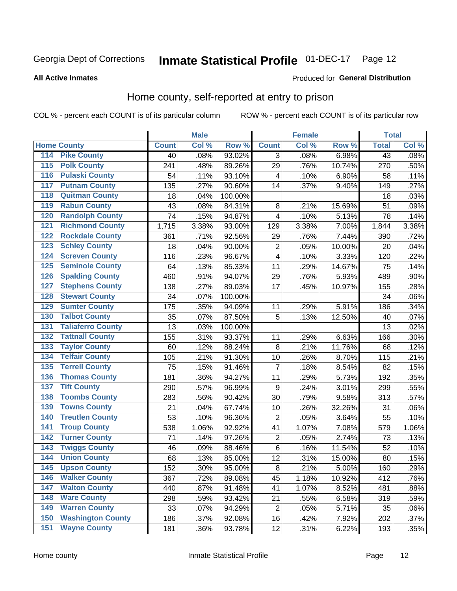# Inmate Statistical Profile 01-DEC-17 Page 12

### **All Active Inmates**

### Produced for General Distribution

### Home county, self-reported at entry to prison

COL % - percent each COUNT is of its particular column

|                    |                          |              | <b>Male</b> |                  |                | <b>Female</b> |        | <b>Total</b>    |       |
|--------------------|--------------------------|--------------|-------------|------------------|----------------|---------------|--------|-----------------|-------|
| <b>Home County</b> |                          | <b>Count</b> | Col %       | Row <sup>%</sup> | <b>Count</b>   | Col %         | Row %  | <b>Total</b>    | Col % |
| 114                | <b>Pike County</b>       | 40           | .08%        | 93.02%           | 3              | .08%          | 6.98%  | $\overline{43}$ | .08%  |
| 115                | <b>Polk County</b>       | 241          | .48%        | 89.26%           | 29             | .76%          | 10.74% | 270             | .50%  |
| 116                | <b>Pulaski County</b>    | 54           | .11%        | 93.10%           | 4              | .10%          | 6.90%  | 58              | .11%  |
| 117                | <b>Putnam County</b>     | 135          | .27%        | 90.60%           | 14             | .37%          | 9.40%  | 149             | .27%  |
| 118                | <b>Quitman County</b>    | 18           | .04%        | 100.00%          |                |               |        | 18              | .03%  |
| 119                | <b>Rabun County</b>      | 43           | .08%        | 84.31%           | 8              | .21%          | 15.69% | 51              | .09%  |
| 120                | <b>Randolph County</b>   | 74           | .15%        | 94.87%           | $\overline{4}$ | .10%          | 5.13%  | 78              | .14%  |
| 121                | <b>Richmond County</b>   | 1,715        | 3.38%       | 93.00%           | 129            | 3.38%         | 7.00%  | 1,844           | 3.38% |
| 122                | <b>Rockdale County</b>   | 361          | .71%        | 92.56%           | 29             | .76%          | 7.44%  | 390             | .72%  |
| 123                | <b>Schley County</b>     | 18           | .04%        | 90.00%           | $\overline{2}$ | .05%          | 10.00% | 20              | .04%  |
| 124                | <b>Screven County</b>    | 116          | .23%        | 96.67%           | $\overline{4}$ | .10%          | 3.33%  | 120             | .22%  |
| 125                | <b>Seminole County</b>   | 64           | .13%        | 85.33%           | 11             | .29%          | 14.67% | 75              | .14%  |
| 126                | <b>Spalding County</b>   | 460          | .91%        | 94.07%           | 29             | .76%          | 5.93%  | 489             | .90%  |
| 127                | <b>Stephens County</b>   | 138          | .27%        | 89.03%           | 17             | .45%          | 10.97% | 155             | .28%  |
| 128                | <b>Stewart County</b>    | 34           | .07%        | 100.00%          |                |               |        | 34              | .06%  |
| 129                | <b>Sumter County</b>     | 175          | .35%        | 94.09%           | 11             | .29%          | 5.91%  | 186             | .34%  |
| 130                | <b>Talbot County</b>     | 35           | .07%        | 87.50%           | 5              | .13%          | 12.50% | 40              | .07%  |
| 131                | <b>Taliaferro County</b> | 13           | .03%        | 100.00%          |                |               |        | 13              | .02%  |
| 132                | <b>Tattnall County</b>   | 155          | .31%        | 93.37%           | 11             | .29%          | 6.63%  | 166             | .30%  |
| 133                | <b>Taylor County</b>     | 60           | .12%        | 88.24%           | 8              | .21%          | 11.76% | 68              | .12%  |
| 134                | <b>Telfair County</b>    | 105          | .21%        | 91.30%           | 10             | .26%          | 8.70%  | 115             | .21%  |
| 135                | <b>Terrell County</b>    | 75           | .15%        | 91.46%           | 7              | .18%          | 8.54%  | 82              | .15%  |
| 136                | <b>Thomas County</b>     | 181          | .36%        | 94.27%           | 11             | .29%          | 5.73%  | 192             | .35%  |
| 137                | <b>Tift County</b>       | 290          | .57%        | 96.99%           | 9              | .24%          | 3.01%  | 299             | .55%  |
| 138                | <b>Toombs County</b>     | 283          | .56%        | 90.42%           | 30             | .79%          | 9.58%  | 313             | .57%  |
| 139                | <b>Towns County</b>      | 21           | .04%        | 67.74%           | 10             | .26%          | 32.26% | 31              | .06%  |
| 140                | <b>Treutlen County</b>   | 53           | .10%        | 96.36%           | $\overline{2}$ | .05%          | 3.64%  | 55              | .10%  |
| 141                | <b>Troup County</b>      | 538          | 1.06%       | 92.92%           | 41             | 1.07%         | 7.08%  | 579             | 1.06% |
| 142                | <b>Turner County</b>     | 71           | .14%        | 97.26%           | $\overline{2}$ | .05%          | 2.74%  | 73              | .13%  |
| 143                | <b>Twiggs County</b>     | 46           | .09%        | 88.46%           | 6              | .16%          | 11.54% | 52              | .10%  |
| 144                | <b>Union County</b>      | 68           | .13%        | 85.00%           | 12             | .31%          | 15.00% | 80              | .15%  |
| 145                | <b>Upson County</b>      | 152          | .30%        | 95.00%           | 8              | .21%          | 5.00%  | 160             | .29%  |
| 146                | <b>Walker County</b>     | 367          | .72%        | 89.08%           | 45             | 1.18%         | 10.92% | 412             | .76%  |
| 147                | <b>Walton County</b>     | 440          | .87%        | 91.48%           | 41             | 1.07%         | 8.52%  | 481             | .88%  |
| 148                | <b>Ware County</b>       | 298          | .59%        | 93.42%           | 21             | .55%          | 6.58%  | 319             | .59%  |
| 149                | <b>Warren County</b>     | 33           | .07%        | 94.29%           | $\overline{2}$ | .05%          | 5.71%  | 35              | .06%  |
| 150                | <b>Washington County</b> | 186          | .37%        | 92.08%           | 16             | .42%          | 7.92%  | 202             | .37%  |
| 151                | <b>Wayne County</b>      | 181          | .36%        | 93.78%           | 12             | .31%          | 6.22%  | 193             | .35%  |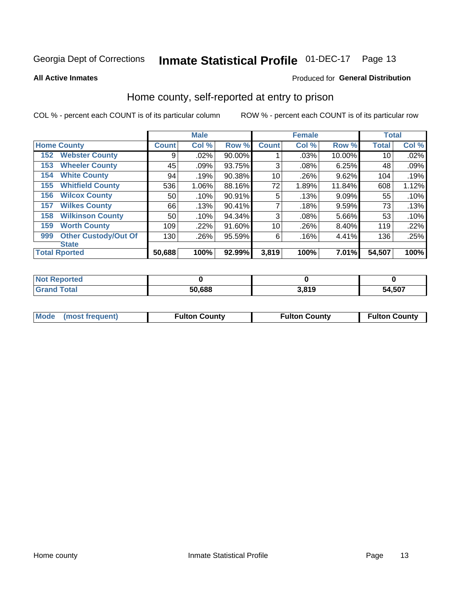#### **Inmate Statistical Profile 01-DEC-17** Page 13

**All Active Inmates** 

### Produced for General Distribution

### Home county, self-reported at entry to prison

COL % - percent each COUNT is of its particular column

|     |                             |              | <b>Male</b> |        |              | <b>Female</b> |        | <b>Total</b> |       |
|-----|-----------------------------|--------------|-------------|--------|--------------|---------------|--------|--------------|-------|
|     | <b>Home County</b>          | <b>Count</b> | Col %       | Row %  | <b>Count</b> | Col %         | Row %  | <b>Total</b> | Col % |
| 152 | <b>Webster County</b>       | 9            | .02%        | 90.00% |              | .03%          | 10.00% | 10           | .02%  |
| 153 | <b>Wheeler County</b>       | 45           | .09%        | 93.75% | 3            | .08%          | 6.25%  | 48           | .09%  |
| 154 | <b>White County</b>         | 94           | .19%        | 90.38% | 10           | .26%          | 9.62%  | 104          | .19%  |
| 155 | <b>Whitfield County</b>     | 536          | 1.06%       | 88.16% | 72           | 1.89%         | 11.84% | 608          | 1.12% |
| 156 | <b>Wilcox County</b>        | 50           | .10%        | 90.91% | 5            | .13%          | 9.09%  | 55           | .10%  |
| 157 | <b>Wilkes County</b>        | 66           | .13%        | 90.41% | 7            | .18%          | 9.59%  | 73           | .13%  |
| 158 | <b>Wilkinson County</b>     | 50           | .10%        | 94.34% | 3            | .08%          | 5.66%  | 53           | .10%  |
| 159 | <b>Worth County</b>         | 109          | .22%        | 91.60% | 10           | .26%          | 8.40%  | 119          | .22%  |
| 999 | <b>Other Custody/Out Of</b> | 130          | .26%        | 95.59% | 6            | .16%          | 4.41%  | 136          | .25%  |
|     | <b>State</b>                |              |             |        |              |               |        |              |       |
|     | <b>Total Rported</b>        | 50,688       | 100%        | 92.99% | 3,819        | 100%          | 7.01%  | 54,507       | 100%  |

| <b>Not</b><br><b>Reported</b> |        |       |        |
|-------------------------------|--------|-------|--------|
| <b>Total</b>                  | 50,688 | 3.819 | 54,507 |

| Mode (most frequent) | <b>Fulton County</b> | <b>Fulton County</b> | <b>Fulton County</b> |
|----------------------|----------------------|----------------------|----------------------|
|                      |                      |                      |                      |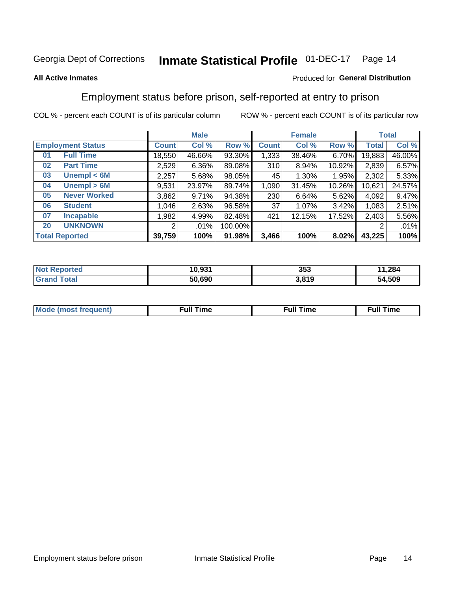#### **Inmate Statistical Profile 01-DEC-17** Page 14

### **All Active Inmates**

### Produced for General Distribution

### Employment status before prison, self-reported at entry to prison

COL % - percent each COUNT is of its particular column

|                                    | <b>Male</b>  |        |         | <b>Female</b> |        |        | <b>Total</b> |        |
|------------------------------------|--------------|--------|---------|---------------|--------|--------|--------------|--------|
| <b>Employment Status</b>           | <b>Count</b> | Col %  | Row %   | <b>Count</b>  | Col %  | Row %  | Total        | Col %  |
| <b>Full Time</b><br>0 <sub>1</sub> | 18,550       | 46.66% | 93.30%  | 1,333         | 38.46% | 6.70%  | 19,883       | 46.00% |
| <b>Part Time</b><br>02             | 2,529        | 6.36%  | 89.08%  | 310           | 8.94%  | 10.92% | 2,839        | 6.57%  |
| Unempl $<$ 6M<br>03                | 2,257        | 5.68%  | 98.05%  | 45            | 1.30%  | 1.95%  | 2,302        | 5.33%  |
| Unempl > 6M<br>04                  | 9,531        | 23.97% | 89.74%  | 1,090         | 31.45% | 10.26% | 10,621       | 24.57% |
| <b>Never Worked</b><br>05          | 3,862        | 9.71%  | 94.38%  | 230           | 6.64%  | 5.62%  | 4,092        | 9.47%  |
| <b>Student</b><br>06               | 1,046        | 2.63%  | 96.58%  | 37            | 1.07%  | 3.42%  | 1,083        | 2.51%  |
| <b>Incapable</b><br>07             | ,982         | 4.99%  | 82.48%  | 421           | 12.15% | 17.52% | 2,403        | 5.56%  |
| <b>UNKNOWN</b><br>20               | 2            | .01%   | 100.00% |               |        |        | 2            | .01%   |
| <b>Total Reported</b>              | 39,759       | 100%   | 91.98%  | 3,466         | 100%   | 8.02%  | 43,225       | 100%   |

| <b>Not Reported</b> | 10,931 | 353   | 1,284<br>44 |
|---------------------|--------|-------|-------------|
| <b>Grand Total</b>  | 50,690 | 3,819 | 54,509      |

| <b>Mode (most frequent)</b> | $^{\prime\prime}$ Time | <b>Time</b><br>rull i |
|-----------------------------|------------------------|-----------------------|
|                             |                        |                       |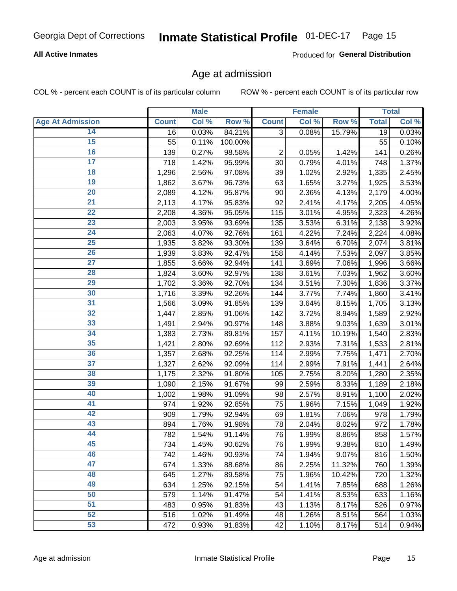# Inmate Statistical Profile 01-DEC-17 Page 15

### **All Active Inmates**

Produced for General Distribution

### Age at admission

COL % - percent each COUNT is of its particular column

|                         |              | <b>Male</b> |         |                | <b>Female</b> |        |              | <b>Total</b> |
|-------------------------|--------------|-------------|---------|----------------|---------------|--------|--------------|--------------|
| <b>Age At Admission</b> | <b>Count</b> | Col %       | Row %   | <b>Count</b>   | Col %         | Row %  | <b>Total</b> | Col %        |
| 14                      | 16           | 0.03%       | 84.21%  | $\overline{3}$ | 0.08%         | 15.79% | 19           | 0.03%        |
| 15                      | 55           | 0.11%       | 100.00% |                |               |        | 55           | 0.10%        |
| 16                      | 139          | 0.27%       | 98.58%  | $\overline{2}$ | 0.05%         | 1.42%  | 141          | 0.26%        |
| $\overline{17}$         | 718          | 1.42%       | 95.99%  | 30             | 0.79%         | 4.01%  | 748          | 1.37%        |
| $\overline{18}$         | 1,296        | 2.56%       | 97.08%  | 39             | 1.02%         | 2.92%  | 1,335        | 2.45%        |
| 19                      | 1,862        | 3.67%       | 96.73%  | 63             | 1.65%         | 3.27%  | 1,925        | 3.53%        |
| $\overline{20}$         | 2,089        | 4.12%       | 95.87%  | 90             | 2.36%         | 4.13%  | 2,179        | 4.00%        |
| $\overline{21}$         | 2,113        | 4.17%       | 95.83%  | 92             | 2.41%         | 4.17%  | 2,205        | 4.05%        |
| $\overline{22}$         | 2,208        | 4.36%       | 95.05%  | 115            | 3.01%         | 4.95%  | 2,323        | 4.26%        |
| 23                      | 2,003        | 3.95%       | 93.69%  | 135            | 3.53%         | 6.31%  | 2,138        | 3.92%        |
| $\overline{24}$         | 2,063        | 4.07%       | 92.76%  | 161            | 4.22%         | 7.24%  | 2,224        | 4.08%        |
| 25                      | 1,935        | 3.82%       | 93.30%  | 139            | 3.64%         | 6.70%  | 2,074        | 3.81%        |
| $\overline{26}$         | 1,939        | 3.83%       | 92.47%  | 158            | 4.14%         | 7.53%  | 2,097        | 3.85%        |
| $\overline{27}$         | 1,855        | 3.66%       | 92.94%  | 141            | 3.69%         | 7.06%  | 1,996        | 3.66%        |
| 28                      | 1,824        | 3.60%       | 92.97%  | 138            | 3.61%         | 7.03%  | 1,962        | 3.60%        |
| 29                      | 1,702        | 3.36%       | 92.70%  | 134            | 3.51%         | 7.30%  | 1,836        | 3.37%        |
| 30                      | 1,716        | 3.39%       | 92.26%  | 144            | 3.77%         | 7.74%  | 1,860        | 3.41%        |
| $\overline{31}$         | 1,566        | 3.09%       | 91.85%  | 139            | 3.64%         | 8.15%  | 1,705        | 3.13%        |
| 32                      | 1,447        | 2.85%       | 91.06%  | 142            | 3.72%         | 8.94%  | 1,589        | 2.92%        |
| 33                      | 1,491        | 2.94%       | 90.97%  | 148            | 3.88%         | 9.03%  | 1,639        | 3.01%        |
| 34                      | 1,383        | 2.73%       | 89.81%  | 157            | 4.11%         | 10.19% | 1,540        | 2.83%        |
| 35                      | 1,421        | 2.80%       | 92.69%  | 112            | 2.93%         | 7.31%  | 1,533        | 2.81%        |
| 36                      | 1,357        | 2.68%       | 92.25%  | 114            | 2.99%         | 7.75%  | 1,471        | 2.70%        |
| $\overline{37}$         | 1,327        | 2.62%       | 92.09%  | 114            | 2.99%         | 7.91%  | 1,441        | 2.64%        |
| 38                      | 1,175        | 2.32%       | 91.80%  | 105            | 2.75%         | 8.20%  | 1,280        | 2.35%        |
| 39                      | 1,090        | 2.15%       | 91.67%  | 99             | 2.59%         | 8.33%  | 1,189        | 2.18%        |
| 40                      | 1,002        | 1.98%       | 91.09%  | 98             | 2.57%         | 8.91%  | 1,100        | 2.02%        |
| 41                      | 974          | 1.92%       | 92.85%  | 75             | 1.96%         | 7.15%  | 1,049        | 1.92%        |
| 42                      | 909          | 1.79%       | 92.94%  | 69             | 1.81%         | 7.06%  | 978          | 1.79%        |
| 43                      | 894          | 1.76%       | 91.98%  | 78             | 2.04%         | 8.02%  | 972          | 1.78%        |
| 44                      | 782          | 1.54%       | 91.14%  | 76             | 1.99%         | 8.86%  | 858          | 1.57%        |
| 45                      | 734          | 1.45%       | 90.62%  | 76             | 1.99%         | 9.38%  | 810          | 1.49%        |
| 46                      | 742          | 1.46%       | 90.93%  | 74             | 1.94%         | 9.07%  | 816          | 1.50%        |
| 47                      | 674          | 1.33%       | 88.68%  | 86             | 2.25%         | 11.32% | 760          | 1.39%        |
| 48                      | 645          | 1.27%       | 89.58%  | 75             | 1.96%         | 10.42% | 720          | 1.32%        |
| 49                      | 634          | 1.25%       | 92.15%  | 54             | 1.41%         | 7.85%  | 688          | 1.26%        |
| 50                      | 579          | 1.14%       | 91.47%  | 54             | 1.41%         | 8.53%  | 633          | 1.16%        |
| 51                      | 483          | 0.95%       | 91.83%  | 43             | 1.13%         | 8.17%  | 526          | 0.97%        |
| 52                      | 516          | 1.02%       | 91.49%  | 48             | 1.26%         | 8.51%  | 564          | 1.03%        |
| 53                      | 472          | 0.93%       | 91.83%  | 42             | 1.10%         | 8.17%  | 514          | 0.94%        |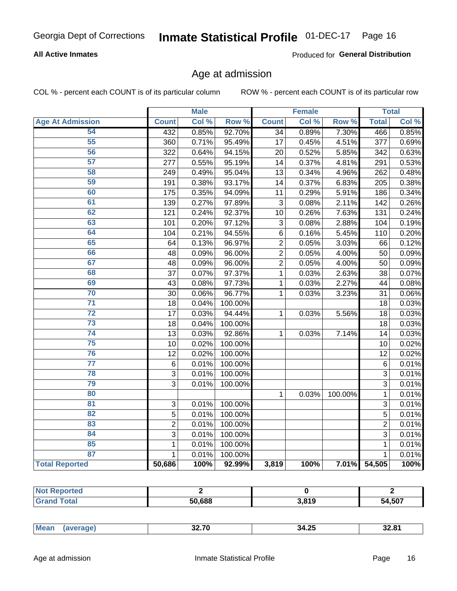# Inmate Statistical Profile 01-DEC-17 Page 16

### **All Active Inmates**

Produced for General Distribution

### Age at admission

COL % - percent each COUNT is of its particular column

|                         |                | <b>Male</b> |         |                | <b>Female</b> |         |                | <b>Total</b> |
|-------------------------|----------------|-------------|---------|----------------|---------------|---------|----------------|--------------|
| <b>Age At Admission</b> | <b>Count</b>   | Col %       | Row %   | <b>Count</b>   | Col %         | Row %   | <b>Total</b>   | Col %        |
| 54                      | 432            | 0.85%       | 92.70%  | 34             | 0.89%         | 7.30%   | 466            | 0.85%        |
| $\overline{55}$         | 360            | 0.71%       | 95.49%  | 17             | 0.45%         | 4.51%   | 377            | 0.69%        |
| 56                      | 322            | 0.64%       | 94.15%  | 20             | 0.52%         | 5.85%   | 342            | 0.63%        |
| $\overline{57}$         | 277            | 0.55%       | 95.19%  | 14             | 0.37%         | 4.81%   | 291            | 0.53%        |
| 58                      | 249            | 0.49%       | 95.04%  | 13             | 0.34%         | 4.96%   | 262            | 0.48%        |
| 59                      | 191            | 0.38%       | 93.17%  | 14             | 0.37%         | 6.83%   | 205            | 0.38%        |
| 60                      | 175            | 0.35%       | 94.09%  | 11             | 0.29%         | 5.91%   | 186            | 0.34%        |
| 61                      | 139            | 0.27%       | 97.89%  | 3              | 0.08%         | 2.11%   | 142            | 0.26%        |
| 62                      | 121            | 0.24%       | 92.37%  | 10             | 0.26%         | 7.63%   | 131            | 0.24%        |
| 63                      | 101            | 0.20%       | 97.12%  | 3              | 0.08%         | 2.88%   | 104            | 0.19%        |
| 64                      | 104            | 0.21%       | 94.55%  | 6              | 0.16%         | 5.45%   | 110            | 0.20%        |
| 65                      | 64             | 0.13%       | 96.97%  | $\overline{2}$ | 0.05%         | 3.03%   | 66             | 0.12%        |
| 66                      | 48             | 0.09%       | 96.00%  | $\overline{2}$ | 0.05%         | 4.00%   | 50             | 0.09%        |
| 67                      | 48             | 0.09%       | 96.00%  | $\overline{2}$ | 0.05%         | 4.00%   | 50             | 0.09%        |
| 68                      | 37             | 0.07%       | 97.37%  | 1              | 0.03%         | 2.63%   | 38             | 0.07%        |
| 69                      | 43             | 0.08%       | 97.73%  | 1              | 0.03%         | 2.27%   | 44             | 0.08%        |
| 70                      | 30             | 0.06%       | 96.77%  | 1              | 0.03%         | 3.23%   | 31             | 0.06%        |
| $\overline{71}$         | 18             | 0.04%       | 100.00% |                |               |         | 18             | 0.03%        |
| $\overline{72}$         | 17             | 0.03%       | 94.44%  | 1              | 0.03%         | 5.56%   | 18             | 0.03%        |
| $\overline{73}$         | 18             | 0.04%       | 100.00% |                |               |         | 18             | 0.03%        |
| $\overline{74}$         | 13             | 0.03%       | 92.86%  | 1              | 0.03%         | 7.14%   | 14             | 0.03%        |
| 75                      | 10             | 0.02%       | 100.00% |                |               |         | 10             | 0.02%        |
| 76                      | 12             | 0.02%       | 100.00% |                |               |         | 12             | 0.02%        |
| $\overline{77}$         | $\,6$          | 0.01%       | 100.00% |                |               |         | $6\phantom{1}$ | 0.01%        |
| 78                      | $\overline{3}$ | 0.01%       | 100.00% |                |               |         | $\overline{3}$ | 0.01%        |
| 79                      | $\overline{3}$ | 0.01%       | 100.00% |                |               |         | 3              | 0.01%        |
| 80                      |                |             |         | 1              | 0.03%         | 100.00% | 1              | 0.01%        |
| $\overline{81}$         | 3              | 0.01%       | 100.00% |                |               |         | 3              | 0.01%        |
| 82                      | 5              | 0.01%       | 100.00% |                |               |         | 5              | 0.01%        |
| 83                      | $\overline{2}$ | 0.01%       | 100.00% |                |               |         | $\overline{2}$ | 0.01%        |
| 84                      | 3              | 0.01%       | 100.00% |                |               |         | 3              | 0.01%        |
| 85                      | $\mathbf{1}$   | 0.01%       | 100.00% |                |               |         | 1              | 0.01%        |
| 87                      | $\mathbf{1}$   | 0.01%       | 100.00% |                |               |         | 1              | 0.01%        |
| <b>Total Reported</b>   | 50,686         | 100%        | 92.99%  | 3,819          | 100%          | 7.01%   | 54,505         | 100%         |

| EN COO<br>סי | 3,819 | 54,507 |
|--------------|-------|--------|

|  | Mear<br>. | 32 ZN<br>JL.I V | $\sim$ $\sim$<br>34.25 | 32.81 |
|--|-----------|-----------------|------------------------|-------|
|--|-----------|-----------------|------------------------|-------|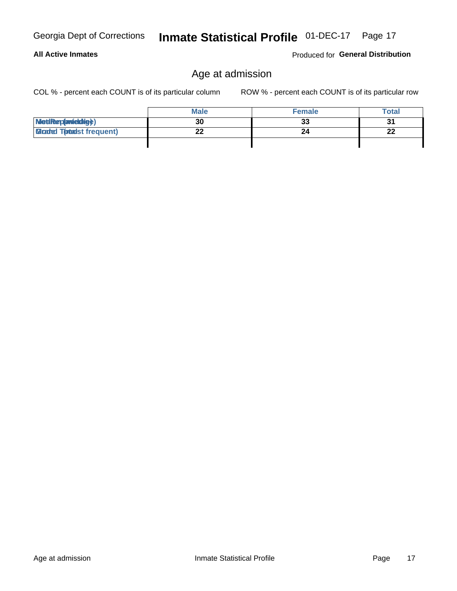ROW % - percent each COUNT is of its particular row

|                                  | <b>Male</b> | <b>Female</b> | Total     |
|----------------------------------|-------------|---------------|-----------|
| MetiRep(avieldig)                | 30          | 33            | 31        |
| <b>Micaded Tomadst frequent)</b> | ົ           | 24            | ne.<br>LL |
|                                  |             |               |           |

# **All Active Inmates**

Georgia Dept of Corrections

COL % - percent each COUNT is of its particular column

Produced for General Distribution

Age at admission

Inmate Statistical Profile 01-DEC-17 Page 17

Age at admission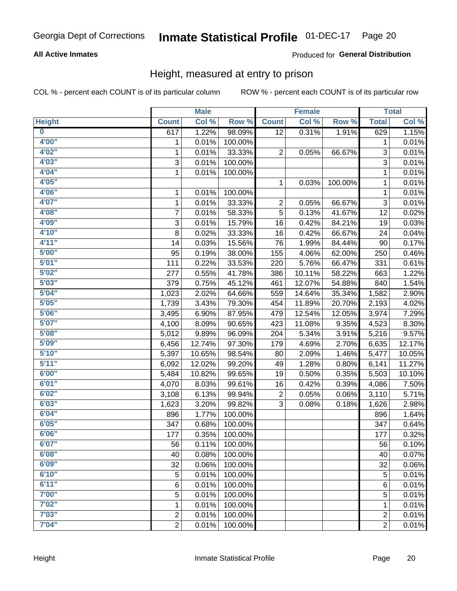# Inmate Statistical Profile 01-DEC-17 Page 20

### **All Active Inmates**

### Produced for General Distribution

### Height, measured at entry to prison

COL % - percent each COUNT is of its particular column

|                         |                | <b>Male</b> |         |              | <b>Female</b> |         |                | <b>Total</b>        |
|-------------------------|----------------|-------------|---------|--------------|---------------|---------|----------------|---------------------|
| <b>Height</b>           | <b>Count</b>   | Col %       | Row %   | <b>Count</b> | Col %         | Row %   | <b>Total</b>   | Col %               |
| $\overline{\mathbf{0}}$ | 617            | 1.22%       | 98.09%  | 12           | 0.31%         | 1.91%   | 629            | 1.15%               |
| 4'00"                   | 1              | 0.01%       | 100.00% |              |               |         | 1              | 0.01%               |
| 4'02"                   | $\mathbf{1}$   | 0.01%       | 33.33%  | 2            | 0.05%         | 66.67%  | 3              | 0.01%               |
| 4'03''                  | 3              | 0.01%       | 100.00% |              |               |         | $\overline{3}$ | 0.01%               |
| 4'04"                   | $\mathbf{1}$   | 0.01%       | 100.00% |              |               |         | 1              | 0.01%               |
| 4'05"                   |                |             |         | 1            | 0.03%         | 100.00% | $\mathbf{1}$   | 0.01%               |
| 4'06"                   | 1              | 0.01%       | 100.00% |              |               |         | 1              | 0.01%               |
| 4'07"                   | 1              | 0.01%       | 33.33%  | 2            | 0.05%         | 66.67%  | 3              | 0.01%               |
| 4'08"                   | $\overline{7}$ | 0.01%       | 58.33%  | 5            | 0.13%         | 41.67%  | 12             | 0.02%               |
| 4'09"                   | 3              | 0.01%       | 15.79%  | 16           | 0.42%         | 84.21%  | 19             | 0.03%               |
| 4'10"                   | 8              | 0.02%       | 33.33%  | 16           | 0.42%         | 66.67%  | 24             | 0.04%               |
| 4'11''                  | 14             | 0.03%       | 15.56%  | 76           | 1.99%         | 84.44%  | 90             | 0.17%               |
| 5'00''                  | 95             | 0.19%       | 38.00%  | 155          | 4.06%         | 62.00%  | 250            | 0.46%               |
| 5'01"                   | 111            | 0.22%       | 33.53%  | 220          | 5.76%         | 66.47%  | 331            | 0.61%               |
| 5'02"                   | 277            | 0.55%       | 41.78%  | 386          | 10.11%        | 58.22%  | 663            | 1.22%               |
| 5'03"                   | 379            | 0.75%       | 45.12%  | 461          | 12.07%        | 54.88%  | 840            | 1.54%               |
| 5'04"                   | 1,023          | 2.02%       | 64.66%  | 559          | 14.64%        | 35.34%  | 1,582          | 2.90%               |
| 5'05"                   | 1,739          | 3.43%       | 79.30%  | 454          | 11.89%        | 20.70%  | 2,193          | 4.02%               |
| 5'06''                  | 3,495          | 6.90%       | 87.95%  | 479          | 12.54%        | 12.05%  | 3,974          | 7.29%               |
| 5'07''                  | 4,100          | 8.09%       | 90.65%  | 423          | 11.08%        | 9.35%   | 4,523          | 8.30%               |
| 5'08''                  | 5,012          | 9.89%       | 96.09%  | 204          | 5.34%         | 3.91%   | 5,216          | 9.57%               |
| 5'09''                  | 6,456          | 12.74%      | 97.30%  | 179          | 4.69%         | 2.70%   | 6,635          | 12.17%              |
| 5'10''                  | 5,397          | 10.65%      | 98.54%  | 80           | 2.09%         | 1.46%   | 5,477          | 10.05%              |
| 5'11"                   | 6,092          | 12.02%      | 99.20%  | 49           | 1.28%         | 0.80%   | 6,141          | 11.27%              |
| 6'00''                  | 5,484          | 10.82%      | 99.65%  | 19           | 0.50%         | 0.35%   | 5,503          | 10.10%              |
| 6'01''                  | 4,070          | 8.03%       | 99.61%  | 16           | 0.42%         | 0.39%   | 4,086          | 7.50%               |
| 6'02"                   | 3,108          | 6.13%       | 99.94%  | 2            | 0.05%         | 0.06%   | 3,110          | 5.71%               |
| 6'03''                  | 1,623          | 3.20%       | 99.82%  | 3            | 0.08%         | 0.18%   | 1,626          | 2.98%               |
| 6'04"                   | 896            | 1.77%       | 100.00% |              |               |         | 896            | 1.64%               |
| 6'05"                   | 347            | 0.68%       | 100.00% |              |               |         | 347            | 0.64%               |
| 6'06"                   | 177            | 0.35%       | 100.00% |              |               |         | 177            | 0.32%               |
| 6'07"                   | 56             | 0.11%       | 100.00% |              |               |         | 56             | 0.10%               |
| 6'08''                  | 40             | 0.08%       | 100.00% |              |               |         | 40             | 0.07%               |
| 6'09''                  | 32             | 0.06%       | 100.00% |              |               |         | 32             | 0.06%               |
| 6'10''                  | 5              | 0.01%       | 100.00% |              |               |         | 5              | 0.01%               |
| 6'11''                  | 6              | 0.01%       | 100.00% |              |               |         | 6              | $\overline{0.01\%}$ |
| 7'00"                   | 5              | 0.01%       | 100.00% |              |               |         | 5              | 0.01%               |
| 7'02"                   | 1              | 0.01%       | 100.00% |              |               |         | 1              | 0.01%               |
| 7'03''                  | $\overline{c}$ | 0.01%       | 100.00% |              |               |         | $\overline{c}$ | 0.01%               |
| 7'04"                   | $\overline{2}$ | 0.01%       | 100.00% |              |               |         | $\overline{2}$ | $\overline{0.01\%}$ |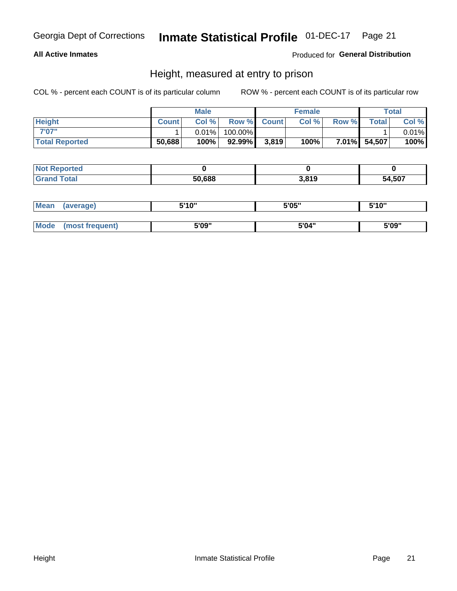# Inmate Statistical Profile 01-DEC-17 Page 21

### **All Active Inmates**

### Produced for General Distribution

### Height, measured at entry to prison

COL % - percent each COUNT is of its particular column

|                       |              | <b>Male</b> |         |             | <b>Female</b> |       |              | Total |
|-----------------------|--------------|-------------|---------|-------------|---------------|-------|--------------|-------|
| <b>Height</b>         | <b>Count</b> | Col %       |         | Row % Count | Col %         | Row % | <b>Total</b> | Col % |
| 7'07"                 |              | $0.01\%$    | 100.00% |             |               |       |              | 0.01% |
| <b>Total Reported</b> | 50,688       | 100%        | 92.99%  | 3,819       | 100%          |       | 7.01% 54,507 | 100%  |

| <b>Not Reported</b> |        |       |        |
|---------------------|--------|-------|--------|
| <b>Grand Total</b>  | 50.688 | 3,819 | 54,507 |

| <b>Mean</b> | (average)       | 5'10" | 5'05" | 5'10" |
|-------------|-----------------|-------|-------|-------|
|             |                 |       |       |       |
| Mode        | (most frequent) | 5'09" | 5'04" | 5'09" |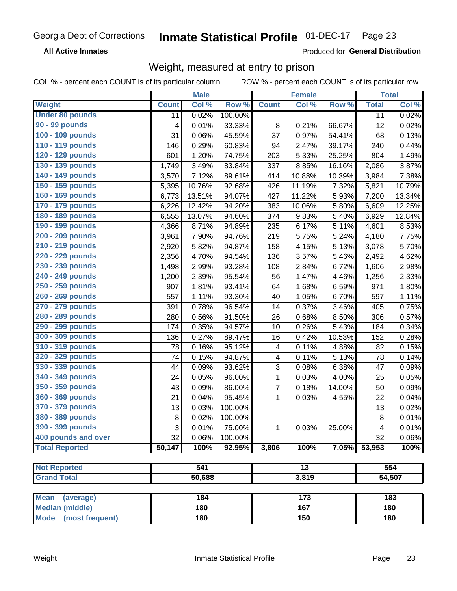#### Inmate Statistical Profile 01-DEC-17 Page 23

**All Active Inmates** 

Produced for General Distribution

### Weight, measured at entry to prison

COL % - percent each COUNT is of its particular column ROW % - percent each COUNT is of its particular row

|                                |              | <b>Male</b> |         |                          | <b>Female</b>   |        |              | <b>Total</b> |
|--------------------------------|--------------|-------------|---------|--------------------------|-----------------|--------|--------------|--------------|
| Weight                         | <b>Count</b> | Col %       | Row %   | <b>Count</b>             | Col %           | Row %  | <b>Total</b> | Col %        |
| <b>Under 80 pounds</b>         | 11           | 0.02%       | 100.00% |                          |                 |        | 11           | 0.02%        |
| 90 - 99 pounds                 | 4            | 0.01%       | 33.33%  | 8                        | 0.21%           | 66.67% | 12           | 0.02%        |
| 100 - 109 pounds               | 31           | 0.06%       | 45.59%  | 37                       | 0.97%           | 54.41% | 68           | 0.13%        |
| 110 - 119 pounds               | 146          | 0.29%       | 60.83%  | 94                       | 2.47%           | 39.17% | 240          | 0.44%        |
| 120 - 129 pounds               | 601          | 1.20%       | 74.75%  | 203                      | 5.33%           | 25.25% | 804          | 1.49%        |
| 130 - 139 pounds               | 1,749        | 3.49%       | 83.84%  | 337                      | 8.85%           | 16.16% | 2,086        | 3.87%        |
| 140 - 149 pounds               | 3,570        | 7.12%       | 89.61%  | 414                      | 10.88%          | 10.39% | 3,984        | 7.38%        |
| 150 - 159 pounds               | 5,395        | 10.76%      | 92.68%  | 426                      | 11.19%          | 7.32%  | 5,821        | 10.79%       |
| 160 - 169 pounds               | 6,773        | 13.51%      | 94.07%  | 427                      | 11.22%          | 5.93%  | 7,200        | 13.34%       |
| 170 - 179 pounds               | 6,226        | 12.42%      | 94.20%  | 383                      | 10.06%          | 5.80%  | 6,609        | 12.25%       |
| 180 - 189 pounds               | 6,555        | 13.07%      | 94.60%  | 374                      | 9.83%           | 5.40%  | 6,929        | 12.84%       |
| 190 - 199 pounds               | 4,366        | 8.71%       | 94.89%  | 235                      | 6.17%           | 5.11%  | 4,601        | 8.53%        |
| 200 - 209 pounds               | 3,961        | 7.90%       | 94.76%  | 219                      | 5.75%           | 5.24%  | 4,180        | 7.75%        |
| 210 - 219 pounds               | 2,920        | 5.82%       | 94.87%  | 158                      | 4.15%           | 5.13%  | 3,078        | 5.70%        |
| 220 - 229 pounds               | 2,356        | 4.70%       | 94.54%  | 136                      | 3.57%           | 5.46%  | 2,492        | 4.62%        |
| 230 - 239 pounds               | 1,498        | 2.99%       | 93.28%  | 108                      | 2.84%           | 6.72%  | 1,606        | 2.98%        |
| 240 - 249 pounds               | 1,200        | 2.39%       | 95.54%  | 56                       | 1.47%           | 4.46%  | 1,256        | 2.33%        |
| 250 - 259 pounds               | 907          | 1.81%       | 93.41%  | 64                       | 1.68%           | 6.59%  | 971          | 1.80%        |
| 260 - 269 pounds               | 557          | 1.11%       | 93.30%  | 40                       | 1.05%           | 6.70%  | 597          | 1.11%        |
| 270 - 279 pounds               | 391          | 0.78%       | 96.54%  | 14                       | 0.37%           | 3.46%  | 405          | 0.75%        |
| 280 - 289 pounds               | 280          | 0.56%       | 91.50%  | 26                       | 0.68%           | 8.50%  | 306          | 0.57%        |
| 290 - 299 pounds               | 174          | 0.35%       | 94.57%  | 10                       | 0.26%           | 5.43%  | 184          | 0.34%        |
| 300 - 309 pounds               | 136          | 0.27%       | 89.47%  | 16                       | 0.42%           | 10.53% | 152          | 0.28%        |
| 310 - 319 pounds               | 78           | 0.16%       | 95.12%  | $\overline{\mathcal{A}}$ | 0.11%           | 4.88%  | 82           | 0.15%        |
| 320 - 329 pounds               | 74           | 0.15%       | 94.87%  | $\overline{\mathcal{A}}$ | 0.11%           | 5.13%  | 78           | 0.14%        |
| 330 - 339 pounds               | 44           | 0.09%       | 93.62%  | 3                        | 0.08%           | 6.38%  | 47           | 0.09%        |
| 340 - 349 pounds               | 24           | 0.05%       | 96.00%  | 1                        | 0.03%           | 4.00%  | 25           | 0.05%        |
| 350 - 359 pounds               | 43           | 0.09%       | 86.00%  | $\overline{7}$           | 0.18%           | 14.00% | 50           | 0.09%        |
| 360 - 369 pounds               | 21           | 0.04%       | 95.45%  | 1                        | 0.03%           | 4.55%  | 22           | 0.04%        |
| 370 - 379 pounds               | 13           | 0.03%       | 100.00% |                          |                 |        | 13           | 0.02%        |
| 380 - 389 pounds               | 8            | 0.02%       | 100.00% |                          |                 |        | $\, 8$       | 0.01%        |
| 390 - 399 pounds               | 3            | 0.01%       | 75.00%  | $\mathbf{1}$             | 0.03%           | 25.00% | 4            | 0.01%        |
| 400 pounds and over            | 32           | 0.06%       | 100.00% |                          |                 |        | 32           | 0.06%        |
| <b>Total Reported</b>          | 50,147       | 100%        | 92.95%  | 3,806                    | 100%            | 7.05%  | 53,953       | 100%         |
|                                |              |             |         |                          |                 |        |              |              |
| <b>Not Reported</b>            |              | 541         |         |                          | $\overline{13}$ |        |              | 554          |
| <b>Grand Total</b>             |              | 50,688      |         |                          | 3,819           |        |              | 54,507       |
| <b>Mean</b><br>(average)       |              | 184         |         |                          | 173             |        |              | 183          |
| <b>Median (middle)</b>         |              | 180         |         |                          | 167             |        |              | 180          |
| <b>Mode</b><br>(most frequent) |              | 180         |         |                          | 150             |        |              | 180          |
|                                |              |             |         |                          |                 |        |              |              |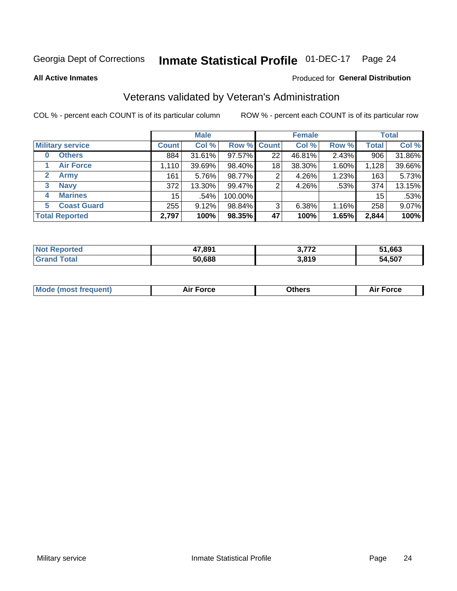#### **Inmate Statistical Profile 01-DEC-17** Page 24

**All Active Inmates** 

### Produced for General Distribution

### Veterans validated by Veteran's Administration

COL % - percent each COUNT is of its particular column

|                             |                 | <b>Male</b> |                    |    | <b>Female</b> |          |              | <b>Total</b> |
|-----------------------------|-----------------|-------------|--------------------|----|---------------|----------|--------------|--------------|
| <b>Military service</b>     | <b>Count</b>    | Col %       | <b>Row % Count</b> |    | Col %         | Row %    | <b>Total</b> | Col %        |
| <b>Others</b><br>0          | 884             | 31.61%      | 97.57%             | 22 | 46.81%        | 2.43%    | 906          | 31.86%       |
| <b>Air Force</b>            | 1,110           | 39.69%      | 98.40%             | 18 | 38.30%        | 1.60%    | 1,128        | 39.66%       |
| $\mathbf{2}$<br><b>Army</b> | 161             | 5.76%       | 98.77%             | 2  | 4.26%         | 1.23%    | 163          | 5.73%        |
| <b>Navy</b><br>3            | 372             | 13.30%      | 99.47%             | 2  | 4.26%         | .53%     | 374          | 13.15%       |
| <b>Marines</b><br>4         | 15 <sup>1</sup> | .54%        | 100.00%            |    |               |          | 15           | .53%         |
| <b>Coast Guard</b><br>5.    | 255             | 9.12%       | 98.84%             | 3  | 6.38%         | $1.16\%$ | 258          | 9.07%        |
| <b>Total Reported</b>       | 2,797           | 100%        | 98.35%             | 47 | 100%          | 1.65%    | 2,844        | 100%         |

| ported<br><b>NOT</b> | 17,891 | ^ מדי | 51,663 |
|----------------------|--------|-------|--------|
| <b>ota</b>           | 50,688 | 3,819 | 54,507 |

|  |  | <b>Mode (most frequent)</b> | <b>Force</b><br>Aır | วthers | orce |
|--|--|-----------------------------|---------------------|--------|------|
|--|--|-----------------------------|---------------------|--------|------|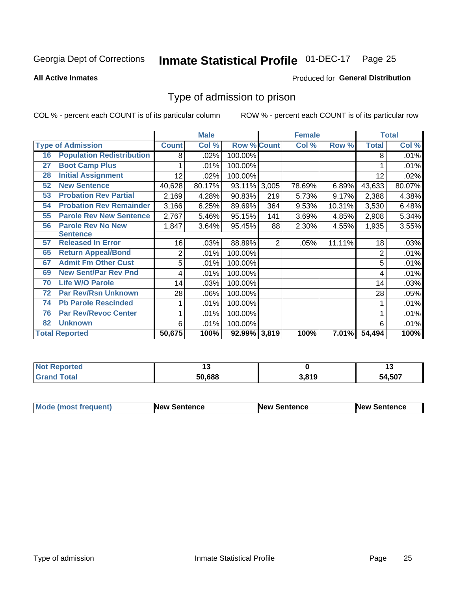#### **Inmate Statistical Profile 01-DEC-17** Page 25

#### **All Active Inmates**

### Produced for General Distribution

### Type of admission to prison

COL % - percent each COUNT is of its particular column

|    |                                  |                | <b>Male</b> |                    |     | <b>Female</b> |          |                | <b>Total</b> |
|----|----------------------------------|----------------|-------------|--------------------|-----|---------------|----------|----------------|--------------|
|    | <b>Type of Admission</b>         | <b>Count</b>   | Col %       | <b>Row % Count</b> |     | Col %         | Row %    | <b>Total</b>   | Col %        |
| 16 | <b>Population Redistribution</b> | 8              | .02%        | 100.00%            |     |               |          | 8              | .01%         |
| 27 | <b>Boot Camp Plus</b>            |                | .01%        | 100.00%            |     |               |          |                | .01%         |
| 28 | <b>Initial Assignment</b>        | 12             | $.02\%$     | 100.00%            |     |               |          | 12             | .02%         |
| 52 | <b>New Sentence</b>              | 40,628         | 80.17%      | 93.11% 3,005       |     | 78.69%        | 6.89%    | 43,633         | 80.07%       |
| 53 | <b>Probation Rev Partial</b>     | 2,169          | 4.28%       | 90.83%             | 219 | 5.73%         | 9.17%    | 2,388          | 4.38%        |
| 54 | <b>Probation Rev Remainder</b>   | 3,166          | 6.25%       | 89.69%             | 364 | 9.53%         | 10.31%   | 3,530          | 6.48%        |
| 55 | <b>Parole Rev New Sentence</b>   | 2,767          | 5.46%       | 95.15%             | 141 | 3.69%         | 4.85%    | 2,908          | 5.34%        |
| 56 | <b>Parole Rev No New</b>         | 1,847          | 3.64%       | 95.45%             | 88  | 2.30%         | 4.55%    | 1,935          | 3.55%        |
|    | <b>Sentence</b>                  |                |             |                    |     |               |          |                |              |
| 57 | <b>Released In Error</b>         | 16             | .03%        | 88.89%             | 2   | .05%          | 11.11%   | 18             | .03%         |
| 65 | <b>Return Appeal/Bond</b>        | $\overline{2}$ | .01%        | 100.00%            |     |               |          | $\overline{2}$ | .01%         |
| 67 | <b>Admit Fm Other Cust</b>       | 5              | .01%        | 100.00%            |     |               |          | 5              | .01%         |
| 69 | <b>New Sent/Par Rev Pnd</b>      | 4              | .01%        | 100.00%            |     |               |          | 4              | .01%         |
| 70 | <b>Life W/O Parole</b>           | 14             | .03%        | 100.00%            |     |               |          | 14             | .03%         |
| 72 | <b>Par Rev/Rsn Unknown</b>       | 28             | .06%        | 100.00%            |     |               |          | 28             | .05%         |
| 74 | <b>Pb Parole Rescinded</b>       | 1              | .01%        | 100.00%            |     |               |          |                | .01%         |
| 76 | <b>Par Rev/Revoc Center</b>      | 1              | .01%        | 100.00%            |     |               |          |                | .01%         |
| 82 | <b>Unknown</b>                   | 6              | .01%        | 100.00%            |     |               |          | 6              | .01%         |
|    | <b>Total Reported</b>            | 50,675         | 100%        | 92.99% 3,819       |     | 100%          | $7.01\%$ | 54,494         | 100%         |

| <b>Not</b><br>rted |        |       |              |
|--------------------|--------|-------|--------------|
| int                | 50,688 | 3.819 | 4,507<br>54. |

| <b>Mode (most frequent)</b> | New Sentence | <b>New Sentence</b> | <b>New Sentence</b> |
|-----------------------------|--------------|---------------------|---------------------|
|                             |              |                     |                     |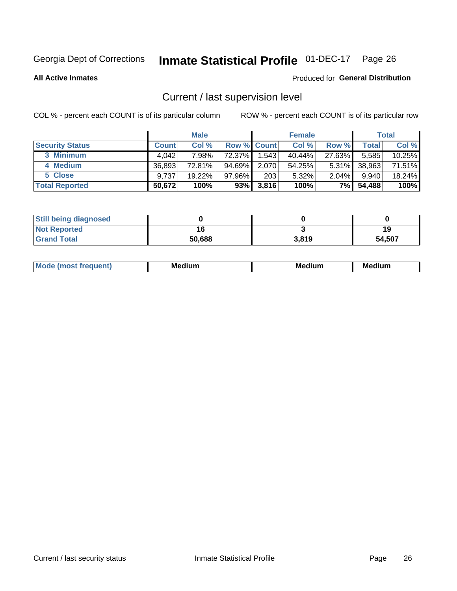# Inmate Statistical Profile 01-DEC-17 Page 26

**All Active Inmates** 

### Produced for General Distribution

### Current / last supervision level

COL % - percent each COUNT is of its particular column

|                        |              | <b>Male</b> |                    |       | <b>Female</b> |          |        | <b>Total</b> |
|------------------------|--------------|-------------|--------------------|-------|---------------|----------|--------|--------------|
| <b>Security Status</b> | <b>Count</b> | Col %       | <b>Row % Count</b> |       | Col %         | Row %    | Total  | Col %        |
| 3 Minimum              | 4.042        | 7.98%       | 72.37%             | 1,543 | 40.44%        | 27.63%   | 5,585  | 10.25%       |
| 4 Medium               | 36,893       | 72.81%      | 94.69%             | 2,070 | 54.25%        | $5.31\%$ | 38,963 | 71.51%       |
| 5 Close                | 9,737        | 19.22%      | 97.96%             | 203   | 5.32%         | 2.04%    | 9.940  | 18.24%       |
| <b>Total Reported</b>  | 50,672       | 100%        | 93%                | 3,816 | 100%          | 7%       | 54,488 | 100%         |

| <b>Still being diagnosed</b> |        |       |        |
|------------------------------|--------|-------|--------|
| <b>Not Reported</b>          |        |       | 19     |
| <b>Grand Total</b>           | 50,688 | 3,819 | 54,507 |

| M | M | . . |
|---|---|-----|
|   |   |     |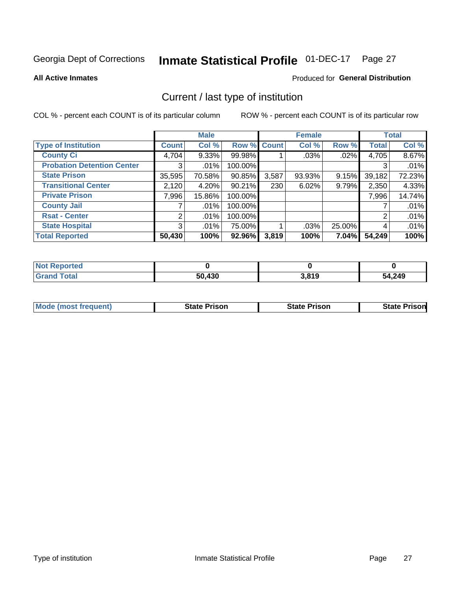# Inmate Statistical Profile 01-DEC-17 Page 27

**All Active Inmates** 

### Produced for General Distribution

### Current / last type of institution

COL % - percent each COUNT is of its particular column

|                                   |                | <b>Male</b> |             |       | <b>Female</b> |        |              | <b>Total</b> |
|-----------------------------------|----------------|-------------|-------------|-------|---------------|--------|--------------|--------------|
| <b>Type of Institution</b>        | <b>Count</b>   | Col %       | Row % Count |       | Col %         | Row %  | <b>Total</b> | Col %        |
| <b>County Ci</b>                  | 4,704          | $9.33\%$    | 99.98%      |       | .03%          | .02%   | 4,705        | 8.67%        |
| <b>Probation Detention Center</b> | 3.             | .01%        | 100.00%     |       |               |        | 3            | .01%         |
| <b>State Prison</b>               | 35,595         | 70.58%      | $90.85\%$   | 3,587 | 93.93%        | 9.15%  | 39,182       | 72.23%       |
| <b>Transitional Center</b>        | 2,120          | 4.20%       | 90.21%      | 230   | 6.02%         | 9.79%  | 2,350        | 4.33%        |
| <b>Private Prison</b>             | 7,996          | 15.86%      | 100.00%     |       |               |        | 7,996        | 14.74%       |
| <b>County Jail</b>                |                | .01%        | 100.00%     |       |               |        |              | .01%         |
| <b>Rsat - Center</b>              | $\overline{2}$ | $.01\%$     | 100.00%     |       |               |        | 2            | .01%         |
| <b>State Hospital</b>             | 3 <sup>1</sup> | $.01\%$     | 75.00%      |       | .03%          | 25.00% | 4            | .01%         |
| <b>Total Reported</b>             | 50,430         | 100%        | 92.96%      | 3,819 | 100%          | 7.04%  | 54,249       | 100%         |

| <b>Not Reported</b> |        |       |        |
|---------------------|--------|-------|--------|
| <b>Grand Total</b>  | 50,430 | 3,819 | 54,249 |

| Mode (most frequent) | <b>State Prison</b> | <b>State Prison</b> | <b>State Prisonl</b> |
|----------------------|---------------------|---------------------|----------------------|
|                      |                     |                     |                      |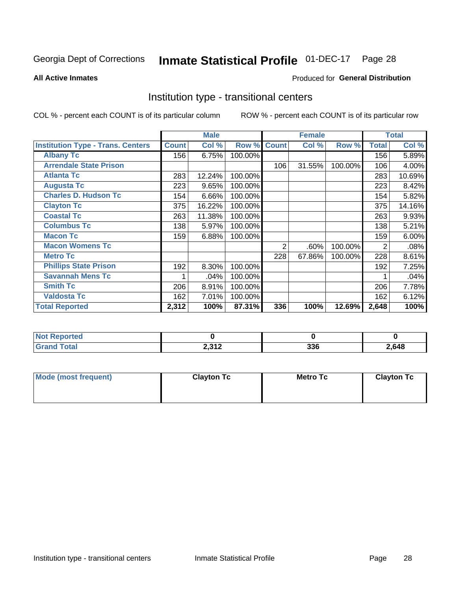# Inmate Statistical Profile 01-DEC-17 Page 28

#### **All Active Inmates**

### Produced for General Distribution

### Institution type - transitional centers

COL % - percent each COUNT is of its particular column

|                                          |              | <b>Male</b> |         |              | <b>Female</b> |         |              | <b>Total</b> |
|------------------------------------------|--------------|-------------|---------|--------------|---------------|---------|--------------|--------------|
| <b>Institution Type - Trans. Centers</b> | <b>Count</b> | Col %       | Row %   | <b>Count</b> | Col %         | Row %   | <b>Total</b> | Col %        |
| <b>Albany Tc</b>                         | 156          | 6.75%       | 100.00% |              |               |         | 156          | 5.89%        |
| <b>Arrendale State Prison</b>            |              |             |         | 106          | 31.55%        | 100.00% | 106          | 4.00%        |
| <b>Atlanta Tc</b>                        | 283          | 12.24%      | 100.00% |              |               |         | 283          | 10.69%       |
| <b>Augusta Tc</b>                        | 223          | 9.65%       | 100.00% |              |               |         | 223          | 8.42%        |
| <b>Charles D. Hudson Tc</b>              | 154          | 6.66%       | 100.00% |              |               |         | 154          | 5.82%        |
| <b>Clayton Tc</b>                        | 375          | 16.22%      | 100.00% |              |               |         | 375          | 14.16%       |
| <b>Coastal Tc</b>                        | 263          | 11.38%      | 100.00% |              |               |         | 263          | 9.93%        |
| <b>Columbus Tc</b>                       | 138          | 5.97%       | 100.00% |              |               |         | 138          | 5.21%        |
| <b>Macon Tc</b>                          | 159          | 6.88%       | 100.00% |              |               |         | 159          | 6.00%        |
| <b>Macon Womens Tc</b>                   |              |             |         | 2            | .60%          | 100.00% | 2            | .08%         |
| <b>Metro Tc</b>                          |              |             |         | 228          | 67.86%        | 100.00% | 228          | 8.61%        |
| <b>Phillips State Prison</b>             | 192          | 8.30%       | 100.00% |              |               |         | 192          | 7.25%        |
| <b>Savannah Mens Tc</b>                  |              | .04%        | 100.00% |              |               |         |              | .04%         |
| <b>Smith Tc</b>                          | 206          | 8.91%       | 100.00% |              |               |         | 206          | 7.78%        |
| <b>Valdosta Tc</b>                       | 162          | 7.01%       | 100.00% |              |               |         | 162          | 6.12%        |
| <b>Total Reported</b>                    | 2,312        | 100%        | 87.31%  | 336          | 100%          | 12.69%  | 2,648        | 100%         |

| τeα |                        |                   |       |
|-----|------------------------|-------------------|-------|
|     | <b>2212</b><br>4,0 I 4 | <b>220</b><br>აათ | 2,648 |

| Mode (most frequent) | <b>Clayton Tc</b> | <b>Metro Tc</b> | <b>Clayton Tc</b> |
|----------------------|-------------------|-----------------|-------------------|
|                      |                   |                 |                   |
|                      |                   |                 |                   |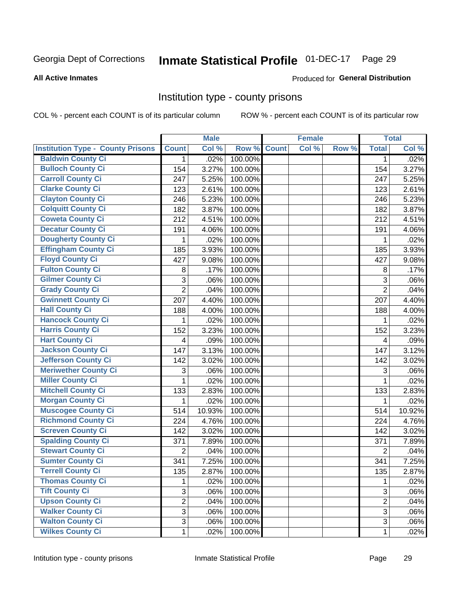# Inmate Statistical Profile 01-DEC-17 Page 29

#### **All Active Inmates**

### **Produced for General Distribution**

### Institution type - county prisons

COL % - percent each COUNT is of its particular column

|                                          |                | <b>Male</b> |         |              | <b>Female</b> |       |                | <b>Total</b> |
|------------------------------------------|----------------|-------------|---------|--------------|---------------|-------|----------------|--------------|
| <b>Institution Type - County Prisons</b> | <b>Count</b>   | Col %       | Row %   | <b>Count</b> | Col %         | Row % | <b>Total</b>   | Col %        |
| <b>Baldwin County Ci</b>                 | $\mathbf{1}$   | .02%        | 100.00% |              |               |       | 1              | .02%         |
| <b>Bulloch County Ci</b>                 | 154            | 3.27%       | 100.00% |              |               |       | 154            | 3.27%        |
| <b>Carroll County Ci</b>                 | 247            | 5.25%       | 100.00% |              |               |       | 247            | 5.25%        |
| <b>Clarke County Ci</b>                  | 123            | 2.61%       | 100.00% |              |               |       | 123            | 2.61%        |
| <b>Clayton County Ci</b>                 | 246            | 5.23%       | 100.00% |              |               |       | 246            | 5.23%        |
| <b>Colquitt County Ci</b>                | 182            | 3.87%       | 100.00% |              |               |       | 182            | 3.87%        |
| <b>Coweta County Ci</b>                  | 212            | 4.51%       | 100.00% |              |               |       | 212            | 4.51%        |
| <b>Decatur County Ci</b>                 | 191            | 4.06%       | 100.00% |              |               |       | 191            | 4.06%        |
| <b>Dougherty County Ci</b>               | 1              | .02%        | 100.00% |              |               |       | $\mathbf{1}$   | .02%         |
| <b>Effingham County Ci</b>               | 185            | 3.93%       | 100.00% |              |               |       | 185            | 3.93%        |
| <b>Floyd County Ci</b>                   | 427            | 9.08%       | 100.00% |              |               |       | 427            | 9.08%        |
| <b>Fulton County Ci</b>                  | 8              | .17%        | 100.00% |              |               |       | 8              | .17%         |
| <b>Gilmer County Ci</b>                  | 3              | .06%        | 100.00% |              |               |       | 3              | .06%         |
| <b>Grady County Ci</b>                   | $\overline{2}$ | .04%        | 100.00% |              |               |       | $\overline{2}$ | .04%         |
| <b>Gwinnett County Ci</b>                | 207            | 4.40%       | 100.00% |              |               |       | 207            | 4.40%        |
| <b>Hall County Ci</b>                    | 188            | 4.00%       | 100.00% |              |               |       | 188            | 4.00%        |
| <b>Hancock County Ci</b>                 | 1              | .02%        | 100.00% |              |               |       | $\mathbf{1}$   | .02%         |
| <b>Harris County Ci</b>                  | 152            | 3.23%       | 100.00% |              |               |       | 152            | 3.23%        |
| <b>Hart County Ci</b>                    | 4              | .09%        | 100.00% |              |               |       | $\overline{4}$ | .09%         |
| <b>Jackson County Ci</b>                 | 147            | 3.13%       | 100.00% |              |               |       | 147            | 3.12%        |
| Jefferson County Ci                      | 142            | 3.02%       | 100.00% |              |               |       | 142            | 3.02%        |
| <b>Meriwether County Ci</b>              | 3              | .06%        | 100.00% |              |               |       | 3              | .06%         |
| <b>Miller County Ci</b>                  | 1              | .02%        | 100.00% |              |               |       | $\mathbf{1}$   | .02%         |
| <b>Mitchell County Ci</b>                | 133            | 2.83%       | 100.00% |              |               |       | 133            | 2.83%        |
| <b>Morgan County Ci</b>                  | 1              | .02%        | 100.00% |              |               |       | $\mathbf{1}$   | .02%         |
| <b>Muscogee County Ci</b>                | 514            | 10.93%      | 100.00% |              |               |       | 514            | 10.92%       |
| <b>Richmond County Ci</b>                | 224            | 4.76%       | 100.00% |              |               |       | 224            | 4.76%        |
| <b>Screven County Ci</b>                 | 142            | 3.02%       | 100.00% |              |               |       | 142            | 3.02%        |
| <b>Spalding County Ci</b>                | 371            | 7.89%       | 100.00% |              |               |       | 371            | 7.89%        |
| <b>Stewart County Ci</b>                 | $\overline{2}$ | .04%        | 100.00% |              |               |       | $\overline{2}$ | .04%         |
| <b>Sumter County Ci</b>                  | 341            | 7.25%       | 100.00% |              |               |       | 341            | 7.25%        |
| Terrell County Ci                        | 135            | 2.87%       | 100.00% |              |               |       | 135            | 2.87%        |
| <b>Thomas County Ci</b>                  | 1              | .02%        | 100.00% |              |               |       | 1              | .02%         |
| <b>Tift County Ci</b>                    | 3              | .06%        | 100.00% |              |               |       | 3              | .06%         |
| <b>Upson County Ci</b>                   | $\overline{2}$ | .04%        | 100.00% |              |               |       | $\overline{2}$ | .04%         |
| <b>Walker County Ci</b>                  | $\overline{3}$ | .06%        | 100.00% |              |               |       | 3              | .06%         |
| <b>Walton County Ci</b>                  | 3              | .06%        | 100.00% |              |               |       | 3              | .06%         |
| <b>Wilkes County Ci</b>                  | 1              | .02%        | 100.00% |              |               |       | 1              | .02%         |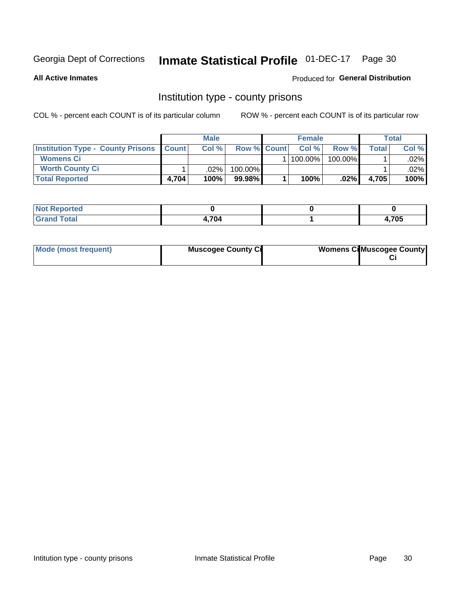# Inmate Statistical Profile 01-DEC-17 Page 30

**All Active Inmates** 

### **Produced for General Distribution**

### Institution type - county prisons

COL % - percent each COUNT is of its particular column

|                                                    |       | <b>Male</b> |                    | <b>Female</b> |         |       | <b>Total</b> |
|----------------------------------------------------|-------|-------------|--------------------|---------------|---------|-------|--------------|
| <b>Institution Type - County Prisons   Count  </b> |       | Col %       | <b>Row % Count</b> | Col%          | Row %   | Total | Col %        |
| <b>Womens Ci</b>                                   |       |             |                    | $ 100.00\% $  | 100.00% |       | $.02\%$      |
| <b>Worth County Ci</b>                             |       | $.02\%$     | 100.00%            |               |         |       | $.02\%$      |
| <b>Total Reported</b>                              | 4,704 | 100%        | $99.98\%$          | 100%          | .02%    | 4.705 | 100%         |

| ported<br><b>NOT</b> |      |       |
|----------------------|------|-------|
| 'otal                | .704 | 4,705 |

| Mode (most frequent) | <b>Muscogee County Ci</b> | <b>Womens Cil Muscogee County</b> |  |
|----------------------|---------------------------|-----------------------------------|--|
|----------------------|---------------------------|-----------------------------------|--|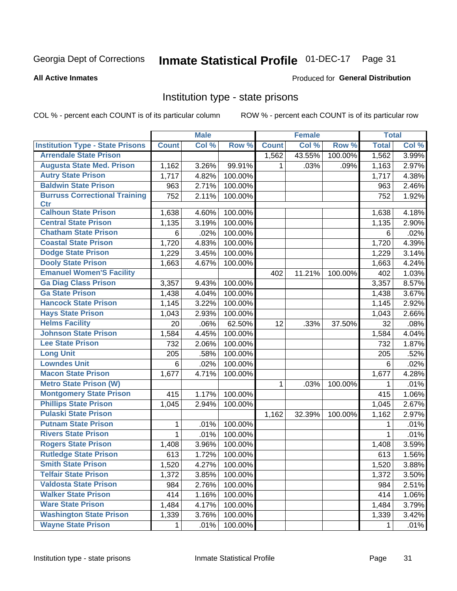# Inmate Statistical Profile 01-DEC-17 Page 31

#### **All Active Inmates**

### Produced for General Distribution

### Institution type - state prisons

COL % - percent each COUNT is of its particular column

|                                         |              | <b>Male</b> |         |              | <b>Female</b> |         | <b>Total</b> |       |
|-----------------------------------------|--------------|-------------|---------|--------------|---------------|---------|--------------|-------|
| <b>Institution Type - State Prisons</b> | <b>Count</b> | Col %       | Row %   | <b>Count</b> | Col %         | Row %   | <b>Total</b> | Col % |
| <b>Arrendale State Prison</b>           |              |             |         | 1,562        | 43.55%        | 100.00% | 1,562        | 3.99% |
| <b>Augusta State Med. Prison</b>        | 1,162        | 3.26%       | 99.91%  | 1.           | .03%          | .09%    | 1,163        | 2.97% |
| <b>Autry State Prison</b>               | 1,717        | 4.82%       | 100.00% |              |               |         | 1,717        | 4.38% |
| <b>Baldwin State Prison</b>             | 963          | 2.71%       | 100.00% |              |               |         | 963          | 2.46% |
| <b>Burruss Correctional Training</b>    | 752          | 2.11%       | 100.00% |              |               |         | 752          | 1.92% |
| <b>Ctr</b>                              |              |             |         |              |               |         |              |       |
| <b>Calhoun State Prison</b>             | 1,638        | 4.60%       | 100.00% |              |               |         | 1,638        | 4.18% |
| <b>Central State Prison</b>             | 1,135        | 3.19%       | 100.00% |              |               |         | 1,135        | 2.90% |
| <b>Chatham State Prison</b>             | 6            | .02%        | 100.00% |              |               |         | 6            | .02%  |
| <b>Coastal State Prison</b>             | 1,720        | 4.83%       | 100.00% |              |               |         | 1,720        | 4.39% |
| <b>Dodge State Prison</b>               | 1,229        | 3.45%       | 100.00% |              |               |         | 1,229        | 3.14% |
| <b>Dooly State Prison</b>               | 1,663        | 4.67%       | 100.00% |              |               |         | 1,663        | 4.24% |
| <b>Emanuel Women'S Facility</b>         |              |             |         | 402          | 11.21%        | 100.00% | 402          | 1.03% |
| <b>Ga Diag Class Prison</b>             | 3,357        | 9.43%       | 100.00% |              |               |         | 3,357        | 8.57% |
| <b>Ga State Prison</b>                  | 1,438        | 4.04%       | 100.00% |              |               |         | 1,438        | 3.67% |
| <b>Hancock State Prison</b>             | 1,145        | 3.22%       | 100.00% |              |               |         | 1,145        | 2.92% |
| <b>Hays State Prison</b>                | 1,043        | 2.93%       | 100.00% |              |               |         | 1,043        | 2.66% |
| <b>Helms Facility</b>                   | 20           | .06%        | 62.50%  | 12           | .33%          | 37.50%  | 32           | .08%  |
| <b>Johnson State Prison</b>             | 1,584        | 4.45%       | 100.00% |              |               |         | 1,584        | 4.04% |
| <b>Lee State Prison</b>                 | 732          | 2.06%       | 100.00% |              |               |         | 732          | 1.87% |
| <b>Long Unit</b>                        | 205          | .58%        | 100.00% |              |               |         | 205          | .52%  |
| <b>Lowndes Unit</b>                     | 6            | .02%        | 100.00% |              |               |         | 6            | .02%  |
| <b>Macon State Prison</b>               | 1,677        | 4.71%       | 100.00% |              |               |         | 1,677        | 4.28% |
| <b>Metro State Prison (W)</b>           |              |             |         | 1            | .03%          | 100.00% | 1            | .01%  |
| <b>Montgomery State Prison</b>          | 415          | 1.17%       | 100.00% |              |               |         | 415          | 1.06% |
| <b>Phillips State Prison</b>            | 1,045        | 2.94%       | 100.00% |              |               |         | 1,045        | 2.67% |
| <b>Pulaski State Prison</b>             |              |             |         | 1,162        | 32.39%        | 100.00% | 1,162        | 2.97% |
| <b>Putnam State Prison</b>              | 1            | .01%        | 100.00% |              |               |         | 1            | .01%  |
| <b>Rivers State Prison</b>              | $\mathbf{1}$ | .01%        | 100.00% |              |               |         | 1            | .01%  |
| <b>Rogers State Prison</b>              | 1,408        | 3.96%       | 100.00% |              |               |         | 1,408        | 3.59% |
| <b>Rutledge State Prison</b>            | 613          | 1.72%       | 100.00% |              |               |         | 613          | 1.56% |
| <b>Smith State Prison</b>               | 1,520        | 4.27%       | 100.00% |              |               |         | 1,520        | 3.88% |
| <b>Telfair State Prison</b>             | 1,372        | 3.85%       | 100.00% |              |               |         | 1,372        | 3.50% |
| <b>Valdosta State Prison</b>            | 984          | 2.76%       | 100.00% |              |               |         | 984          | 2.51% |
| <b>Walker State Prison</b>              | 414          | 1.16%       | 100.00% |              |               |         | 414          | 1.06% |
| <b>Ware State Prison</b>                | 1,484        | 4.17%       | 100.00% |              |               |         | 1,484        | 3.79% |
| <b>Washington State Prison</b>          | 1,339        | 3.76%       | 100.00% |              |               |         | 1,339        | 3.42% |
| <b>Wayne State Prison</b>               | 1            | .01%        | 100.00% |              |               |         | 1            | .01%  |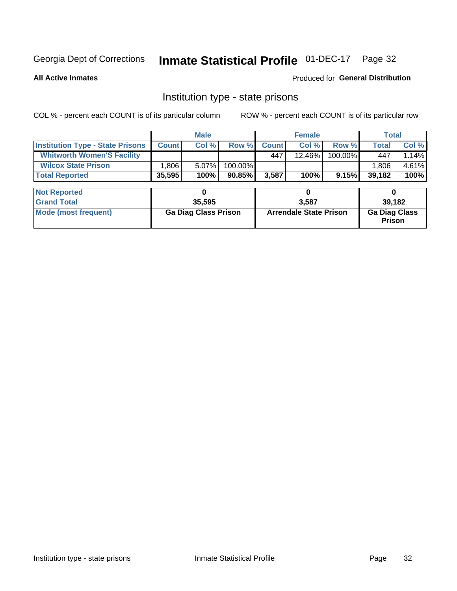# Inmate Statistical Profile 01-DEC-17 Page 32

**All Active Inmates** 

Produced for General Distribution

### Institution type - state prisons

COL % - percent each COUNT is of its particular column ROW % - percent each COUNT is of its particular row

|                                         |                             | <b>Male</b> |                               |              | <b>Female</b>                         |         | <b>Total</b> |       |
|-----------------------------------------|-----------------------------|-------------|-------------------------------|--------------|---------------------------------------|---------|--------------|-------|
| <b>Institution Type - State Prisons</b> | <b>Count</b>                | Col %       | Row %                         | <b>Count</b> | Col %                                 | Row %   | <b>Total</b> | Col % |
| <b>Whitworth Women'S Facility</b>       |                             |             |                               | 447          | 12.46%                                | 100.00% | 447          | 1.14% |
| <b>Wilcox State Prison</b>              | .806                        | 5.07%       | 100.00%                       |              |                                       |         | 1,806        | 4.61% |
| <b>Total Reported</b>                   | 35,595                      | 100%        | $90.85\%$                     | 3,587        | 100%                                  | 9.15%   | 39,182       | 100%  |
|                                         |                             |             |                               |              |                                       |         |              |       |
| <b>Not Reported</b>                     |                             | 0           |                               |              | 0                                     |         | 0            |       |
| <b>Grand Total</b>                      |                             | 35,595      |                               |              | 3,587                                 |         | 39,182       |       |
| <b>Mode (most frequent)</b>             | <b>Ga Diag Class Prison</b> |             | <b>Arrendale State Prison</b> |              | <b>Ga Diag Class</b><br><b>Prison</b> |         |              |       |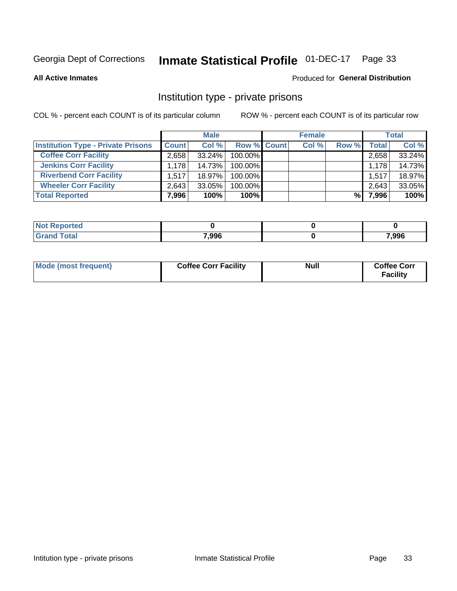# Inmate Statistical Profile 01-DEC-17 Page 33

**All Active Inmates** 

### Produced for General Distribution

### Institution type - private prisons

COL % - percent each COUNT is of its particular column

|                                           |              | <b>Male</b> |                    | <b>Female</b> |       |       | <b>Total</b> |
|-------------------------------------------|--------------|-------------|--------------------|---------------|-------|-------|--------------|
| <b>Institution Type - Private Prisons</b> | <b>Count</b> | Col %       | <b>Row % Count</b> | Col %         | Row % | Total | Col %        |
| <b>Coffee Corr Facility</b>               | 2.658        | $33.24\%$   | 100.00%            |               |       | 2,658 | 33.24%       |
| <b>Jenkins Corr Facility</b>              | 1,178        | 14.73%      | 100.00%            |               |       | 1.178 | 14.73%       |
| <b>Riverbend Corr Facility</b>            | 1.517        | 18.97%      | 100.00%            |               |       | 1,517 | 18.97%       |
| <b>Wheeler Corr Facility</b>              | 2,643        | $33.05\%$   | 100.00%            |               |       | 2,643 | 33.05%       |
| <b>Total Reported</b>                     | 7,996        | 100%        | $100\%$            |               | %     | 7,996 | 100%         |

| <b>Not</b><br>' Reported |       |       |
|--------------------------|-------|-------|
| <b>Total</b>             | 7,996 | 7,996 |

| Mode (most frequent) | <b>Coffee Corr Facility</b> | <b>Null</b> | <b>Coffee Corr</b><br><b>Facility</b> |
|----------------------|-----------------------------|-------------|---------------------------------------|
|----------------------|-----------------------------|-------------|---------------------------------------|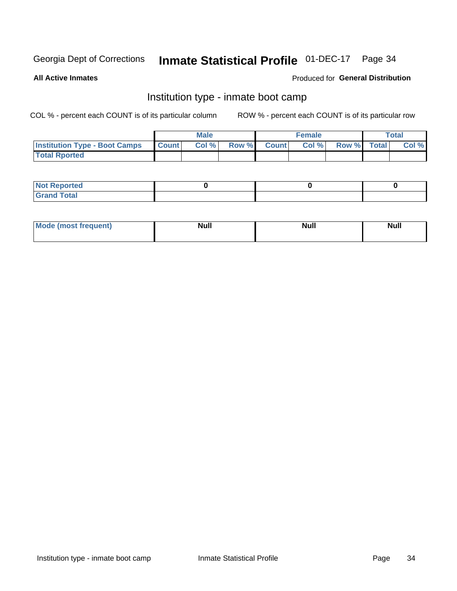#### **Inmate Statistical Profile 01-DEC-17** Page 34

**All Active Inmates** 

### Produced for General Distribution

### Institution type - inmate boot camp

COL % - percent each COUNT is of its particular column

|                                      |              | <b>Male</b> |               |              | <b>Female</b> |             | <b>Total</b> |
|--------------------------------------|--------------|-------------|---------------|--------------|---------------|-------------|--------------|
| <b>Institution Type - Boot Camps</b> | <b>Count</b> | Col %       | <b>Row %I</b> | <b>Count</b> | Col %         | Row % Total | Col %        |
| <b>Total Rported</b>                 |              |             |               |              |               |             |              |

| <b>Not Reported</b>            |  |  |
|--------------------------------|--|--|
| <b>Total</b><br>C <sub>r</sub> |  |  |

| Mod<br>uamo | Nul.<br>$- - - - - -$ | <b>Null</b> | . .<br>uu.<br>------ |
|-------------|-----------------------|-------------|----------------------|
|             |                       |             |                      |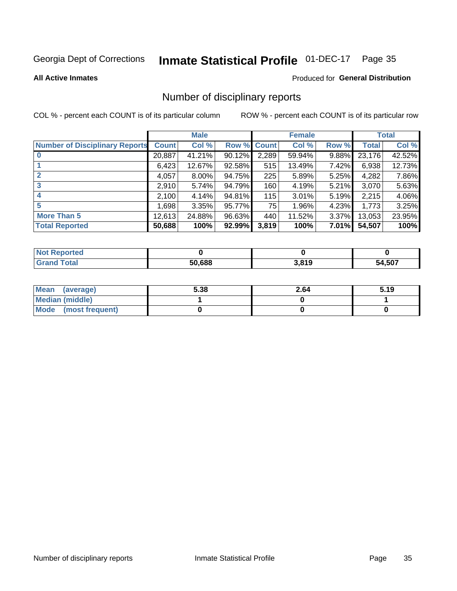# Inmate Statistical Profile 01-DEC-17 Page 35

#### **All Active Inmates**

### Produced for General Distribution

### Number of disciplinary reports

COL % - percent each COUNT is of its particular column

|                                       |              | <b>Male</b> |             |       | <b>Female</b> |       |        | <b>Total</b> |
|---------------------------------------|--------------|-------------|-------------|-------|---------------|-------|--------|--------------|
| <b>Number of Disciplinary Reports</b> | <b>Count</b> | Col %       | Row % Count |       | Col %         | Row % | Total  | Col %        |
| $\bf{0}$                              | 20,887       | 41.21%      | 90.12%      | 2,289 | 59.94%        | 9.88% | 23,176 | 42.52%       |
|                                       | 6,423        | 12.67%      | 92.58%      | 515   | 13.49%        | 7.42% | 6,938  | 12.73%       |
| $\mathbf{2}$                          | 4,057        | 8.00%       | 94.75%      | 225   | 5.89%         | 5.25% | 4,282  | 7.86%        |
| 3                                     | 2,910        | 5.74%       | 94.79%      | 160   | 4.19%         | 5.21% | 3,070  | 5.63%        |
|                                       | 2,100        | 4.14%       | 94.81%      | 115   | 3.01%         | 5.19% | 2,215  | 4.06%        |
| 5                                     | ا 698. ا     | 3.35%       | 95.77%      | 75    | 1.96%         | 4.23% | 1,773  | 3.25%        |
| <b>More Than 5</b>                    | 12,613       | 24.88%      | 96.63%      | 440   | 11.52%        | 3.37% | 13,053 | 23.95%       |
| <b>Total Reported</b>                 | 50,688       | 100%        | 92.99%      | 3,819 | 100%          | 7.01% | 54,507 | 100%         |

| วrted<br>NOT |        |       |             |
|--------------|--------|-------|-------------|
| Total        | 50.688 | 3,819 | .507<br>54. |

| Mean (average)       | 5.38 | 2.64 | 5.19 |
|----------------------|------|------|------|
| Median (middle)      |      |      |      |
| Mode (most frequent) |      |      |      |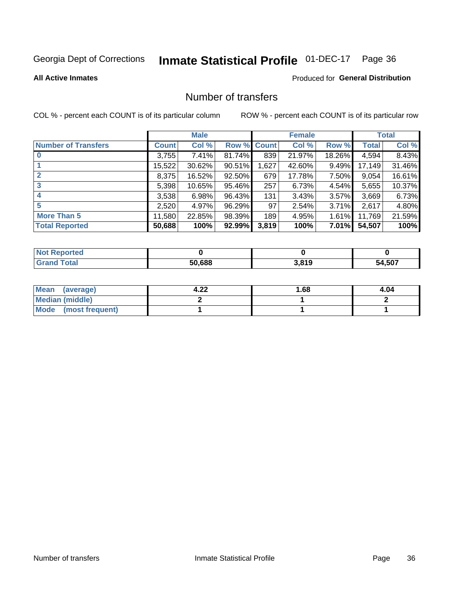# Inmate Statistical Profile 01-DEC-17 Page 36

#### **All Active Inmates**

### **Produced for General Distribution**

### Number of transfers

COL % - percent each COUNT is of its particular column

|                            |         | <b>Male</b> |             |       | <b>Female</b> |          |        | <b>Total</b> |
|----------------------------|---------|-------------|-------------|-------|---------------|----------|--------|--------------|
| <b>Number of Transfers</b> | Count l | Col %       | Row % Count |       | Col %         | Row %    | Total  | Col %        |
|                            | 3,755   | 7.41%       | 81.74%      | 839   | 21.97%        | 18.26%   | 4,594  | 8.43%        |
|                            | 15,522  | 30.62%      | 90.51%      | 1,627 | 42.60%        | $9.49\%$ | 17,149 | 31.46%       |
| $\mathbf{2}$               | 8,375   | 16.52%      | 92.50%      | 679   | 17.78%        | 7.50%    | 9,054  | 16.61%       |
| 3                          | 5,398   | 10.65%      | 95.46%      | 257   | 6.73%         | 4.54%    | 5,655  | 10.37%       |
| 4                          | 3,538   | 6.98%       | 96.43%      | 131   | 3.43%         | $3.57\%$ | 3,669  | 6.73%        |
| 5                          | 2,520   | 4.97%       | 96.29%      | 97    | 2.54%         | 3.71%    | 2,617  | 4.80%        |
| <b>More Than 5</b>         | 11,580  | 22.85%      | 98.39%      | 189   | 4.95%         | 1.61%    | 11,769 | 21.59%       |
| <b>Total Reported</b>      | 50,688  | 100%        | 92.99%      | 3,819 | 100%          | $7.01\%$ | 54,507 | 100%         |

| วrted<br>NOT |        |       |             |
|--------------|--------|-------|-------------|
| Total        | 50.688 | 3,819 | .507<br>54. |

| Mean (average)         | ົາາ<br>4.ZL | l.68 | 4.04 |
|------------------------|-------------|------|------|
| <b>Median (middle)</b> |             |      |      |
| Mode (most frequent)   |             |      |      |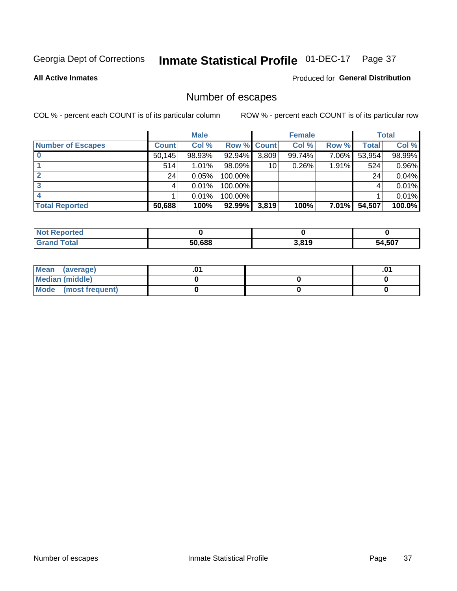# Inmate Statistical Profile 01-DEC-17 Page 37

**All Active Inmates** 

### **Produced for General Distribution**

### Number of escapes

COL % - percent each COUNT is of its particular column

|                          |              | <b>Male</b> |             |       | <b>Female</b> |          |        | <b>Total</b> |
|--------------------------|--------------|-------------|-------------|-------|---------------|----------|--------|--------------|
| <b>Number of Escapes</b> | <b>Count</b> | Col %       | Row % Count |       | Col %         | Row %    | Total  | Col %        |
|                          | 50,145       | 98.93%      | 92.94%      | 3,809 | 99.74%        | 7.06%    | 53,954 | 98.99%       |
|                          | 514          | 1.01%       | $98.09\%$   | 10    | 0.26%         | 1.91%    | 524    | 0.96%        |
|                          | 24           | 0.05%       | 100.00%     |       |               |          | 24     | 0.04%        |
|                          |              | 0.01%       | 100.00%     |       |               |          |        | 0.01%        |
|                          |              | 0.01%       | $100.00\%$  |       |               |          |        | 0.01%        |
| <b>Total Reported</b>    | 50,688       | 100%        | 92.99%      | 3,819 | 100%          | $7.01\%$ | 54,507 | 100.0%       |

| <b>Not Reported</b> |        |       |        |
|---------------------|--------|-------|--------|
| Total               | 50,688 | 3,819 | 54,507 |

| Mean (average)       |  | .0 <sup>1</sup> |
|----------------------|--|-----------------|
| Median (middle)      |  |                 |
| Mode (most frequent) |  |                 |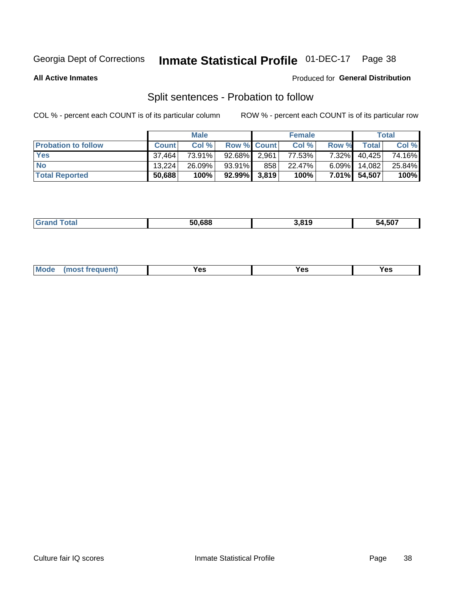#### **Inmate Statistical Profile 01-DEC-17** Page 38

**All Active Inmates** 

### Produced for General Distribution

### Split sentences - Probation to follow

COL % - percent each COUNT is of its particular column

|                            |              | <b>Male</b> |                    |     | <b>Female</b> |          |              | <b>Total</b> |
|----------------------------|--------------|-------------|--------------------|-----|---------------|----------|--------------|--------------|
| <b>Probation to follow</b> | <b>Count</b> | Col %       | <b>Row % Count</b> |     | Col %         | Row %    | <b>Total</b> | Col %        |
| <b>Yes</b>                 | 37.464       | 73.91%      | 92.68% 2.961       |     | 77.53%        | $7.32\%$ | 40,425       | 74.16%       |
| <b>No</b>                  | 13.224       | 26.09%      | 93.91%             | 858 | 22.47%        | $6.09\%$ | 14,082       | 25.84%       |
| <b>Total Reported</b>      | 50,688       | 100%        | $92.99\%$ 3,819    |     | 100%          |          | 7.01% 54,507 | 100%         |

|  |  | 50.688 | .819 | -~-<br>ו טכ<br>'nД |
|--|--|--------|------|--------------------|
|--|--|--------|------|--------------------|

| $Moo$<br>requent<br>′es<br>Yes<br><b>YAC</b><br>. |
|---------------------------------------------------|
|---------------------------------------------------|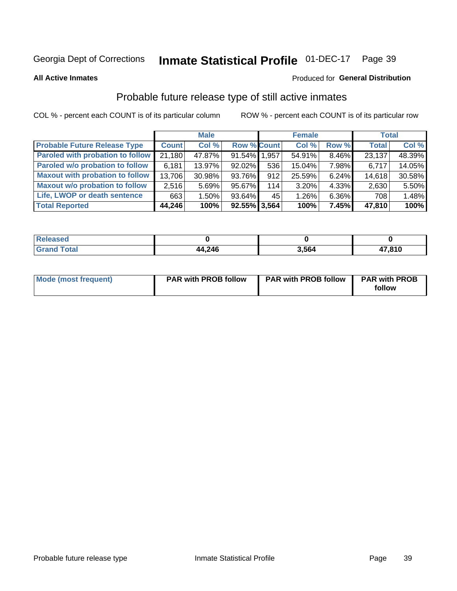#### **Inmate Statistical Profile 01-DEC-17** Page 39

**All Active Inmates** 

### Produced for General Distribution

### Probable future release type of still active inmates

COL % - percent each COUNT is of its particular column

|                                         |              | <b>Male</b> |                    |     | <b>Female</b> |          | <b>Total</b> |        |
|-----------------------------------------|--------------|-------------|--------------------|-----|---------------|----------|--------------|--------|
| <b>Probable Future Release Type</b>     | <b>Count</b> | Col %       | <b>Row % Count</b> |     | Col %         | Row %    | <b>Total</b> | Col %  |
| <b>Paroled with probation to follow</b> | 21,180       | 47.87%      | 91.54% 1.957       |     | 54.91%        | 8.46%    | 23,137       | 48.39% |
| Paroled w/o probation to follow         | 6,181        | 13.97%      | $92.02\%$          | 536 | 15.04%        | 7.98%    | 6,717        | 14.05% |
| <b>Maxout with probation to follow</b>  | 13,706       | 30.98%      | 93.76%             | 912 | 25.59%        | 6.24%    | 14,618       | 30.58% |
| <b>Maxout w/o probation to follow</b>   | 2,516        | 5.69%       | 95.67%             | 114 | 3.20%         | $4.33\%$ | 2,630        | 5.50%  |
| Life, LWOP or death sentence            | 663          | 1.50%       | 93.64%             | 45  | 1.26%         | 6.36%    | 708          | 1.48%  |
| <b>Total Reported</b>                   | 44,246       | 100%        | $92.55\%$ 3,564    |     | 100%          | 7.45%    | 47,810       | 100%   |

| <i>i</i> otal | 44,246 | 3.564 | 17,810 |
|---------------|--------|-------|--------|

| Mode (most frequent) | <b>PAR with PROB follow</b> | <b>PAR with PROB follow</b> | <b>PAR with PROB</b> |
|----------------------|-----------------------------|-----------------------------|----------------------|
|                      |                             |                             | follow               |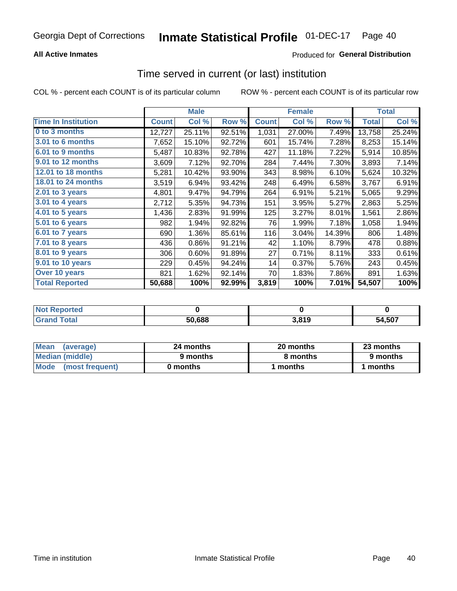### **All Active Inmates**

### **Produced for General Distribution**

# Time served in current (or last) institution

COL % - percent each COUNT is of its particular column

|                            |              | <b>Male</b> |        |              | <b>Female</b> |        |              | <b>Total</b> |
|----------------------------|--------------|-------------|--------|--------------|---------------|--------|--------------|--------------|
| <b>Time In Institution</b> | <b>Count</b> | Col %       | Row %  | <b>Count</b> | Col %         | Row %  | <b>Total</b> | Col %        |
| 0 to 3 months              | 12,727       | 25.11%      | 92.51% | 1,031        | 27.00%        | 7.49%  | 13,758       | 25.24%       |
| 3.01 to 6 months           | 7,652        | 15.10%      | 92.72% | 601          | 15.74%        | 7.28%  | 8,253        | 15.14%       |
| 6.01 to 9 months           | 5,487        | 10.83%      | 92.78% | 427          | 11.18%        | 7.22%  | 5,914        | 10.85%       |
| 9.01 to 12 months          | 3,609        | 7.12%       | 92.70% | 284          | 7.44%         | 7.30%  | 3,893        | 7.14%        |
| 12.01 to 18 months         | 5,281        | 10.42%      | 93.90% | 343          | 8.98%         | 6.10%  | 5,624        | 10.32%       |
| <b>18.01 to 24 months</b>  | 3,519        | 6.94%       | 93.42% | 248          | 6.49%         | 6.58%  | 3,767        | 6.91%        |
| $2.01$ to 3 years          | 4,801        | 9.47%       | 94.79% | 264          | 6.91%         | 5.21%  | 5,065        | 9.29%        |
| 3.01 to 4 years            | 2,712        | 5.35%       | 94.73% | 151          | 3.95%         | 5.27%  | 2,863        | 5.25%        |
| $4.01$ to 5 years          | 1,436        | 2.83%       | 91.99% | 125          | 3.27%         | 8.01%  | 1,561        | 2.86%        |
| 5.01 to 6 years            | 982          | 1.94%       | 92.82% | 76           | 1.99%         | 7.18%  | 1,058        | 1.94%        |
| $6.01$ to 7 years          | 690          | 1.36%       | 85.61% | 116          | 3.04%         | 14.39% | 806          | 1.48%        |
| 7.01 to 8 years            | 436          | 0.86%       | 91.21% | 42           | 1.10%         | 8.79%  | 478          | 0.88%        |
| $8.01$ to 9 years          | 306          | 0.60%       | 91.89% | 27           | 0.71%         | 8.11%  | 333          | 0.61%        |
| 9.01 to 10 years           | 229          | 0.45%       | 94.24% | 14           | 0.37%         | 5.76%  | 243          | 0.45%        |
| Over 10 years              | 821          | 1.62%       | 92.14% | 70           | 1.83%         | 7.86%  | 891          | 1.63%        |
| <b>Total Reported</b>      | 50,688       | 100%        | 92.99% | 3,819        | 100%          | 7.01%  | 54,507       | 100%         |

| <b>Penorted</b><br><b>Not</b> |        |       |        |
|-------------------------------|--------|-------|--------|
| ⊺ิ∩tal                        | 50.688 | 3,819 | 54,507 |

| <b>Mean</b><br>(average) | 24 months | 20 months | 23 months |
|--------------------------|-----------|-----------|-----------|
| Median (middle)          | 9 months  | 8 months  | 9 months  |
| Mode (most frequent)     | 0 months  | months    | 1 months  |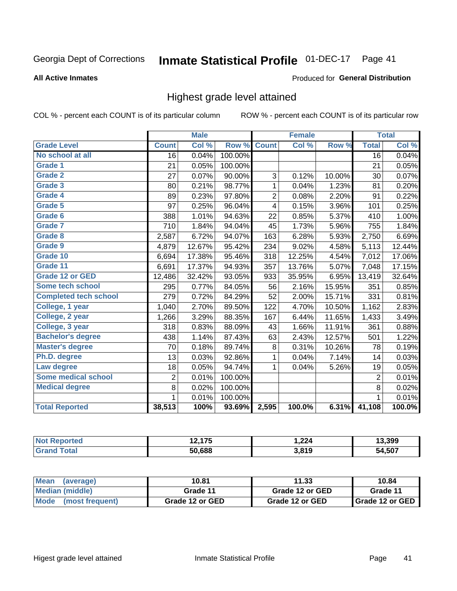#### Inmate Statistical Profile 01-DEC-17 Page 41

**All Active Inmates** 

#### Produced for General Distribution

### Highest grade level attained

COL % - percent each COUNT is of its particular column

|                              |                 | <b>Male</b> |         |                         | <b>Female</b> |        |                 | <b>Total</b> |
|------------------------------|-----------------|-------------|---------|-------------------------|---------------|--------|-----------------|--------------|
| <b>Grade Level</b>           | <b>Count</b>    | Col %       | Row %   | <b>Count</b>            | Col%          | Row %  | <b>Total</b>    | Col %        |
| No school at all             | $\overline{16}$ | 0.04%       | 100.00% |                         |               |        | $\overline{16}$ | 0.04%        |
| <b>Grade 1</b>               | 21              | 0.05%       | 100.00% |                         |               |        | 21              | 0.05%        |
| <b>Grade 2</b>               | 27              | 0.07%       | 90.00%  | 3                       | 0.12%         | 10.00% | 30              | 0.07%        |
| Grade 3                      | 80              | 0.21%       | 98.77%  | $\mathbf{1}$            | 0.04%         | 1.23%  | 81              | 0.20%        |
| Grade 4                      | 89              | 0.23%       | 97.80%  | $\overline{2}$          | 0.08%         | 2.20%  | 91              | 0.22%        |
| Grade 5                      | 97              | 0.25%       | 96.04%  | $\overline{\mathbf{4}}$ | 0.15%         | 3.96%  | 101             | 0.25%        |
| Grade 6                      | 388             | 1.01%       | 94.63%  | 22                      | 0.85%         | 5.37%  | 410             | 1.00%        |
| <b>Grade 7</b>               | 710             | 1.84%       | 94.04%  | 45                      | 1.73%         | 5.96%  | 755             | 1.84%        |
| Grade 8                      | 2,587           | 6.72%       | 94.07%  | 163                     | 6.28%         | 5.93%  | 2,750           | 6.69%        |
| Grade 9                      | 4,879           | 12.67%      | 95.42%  | 234                     | 9.02%         | 4.58%  | 5,113           | 12.44%       |
| Grade 10                     | 6,694           | 17.38%      | 95.46%  | 318                     | 12.25%        | 4.54%  | 7,012           | 17.06%       |
| Grade 11                     | 6,691           | 17.37%      | 94.93%  | 357                     | 13.76%        | 5.07%  | 7,048           | 17.15%       |
| <b>Grade 12 or GED</b>       | 12,486          | 32.42%      | 93.05%  | 933                     | 35.95%        | 6.95%  | 13,419          | 32.64%       |
| <b>Some tech school</b>      | 295             | 0.77%       | 84.05%  | 56                      | 2.16%         | 15.95% | 351             | 0.85%        |
| <b>Completed tech school</b> | 279             | 0.72%       | 84.29%  | 52                      | 2.00%         | 15.71% | 331             | 0.81%        |
| College, 1 year              | 1,040           | 2.70%       | 89.50%  | 122                     | 4.70%         | 10.50% | 1,162           | 2.83%        |
| College, 2 year              | 1,266           | 3.29%       | 88.35%  | 167                     | 6.44%         | 11.65% | 1,433           | 3.49%        |
| College, 3 year              | 318             | 0.83%       | 88.09%  | 43                      | 1.66%         | 11.91% | 361             | 0.88%        |
| <b>Bachelor's degree</b>     | 438             | 1.14%       | 87.43%  | 63                      | 2.43%         | 12.57% | 501             | 1.22%        |
| <b>Master's degree</b>       | 70              | 0.18%       | 89.74%  | 8                       | 0.31%         | 10.26% | 78              | 0.19%        |
| Ph.D. degree                 | 13              | 0.03%       | 92.86%  | $\mathbf{1}$            | 0.04%         | 7.14%  | 14              | 0.03%        |
| Law degree                   | 18              | 0.05%       | 94.74%  | $\mathbf{1}$            | 0.04%         | 5.26%  | 19              | 0.05%        |
| <b>Some medical school</b>   | $\overline{2}$  | 0.01%       | 100.00% |                         |               |        | $\overline{2}$  | 0.01%        |
| <b>Medical degree</b>        | 8               | 0.02%       | 100.00% |                         |               |        | 8               | 0.02%        |
|                              | $\mathbf 1$     | 0.01%       | 100.00% |                         |               |        | $\mathbf{1}$    | 0.01%        |
| <b>Total Reported</b>        | 38,513          | 100%        | 93.69%  | 2,595                   | 100.0%        | 6.31%  | 41,108          | 100.0%       |

| $\sim$ $\sim$ $\sim$<br>. | ,224                    | 3.399      |
|---------------------------|-------------------------|------------|
| 50.688                    | <b>3.810</b><br>J.U I J | .507<br>nд |

| <b>Mean</b><br>(average) | 10.81           | 11.33           | 10.84           |
|--------------------------|-----------------|-----------------|-----------------|
| Median (middle)          | Grade 11        | Grade 12 or GED | Grade 11        |
| Mode (most frequent)     | Grade 12 or GED | Grade 12 or GED | Grade 12 or GED |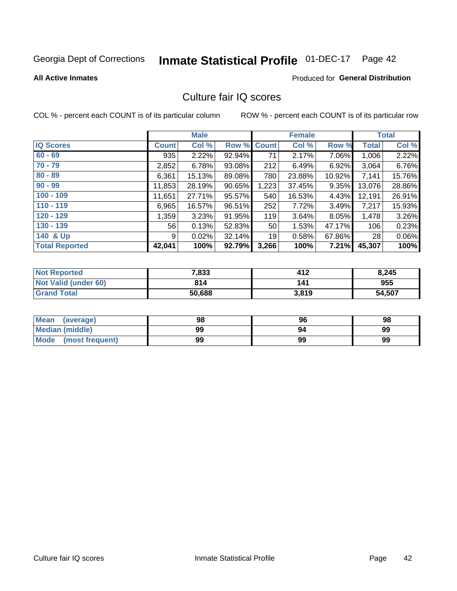# Inmate Statistical Profile 01-DEC-17 Page 42

**All Active Inmates** 

### **Produced for General Distribution**

## Culture fair IQ scores

COL % - percent each COUNT is of its particular column

|                       |              | <b>Male</b> |             |       | <b>Female</b> |        |              | <b>Total</b> |
|-----------------------|--------------|-------------|-------------|-------|---------------|--------|--------------|--------------|
| <b>IQ Scores</b>      | <b>Count</b> | Col %       | Row % Count |       | Col %         | Row %  | <b>Total</b> | Col %        |
| $60 - 69$             | 935          | 2.22%       | 92.94%      | 71    | 2.17%         | 7.06%  | 1,006        | 2.22%        |
| $70 - 79$             | 2,852        | 6.78%       | 93.08%      | 212   | 6.49%         | 6.92%  | 3,064        | 6.76%        |
| $80 - 89$             | 6,361        | 15.13%      | 89.08%      | 780   | 23.88%        | 10.92% | 7,141        | 15.76%       |
| $90 - 99$             | 11,853       | 28.19%      | 90.65%      | 1,223 | 37.45%        | 9.35%  | 13,076       | 28.86%       |
| $100 - 109$           | 11,651       | 27.71%      | 95.57%      | 540   | 16.53%        | 4.43%  | 12,191       | 26.91%       |
| $110 - 119$           | 6,965        | 16.57%      | 96.51%      | 252   | 7.72%         | 3.49%  | 7,217        | 15.93%       |
| $120 - 129$           | 1,359        | 3.23%       | 91.95%      | 119   | 3.64%         | 8.05%  | 1,478        | 3.26%        |
| $130 - 139$           | 56           | 0.13%       | 52.83%      | 50    | 1.53%         | 47.17% | 106          | 0.23%        |
| 140 & Up              | 9            | 0.02%       | 32.14%      | 19    | 0.58%         | 67.86% | 28           | 0.06%        |
| <b>Total Reported</b> | 42,041       | 100%        | 92.79%      | 3,266 | 100%          | 7.21%  | 45,307       | 100%         |

| <b>Not Reported</b>         | 7,833  | 412   | 8,245  |
|-----------------------------|--------|-------|--------|
| <b>Not Valid (under 60)</b> | 814    | 141   | 955    |
| <b>Grand Total</b>          | 50,688 | 3,819 | 54,507 |

| <b>Mean</b><br>(average) | 98 | 96 | 98 |
|--------------------------|----|----|----|
| Median (middle)          | 99 | 94 | 99 |
| Mode<br>(most frequent)  | 99 | 99 | 99 |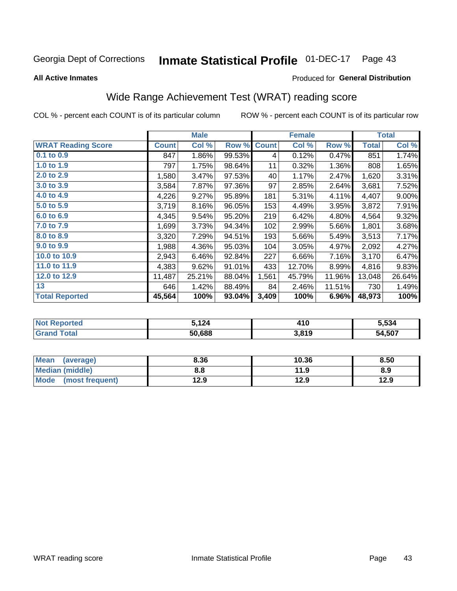#### **Inmate Statistical Profile 01-DEC-17** Page 43

#### **All Active Inmates**

### Produced for General Distribution

## Wide Range Achievement Test (WRAT) reading score

COL % - percent each COUNT is of its particular column

|                           |              | <b>Male</b> |        |              | <b>Female</b> |        |              | <b>Total</b> |
|---------------------------|--------------|-------------|--------|--------------|---------------|--------|--------------|--------------|
| <b>WRAT Reading Score</b> | <b>Count</b> | Col %       | Row %  | <b>Count</b> | Col %         | Row %  | <b>Total</b> | Col %        |
| 0.1 to 0.9                | 847          | 1.86%       | 99.53% | 4            | 0.12%         | 0.47%  | 851          | 1.74%        |
| 1.0 to 1.9                | 797          | 1.75%       | 98.64% | 11           | 0.32%         | 1.36%  | 808          | 1.65%        |
| 2.0 to 2.9                | 1,580        | 3.47%       | 97.53% | 40           | 1.17%         | 2.47%  | 1,620        | 3.31%        |
| 3.0 to 3.9                | 3,584        | 7.87%       | 97.36% | 97           | 2.85%         | 2.64%  | 3,681        | 7.52%        |
| 4.0 to 4.9                | 4,226        | 9.27%       | 95.89% | 181          | 5.31%         | 4.11%  | 4,407        | $9.00\%$     |
| 5.0 to 5.9                | 3,719        | 8.16%       | 96.05% | 153          | 4.49%         | 3.95%  | 3,872        | 7.91%        |
| 6.0 to 6.9                | 4,345        | 9.54%       | 95.20% | 219          | 6.42%         | 4.80%  | 4,564        | 9.32%        |
| 7.0 to 7.9                | 1,699        | 3.73%       | 94.34% | 102          | 2.99%         | 5.66%  | 1,801        | 3.68%        |
| 8.0 to 8.9                | 3,320        | 7.29%       | 94.51% | 193          | 5.66%         | 5.49%  | 3,513        | 7.17%        |
| 9.0 to 9.9                | 1,988        | 4.36%       | 95.03% | 104          | 3.05%         | 4.97%  | 2,092        | 4.27%        |
| 10.0 to 10.9              | 2,943        | 6.46%       | 92.84% | 227          | 6.66%         | 7.16%  | 3,170        | 6.47%        |
| 11.0 to 11.9              | 4,383        | 9.62%       | 91.01% | 433          | 12.70%        | 8.99%  | 4,816        | 9.83%        |
| 12.0 to 12.9              | 11,487       | 25.21%      | 88.04% | 1,561        | 45.79%        | 11.96% | 13,048       | 26.64%       |
| 13                        | 646          | 1.42%       | 88.49% | 84           | 2.46%         | 11.51% | 730          | 1.49%        |
| <b>Total Reported</b>     | 45,564       | 100%        | 93.04% | 3,409        | 100%          | 6.96%  | 48,973       | 100%         |

| rtea<br>NOT | .124   | 410   | 5,534  |
|-------------|--------|-------|--------|
| $\sim$      | 50,688 | 3,819 | 54,507 |

| Mean (average)       | 8.36 | 10.36 | 8.50 |
|----------------------|------|-------|------|
| Median (middle)      | 8.8  | 11.9  | 8.9  |
| Mode (most frequent) | 12.9 | 12.9  | 12.9 |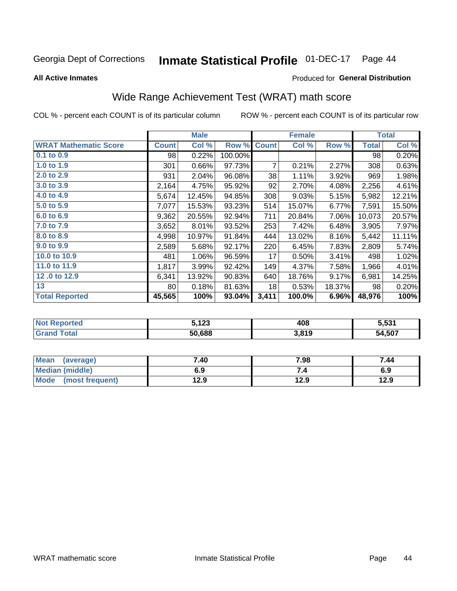#### **Inmate Statistical Profile 01-DEC-17** Page 44

**All Active Inmates** 

### Produced for General Distribution

## Wide Range Achievement Test (WRAT) math score

COL % - percent each COUNT is of its particular column

|                              |                 | <b>Male</b> |         |              | <b>Female</b> |        |              | <b>Total</b> |
|------------------------------|-----------------|-------------|---------|--------------|---------------|--------|--------------|--------------|
| <b>WRAT Mathematic Score</b> | <b>Count</b>    | Col %       | Row %   | <b>Count</b> | Col %         | Row %  | <b>Total</b> | Col %        |
| $0.1$ to $0.9$               | 98              | 0.22%       | 100.00% |              |               |        | 98           | 0.20%        |
| 1.0 to 1.9                   | 301             | 0.66%       | 97.73%  | 7            | 0.21%         | 2.27%  | 308          | 0.63%        |
| 2.0 to 2.9                   | 931             | 2.04%       | 96.08%  | 38           | 1.11%         | 3.92%  | 969          | 1.98%        |
| 3.0 to 3.9                   | 2,164           | 4.75%       | 95.92%  | 92           | 2.70%         | 4.08%  | 2,256        | 4.61%        |
| 4.0 to 4.9                   | 5,674           | 12.45%      | 94.85%  | 308          | 9.03%         | 5.15%  | 5,982        | 12.21%       |
| 5.0 to 5.9                   | 7,077           | 15.53%      | 93.23%  | 514          | 15.07%        | 6.77%  | 7,591        | 15.50%       |
| 6.0 to 6.9                   | 9,362           | 20.55%      | 92.94%  | 711          | 20.84%        | 7.06%  | 10,073       | 20.57%       |
| 7.0 to 7.9                   | 3,652           | 8.01%       | 93.52%  | 253          | 7.42%         | 6.48%  | 3,905        | 7.97%        |
| 8.0 to 8.9                   | 4,998           | 10.97%      | 91.84%  | 444          | 13.02%        | 8.16%  | 5,442        | 11.11%       |
| 9.0 to 9.9                   | 2,589           | 5.68%       | 92.17%  | 220          | 6.45%         | 7.83%  | 2,809        | 5.74%        |
| 10.0 to 10.9                 | 481             | 1.06%       | 96.59%  | 17           | 0.50%         | 3.41%  | 498          | 1.02%        |
| 11.0 to 11.9                 | 1,817           | 3.99%       | 92.42%  | 149          | 4.37%         | 7.58%  | 1,966        | 4.01%        |
| 12.0 to 12.9                 | 6,341           | 13.92%      | 90.83%  | 640          | 18.76%        | 9.17%  | 6,981        | 14.25%       |
| 13                           | 80 <sub>1</sub> | 0.18%       | 81.63%  | 18           | 0.53%         | 18.37% | 98           | 0.20%        |
| <b>Total Reported</b>        | 45,565          | 100%        | 93.04%  | 3,411        | 100.0%        | 6.96%  | 48,976       | 100%         |

| Reported<br>Not I      | - 4 ລລ<br>ວ. ເ∠ວ | 408   | 5,531  |
|------------------------|------------------|-------|--------|
| <b>Total</b><br>'Grand | 50,688           | 3,819 | 54,507 |

| <b>Mean</b><br>(average) | 7.40 | 7.98 | 7.44 |
|--------------------------|------|------|------|
| Median (middle)          | 6.9  |      | 6.9  |
| Mode (most frequent)     | 12.9 | 12.9 | 12.9 |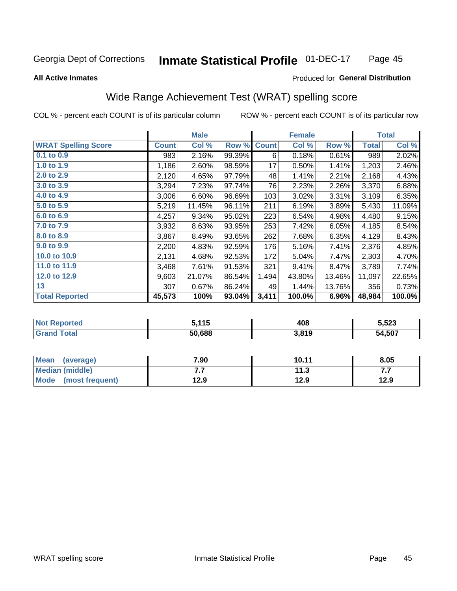#### Inmate Statistical Profile 01-DEC-17 Page 45

**All Active Inmates** 

### Produced for General Distribution

## Wide Range Achievement Test (WRAT) spelling score

COL % - percent each COUNT is of its particular column

|                            |              | <b>Male</b> |        |              | <b>Female</b> |        |              | <b>Total</b> |
|----------------------------|--------------|-------------|--------|--------------|---------------|--------|--------------|--------------|
| <b>WRAT Spelling Score</b> | <b>Count</b> | Col %       | Row %  | <b>Count</b> | Col %         | Row %  | <b>Total</b> | Col %        |
| $0.1$ to $0.9$             | 983          | 2.16%       | 99.39% | 6            | 0.18%         | 0.61%  | 989          | 2.02%        |
| 1.0 to 1.9                 | 1,186        | 2.60%       | 98.59% | 17           | 0.50%         | 1.41%  | 1,203        | 2.46%        |
| 2.0 to 2.9                 | 2,120        | 4.65%       | 97.79% | 48           | 1.41%         | 2.21%  | 2,168        | 4.43%        |
| 3.0 to 3.9                 | 3,294        | 7.23%       | 97.74% | 76           | 2.23%         | 2.26%  | 3,370        | 6.88%        |
| 4.0 to 4.9                 | 3,006        | 6.60%       | 96.69% | 103          | 3.02%         | 3.31%  | 3,109        | 6.35%        |
| 5.0 to 5.9                 | 5,219        | 11.45%      | 96.11% | 211          | 6.19%         | 3.89%  | 5,430        | 11.09%       |
| 6.0 to 6.9                 | 4,257        | 9.34%       | 95.02% | 223          | 6.54%         | 4.98%  | 4,480        | 9.15%        |
| 7.0 to 7.9                 | 3,932        | 8.63%       | 93.95% | 253          | 7.42%         | 6.05%  | 4,185        | 8.54%        |
| 8.0 to 8.9                 | 3,867        | 8.49%       | 93.65% | 262          | 7.68%         | 6.35%  | 4,129        | 8.43%        |
| 9.0 to 9.9                 | 2,200        | 4.83%       | 92.59% | 176          | 5.16%         | 7.41%  | 2,376        | 4.85%        |
| 10.0 to 10.9               | 2,131        | 4.68%       | 92.53% | 172          | 5.04%         | 7.47%  | 2,303        | 4.70%        |
| 11.0 to 11.9               | 3,468        | 7.61%       | 91.53% | 321          | 9.41%         | 8.47%  | 3,789        | 7.74%        |
| 12.0 to 12.9               | 9,603        | 21.07%      | 86.54% | 1,494        | 43.80%        | 13.46% | 11,097       | 22.65%       |
| 13                         | 307          | 0.67%       | 86.24% | 49           | 1.44%         | 13.76% | 356          | 0.73%        |
| <b>Total Reported</b>      | 45,573       | 100%        | 93.04% | 3,411        | 100.0%        | 6.96%  | 48,984       | 100.0%       |

| <b>Not</b><br><b>Reported</b> | <b>、イイベ</b><br>ט ו | 408   | 5,523  |
|-------------------------------|--------------------|-------|--------|
| `otal                         | 50.688             | 3,819 | 54,507 |

| Mean<br>(average)       | 7.90 | 10.11 | 8.05 |
|-------------------------|------|-------|------|
| Median (middle)         | .    | 11.3  | .    |
| Mode<br>(most frequent) | 12.9 | 12.9  | 12.9 |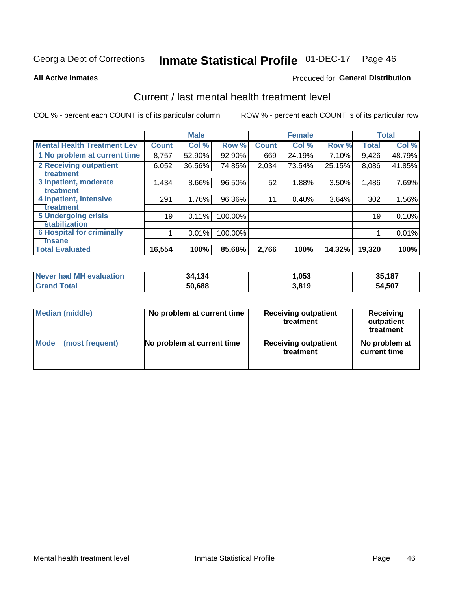# Inmate Statistical Profile 01-DEC-17 Page 46

**All Active Inmates** 

### **Produced for General Distribution**

## Current / last mental health treatment level

COL % - percent each COUNT is of its particular column

|                                    |              | <b>Male</b> |         |              | <b>Female</b> |        |              | <b>Total</b> |
|------------------------------------|--------------|-------------|---------|--------------|---------------|--------|--------------|--------------|
| <b>Mental Health Treatment Lev</b> | <b>Count</b> | Col %       | Row %   | <b>Count</b> | Col %         | Row %  | <b>Total</b> | Col %        |
| 1 No problem at current time       | 8,757        | 52.90%      | 92.90%  | 669          | 24.19%        | 7.10%  | 9,426        | 48.79%       |
| 2 Receiving outpatient             | 6,052        | 36.56%      | 74.85%  | 2,034        | 73.54%        | 25.15% | 8,086        | 41.85%       |
| <b>Treatment</b>                   |              |             |         |              |               |        |              |              |
| 3 Inpatient, moderate              | 1,434        | 8.66%       | 96.50%  | 52           | 1.88%         | 3.50%  | 1,486        | 7.69%        |
| <b>Treatment</b>                   |              |             |         |              |               |        |              |              |
| 4 Inpatient, intensive             | 291          | 1.76%       | 96.36%  | 11           | 0.40%         | 3.64%  | 302          | 1.56%        |
| Treatment                          |              |             |         |              |               |        |              |              |
| <b>5 Undergoing crisis</b>         | 19           | 0.11%       | 100.00% |              |               |        | 19           | 0.10%        |
| <b>stabilization</b>               |              |             |         |              |               |        |              |              |
| <b>6 Hospital for criminally</b>   |              | 0.01%       | 100.00% |              |               |        |              | 0.01%        |
| <b>Tinsane</b>                     |              |             |         |              |               |        |              |              |
| <b>Total Evaluated</b>             | 16,554       | 100%        | 85.68%  | 2,766        | 100%          | 14.32% | 19,320       | 100%         |

| Never had MH evaluation | 34,134 | 053, ا | 35,187 |
|-------------------------|--------|--------|--------|
| <b>Grand Total</b>      | 50,688 | 3,819  | 54,507 |

| Median (middle) | No problem at current time | <b>Receiving outpatient</b><br>treatment | <b>Receiving</b><br>outpatient<br>treatment |
|-----------------|----------------------------|------------------------------------------|---------------------------------------------|
| <b>Mode</b>     | No problem at current time | <b>Receiving outpatient</b>              | No problem at                               |
| (most frequent) |                            | treatment                                | current time                                |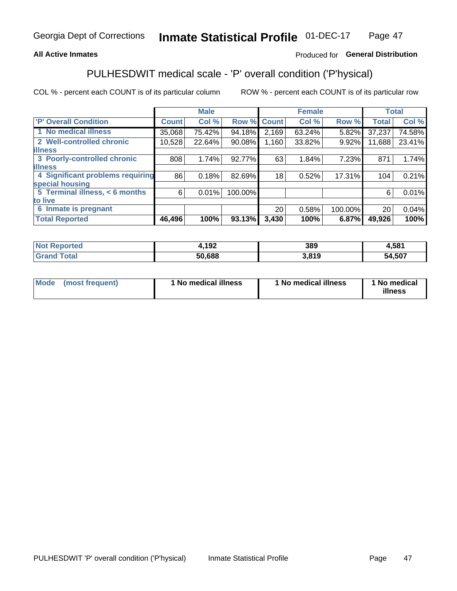### **All Active Inmates**

### Produced for General Distribution

## PULHESDWIT medical scale - 'P' overall condition ('P'hysical)

COL % - percent each COUNT is of its particular column

|                                  |              | <b>Male</b> |         |              | <b>Female</b> |         |                 | <b>Total</b> |
|----------------------------------|--------------|-------------|---------|--------------|---------------|---------|-----------------|--------------|
| 'P' Overall Condition            | <b>Count</b> | Col %       | Row %   | <b>Count</b> | Col %         | Row %   | <b>Total</b>    | Col %        |
| 1 No medical illness             | 35,068       | 75.42%      | 94.18%  | 2,169        | 63.24%        | 5.82%   | 37,237          | 74.58%       |
| 2 Well-controlled chronic        | 10,528       | 22.64%      | 90.08%  | 1,160        | 33.82%        | 9.92%   | 11,688          | 23.41%       |
| <b>illness</b>                   |              |             |         |              |               |         |                 |              |
| 3 Poorly-controlled chronic      | 808          | 1.74%       | 92.77%  | 63           | 1.84%         | 7.23%   | 871             | 1.74%        |
| <b>lillness</b>                  |              |             |         |              |               |         |                 |              |
| 4 Significant problems requiring | 86           | 0.18%       | 82.69%  | 18           | 0.52%         | 17.31%  | 104             | 0.21%        |
| special housing                  |              |             |         |              |               |         |                 |              |
| 5 Terminal illness, < 6 months   | 6            | 0.01%       | 100.00% |              |               |         | 6               | 0.01%        |
| to live                          |              |             |         |              |               |         |                 |              |
| 6 Inmate is pregnant             |              |             |         | 20           | 0.58%         | 100.00% | 20 <sup>1</sup> | 0.04%        |
| <b>Total Reported</b>            | 46,496       | 100%        | 93.13%  | 3,430        | 100%          | 6.87%   | 49,926          | 100%         |

| 'N | 102<br>1 J Z | 389  | .581       |
|----|--------------|------|------------|
|    | coo          | -940 | .507<br>54 |

| Mode | (most frequent) | 1 No medical illness | 1 No medical illness | 1 No medical<br>illness |
|------|-----------------|----------------------|----------------------|-------------------------|
|------|-----------------|----------------------|----------------------|-------------------------|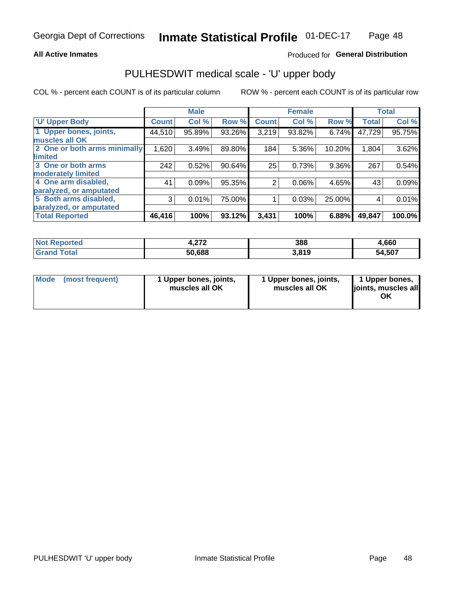### **All Active Inmates**

### Produced for General Distribution

# PULHESDWIT medical scale - 'U' upper body

COL % - percent each COUNT is of its particular column

|                              |                    | <b>Male</b> |        |                | <b>Female</b> |        |              | <b>Total</b> |
|------------------------------|--------------------|-------------|--------|----------------|---------------|--------|--------------|--------------|
| <b>U' Upper Body</b>         | Count <sup>1</sup> | Col %       | Row %  | <b>Count</b>   | Col %         | Row %  | <b>Total</b> | Col %        |
| 1 Upper bones, joints,       | 44,510             | 95.89%      | 93.26% | 3,219          | 93.82%        | 6.74%  | 47,729       | 95.75%       |
| muscles all OK               |                    |             |        |                |               |        |              |              |
| 2 One or both arms minimally | 1,620              | 3.49%       | 89.80% | 184            | 5.36%         | 10.20% | 1,804        | 3.62%        |
| limited                      |                    |             |        |                |               |        |              |              |
| 3 One or both arms           | 242                | 0.52%       | 90.64% | 25             | 0.73%         | 9.36%  | 267          | 0.54%        |
| <b>moderately limited</b>    |                    |             |        |                |               |        |              |              |
| 4 One arm disabled,          | 41                 | 0.09%       | 95.35% | $\overline{2}$ | 0.06%         | 4.65%  | 43           | 0.09%        |
| paralyzed, or amputated      |                    |             |        |                |               |        |              |              |
| 5 Both arms disabled,        | 3                  | 0.01%       | 75.00% |                | 0.03%         | 25.00% | 4            | 0.01%        |
| paralyzed, or amputated      |                    |             |        |                |               |        |              |              |
| <b>Total Reported</b>        | 46,416             | 100%        | 93.12% | 3,431          | 100%          | 6.88%  | 49,847       | 100.0%       |

| <b>Not Reported</b> | - 272<br>4.ZI Z | 388   | 4,660  |
|---------------------|-----------------|-------|--------|
| <b>Grand Total</b>  | 50,688          | 3,819 | 54,507 |

| Mode (most frequent) | 1 Upper bones, joints,<br>muscles all OK | 1 Upper bones, joints,<br>muscles all OK | 1 Upper bones,<br>joints, muscles all<br>ΟK |
|----------------------|------------------------------------------|------------------------------------------|---------------------------------------------|
|----------------------|------------------------------------------|------------------------------------------|---------------------------------------------|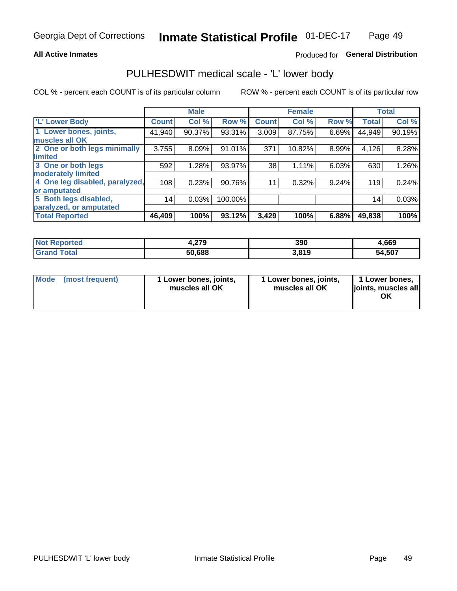#### **All Active Inmates**

### Produced for General Distribution

## PULHESDWIT medical scale - 'L' lower body

COL % - percent each COUNT is of its particular column

|                                |              | <b>Male</b> |         |              | <b>Female</b> |       |                 | <b>Total</b> |
|--------------------------------|--------------|-------------|---------|--------------|---------------|-------|-----------------|--------------|
| 'L' Lower Body                 | <b>Count</b> | Col %       | Row %   | <b>Count</b> | Col %         | Row % | <b>Total</b>    | Col %        |
| 1 Lower bones, joints,         | 41,940       | 90.37%      | 93.31%  | 3,009        | 87.75%        | 6.69% | 44,949          | 90.19%       |
| muscles all OK                 |              |             |         |              |               |       |                 |              |
| 2 One or both legs minimally   | 3,755        | 8.09%       | 91.01%  | 371          | 10.82%        | 8.99% | 4,126           | 8.28%        |
| limited                        |              |             |         |              |               |       |                 |              |
| 3 One or both legs             | 592          | 1.28%       | 93.97%  | 38           | 1.11%         | 6.03% | 630             | 1.26%        |
| moderately limited             |              |             |         |              |               |       |                 |              |
| 4 One leg disabled, paralyzed, | 108          | 0.23%       | 90.76%  | 11           | 0.32%         | 9.24% | 119             | 0.24%        |
| or amputated                   |              |             |         |              |               |       |                 |              |
| 5 Both legs disabled,          | 14           | 0.03%       | 100.00% |              |               |       | 14 <sub>1</sub> | 0.03%        |
| paralyzed, or amputated        |              |             |         |              |               |       |                 |              |
| <b>Total Reported</b>          | 46,409       | 100%        | 93.12%  | 3,429        | 100%          | 6.88% | 49,838          | 100%         |

| <b>Not Reported</b> | 270<br>7.Z I J | 390   | 4,669  |
|---------------------|----------------|-------|--------|
| <b>Total</b>        | 50,688         | 3.819 | 54,507 |

| Mode | (most frequent) | 1 Lower bones, joints,<br>muscles all OK | 1 Lower bones, joints,<br>muscles all OK | 1 Lower bones,<br>ljoints, muscles all<br>ΟK |
|------|-----------------|------------------------------------------|------------------------------------------|----------------------------------------------|
|------|-----------------|------------------------------------------|------------------------------------------|----------------------------------------------|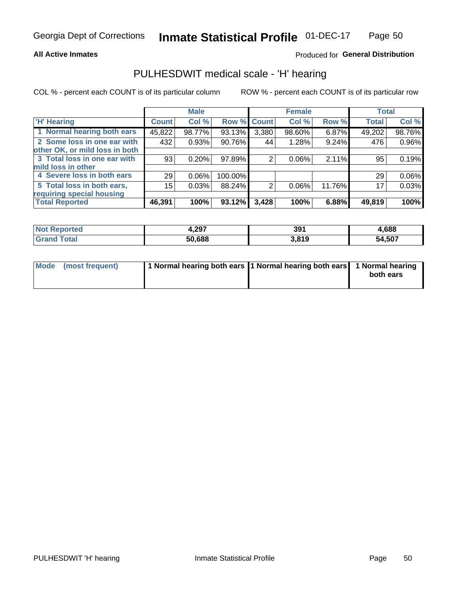#### **All Active Inmates**

### Produced for General Distribution

### PULHESDWIT medical scale - 'H' hearing

COL % - percent each COUNT is of its particular column

|                                |              | <b>Male</b> |             |       | <b>Female</b> |        | <b>Total</b> |          |
|--------------------------------|--------------|-------------|-------------|-------|---------------|--------|--------------|----------|
| <b>'H' Hearing</b>             | <b>Count</b> | Col %       | Row % Count |       | Col %         | Row %  | <b>Total</b> | Col %    |
| 1 Normal hearing both ears     | 45,822       | 98.77%      | 93.13%      | 3,380 | 98.60%        | 6.87%  | 49,202       | 98.76%   |
| 2 Some loss in one ear with    | 432          | 0.93%       | 90.76%      | 44    | 1.28%         | 9.24%  | 476          | 0.96%    |
| other OK, or mild loss in both |              |             |             |       |               |        |              |          |
| 3 Total loss in one ear with   | 93           | 0.20%       | $97.89\%$   | 2     | 0.06%         | 2.11%  | 95           | 0.19%    |
| mild loss in other             |              |             |             |       |               |        |              |          |
| 4 Severe loss in both ears     | 29           | $0.06\%$    | 100.00%     |       |               |        | 29           | $0.06\%$ |
| 5 Total loss in both ears,     | 15           | 0.03%       | 88.24%      | 2     | 0.06%         | 11.76% | 17           | 0.03%    |
| requiring special housing      |              |             |             |       |               |        |              |          |
| <b>Total Reported</b>          | 46,391       | 100%        | 93.12%      | 3,428 | 100%          | 6.88%  | 49,819       | 100%     |

| <b>Not</b><br><b>orted</b> | $+297$ | 39'   | .688   |
|----------------------------|--------|-------|--------|
| Total                      | 50,688 | 3,819 | 54,507 |

| Mode (most frequent) | 1 Normal hearing both ears 11 Normal hearing both ears 1 Normal hearing | both ears |
|----------------------|-------------------------------------------------------------------------|-----------|
|                      |                                                                         |           |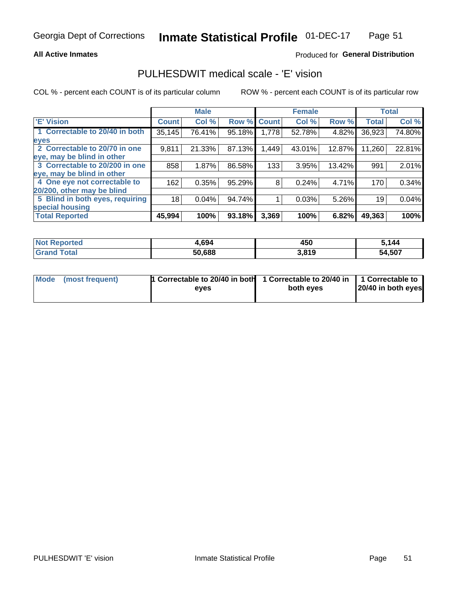### **All Active Inmates**

### Produced for General Distribution

### PULHESDWIT medical scale - 'E' vision

COL % - percent each COUNT is of its particular column

|                                 |              | <b>Male</b> |        |              | <b>Female</b> |        |              | <b>Total</b> |
|---------------------------------|--------------|-------------|--------|--------------|---------------|--------|--------------|--------------|
| <b>E' Vision</b>                | <b>Count</b> | Col %       | Row %  | <b>Count</b> | Col %         | Row %  | <b>Total</b> | Col %        |
| 1 Correctable to 20/40 in both  | 35,145       | 76.41%      | 95.18% | 1,778        | 52.78%        | 4.82%  | 36,923       | 74.80%       |
| eyes                            |              |             |        |              |               |        |              |              |
| 2 Correctable to 20/70 in one   | 9,811        | 21.33%      | 87.13% | 1,449        | 43.01%        | 12.87% | 11,260       | 22.81%       |
| eye, may be blind in other      |              |             |        |              |               |        |              |              |
| 3 Correctable to 20/200 in one  | 858          | 1.87%       | 86.58% | 133          | 3.95%         | 13.42% | 991          | 2.01%        |
| eye, may be blind in other      |              |             |        |              |               |        |              |              |
| 4 One eye not correctable to    | 162          | 0.35%       | 95.29% | 8            | 0.24%         | 4.71%  | 170          | 0.34%        |
| 20/200, other may be blind      |              |             |        |              |               |        |              |              |
| 5 Blind in both eyes, requiring | 18           | 0.04%       | 94.74% |              | 0.03%         | 5.26%  | 19           | 0.04%        |
| special housing                 |              |             |        |              |               |        |              |              |
| <b>Total Reported</b>           | 45,994       | 100%        | 93.18% | 3,369        | 100%          | 6.82%  | 49,363       | 100%         |

| <b>Not Reported</b> | 4,694  | 450   | រ.144  |
|---------------------|--------|-------|--------|
| Гоtal               | 50,688 | 3,819 | 54,507 |

| Mode (most frequent) | 1 Correctable to 20/40 in both<br>eves | 1 Correctable to 20/40 in   1 Correctable to  <br>both eves | 20/40 in both eyes |
|----------------------|----------------------------------------|-------------------------------------------------------------|--------------------|
|                      |                                        |                                                             |                    |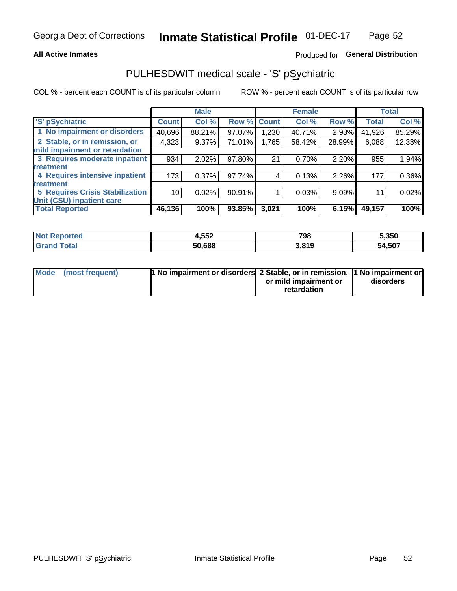#### **All Active Inmates**

### Produced for General Distribution

## PULHESDWIT medical scale - 'S' pSychiatric

COL % - percent each COUNT is of its particular column

|                                        |              | <b>Male</b> |             |       | <b>Female</b> |        |              | <b>Total</b> |
|----------------------------------------|--------------|-------------|-------------|-------|---------------|--------|--------------|--------------|
| 'S' pSychiatric                        | <b>Count</b> | Col %       | Row % Count |       | Col %         | Row %  | <b>Total</b> | Col %        |
| 1 No impairment or disorders           | 40,696       | 88.21%      | 97.07%      | ,230  | 40.71%        | 2.93%  | 41,926       | 85.29%       |
| 2 Stable, or in remission, or          | 4,323        | $9.37\%$    | 71.01%      | 1,765 | 58.42%        | 28.99% | 6,088        | 12.38%       |
| mild impairment or retardation         |              |             |             |       |               |        |              |              |
| 3 Requires moderate inpatient          | 934          | 2.02%       | 97.80%      | 21    | 0.70%         | 2.20%  | 955          | 1.94%        |
| treatment                              |              |             |             |       |               |        |              |              |
| 4 Requires intensive inpatient         | 173          | 0.37%       | 97.74%      | 4     | 0.13%         | 2.26%  | 177          | $0.36\%$     |
| treatment                              |              |             |             |       |               |        |              |              |
| <b>5 Requires Crisis Stabilization</b> | 10           | 0.02%       | $90.91\%$   |       | 0.03%         | 9.09%  | 11           | 0.02%        |
| Unit (CSU) inpatient care              |              |             |             |       |               |        |              |              |
| <b>Total Reported</b>                  | 46,136       | 100%        | $93.85\%$   | 3,021 | 100%          | 6.15%  | 49,157       | 100%         |

| <b>Not Reported</b> | 4,552  | 798   | 5,350  |
|---------------------|--------|-------|--------|
| $\mathsf{Total}$    | 50,688 | 3,819 | 54,507 |

| Mode (most frequent) | <b>1 No impairment or disorders 2 Stable, or in remission, 1 No impairment or</b> |                       |           |
|----------------------|-----------------------------------------------------------------------------------|-----------------------|-----------|
|                      |                                                                                   | or mild impairment or | disorders |
|                      |                                                                                   | retardation           |           |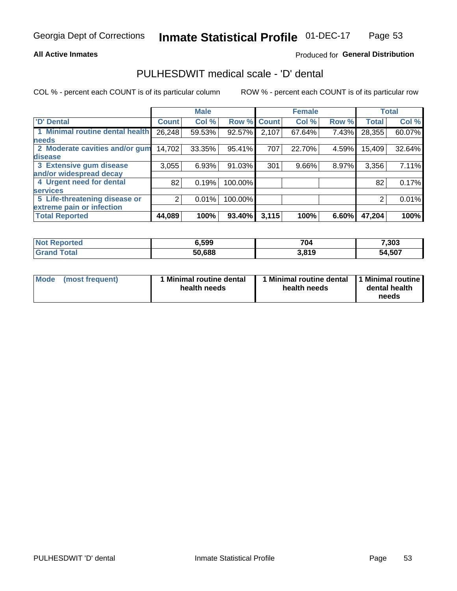### **All Active Inmates**

### Produced for General Distribution

## PULHESDWIT medical scale - 'D' dental

COL % - percent each COUNT is of its particular column

|                                 |              | <b>Male</b> |         |              | <b>Female</b> |       |              | <b>Total</b> |
|---------------------------------|--------------|-------------|---------|--------------|---------------|-------|--------------|--------------|
| <b>D' Dental</b>                | <b>Count</b> | Col %       | Row %   | <b>Count</b> | Col %         | Row % | <b>Total</b> | Col %        |
| 1 Minimal routine dental health | 26,248       | 59.53%      | 92.57%  | 2,107        | 67.64%        | 7.43% | 28,355       | 60.07%       |
| <b>needs</b>                    |              |             |         |              |               |       |              |              |
| 2 Moderate cavities and/or gum  | 14,702       | 33.35%      | 95.41%  | 707          | 22.70%        | 4.59% | 15,409       | 32.64%       |
| disease                         |              |             |         |              |               |       |              |              |
| 3 Extensive gum disease         | 3,055        | 6.93%       | 91.03%  | 301          | 9.66%         | 8.97% | 3,356        | 7.11%        |
| and/or widespread decay         |              |             |         |              |               |       |              |              |
| 4 Urgent need for dental        | 82           | 0.19%       | 100.00% |              |               |       | 82           | 0.17%        |
| <b>services</b>                 |              |             |         |              |               |       |              |              |
| 5 Life-threatening disease or   | 2            | 0.01%       | 100.00% |              |               |       | 2            | 0.01%        |
| extreme pain or infection       |              |             |         |              |               |       |              |              |
| <b>Total Reported</b>           | 44,089       | 100%        | 93.40%  | 3,115        | 100%          | 6.60% | 47,204       | 100%         |

| <b>Not Reported</b>    | 6,599  | 704   | 7,303  |
|------------------------|--------|-------|--------|
| <b>Total</b><br>'Grand | 50,688 | 3,819 | 54,507 |

| 1 Minimal routine dental<br>Mode<br>(most frequent)<br>health needs | 1 Minimal routine dental 1 Minimal routine<br>health needs | dental health<br>needs |
|---------------------------------------------------------------------|------------------------------------------------------------|------------------------|
|---------------------------------------------------------------------|------------------------------------------------------------|------------------------|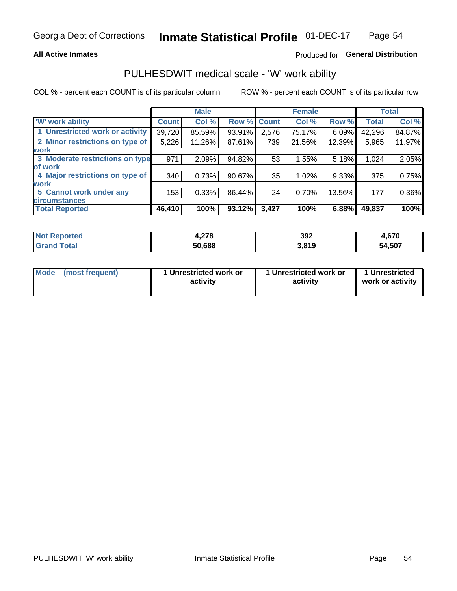### **All Active Inmates**

### Produced for General Distribution

## PULHESDWIT medical scale - 'W' work ability

COL % - percent each COUNT is of its particular column

|                                 |              | <b>Male</b> |           |             | <b>Female</b> |        |              | <b>Total</b> |
|---------------------------------|--------------|-------------|-----------|-------------|---------------|--------|--------------|--------------|
| <b>W' work ability</b>          | <b>Count</b> | Col %       |           | Row % Count | Col %         | Row %  | <b>Total</b> | Col %        |
| 1 Unrestricted work or activity | 39,720       | 85.59%      | 93.91%    | 2,576       | 75.17%        | 6.09%  | 42,296       | 84.87%       |
| 2 Minor restrictions on type of | 5,226        | 11.26%      | 87.61%    | 739         | 21.56%        | 12.39% | 5,965        | 11.97%       |
| <b>work</b>                     |              |             |           |             |               |        |              |              |
| 3 Moderate restrictions on type | 971          | 2.09%       | 94.82%    | 53          | 1.55%         | 5.18%  | 1,024        | 2.05%        |
| lof work                        |              |             |           |             |               |        |              |              |
| 4 Major restrictions on type of | 340          | 0.73%       | $90.67\%$ | 35          | 1.02%         | 9.33%  | 375          | 0.75%        |
| <b>work</b>                     |              |             |           |             |               |        |              |              |
| 5 Cannot work under any         | 153          | 0.33%       | 86.44%    | 24          | 0.70%         | 13.56% | 177          | 0.36%        |
| <b>circumstances</b>            |              |             |           |             |               |        |              |              |
| <b>Total Reported</b>           | 46,410       | 100%        | 93.12%    | 3,427       | 100%          | 6.88%  | 49,837       | 100%         |

| <b>Not Reported</b>   | 1,278  | 392   | 670<br>л һ<br>+,v / v |
|-----------------------|--------|-------|-----------------------|
| Total<br><b>Grand</b> | 50,688 | 3,819 | 54,507                |

| Mode            | 1 Unrestricted work or | 1 Unrestricted work or | 1 Unrestricted   |
|-----------------|------------------------|------------------------|------------------|
| (most frequent) | activity               | activity               | work or activity |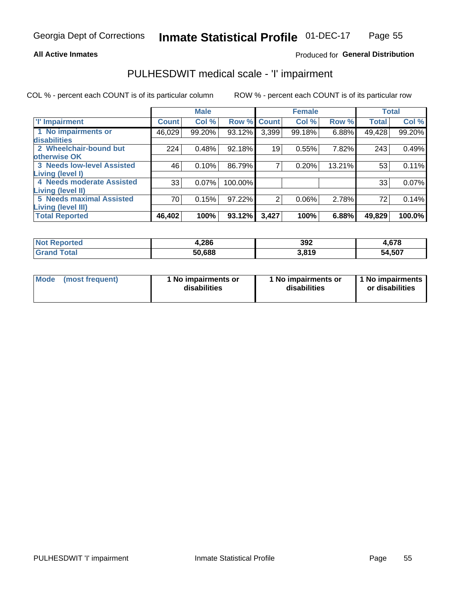### **All Active Inmates**

### Produced for General Distribution

## PULHESDWIT medical scale - 'I' impairment

COL % - percent each COUNT is of its particular column

|                                                             |              | <b>Male</b> |           |             | <b>Female</b> |        |              | <b>Total</b> |
|-------------------------------------------------------------|--------------|-------------|-----------|-------------|---------------|--------|--------------|--------------|
| <b>T' Impairment</b>                                        | <b>Count</b> | Col %       |           | Row % Count | Col %         | Row %  | <b>Total</b> | Col %        |
| 1 No impairments or<br>disabilities                         | 46,029       | 99.20%      | 93.12%    | 3,399       | 99.18%        | 6.88%  | 49,428       | 99.20%       |
| 2 Wheelchair-bound but<br>otherwise OK                      | 224          | 0.48%       | 92.18%    | 19          | 0.55%         | 7.82%  | 243          | 0.49%        |
| <b>3 Needs low-level Assisted</b>                           | 46           | 0.10%       | 86.79%    | 7           | 0.20%         | 13.21% | 53           | 0.11%        |
| Living (level I)<br>4 Needs moderate Assisted               | 33           | 0.07%       | 100.00%   |             |               |        | 33           | 0.07%        |
| <b>Living (level II)</b><br><b>5 Needs maximal Assisted</b> | 70           | 0.15%       | 97.22%    | 2           | 0.06%         | 2.78%  | 72           | 0.14%        |
| <b>Living (level III)</b><br><b>Total Reported</b>          | 46,402       | 100%        | $93.12\%$ | 3,427       | 100%          | 6.88%  | 49,829       | 100.0%       |

| <b>Not</b><br>Reported | 4,286  | 392   | 4,678  |
|------------------------|--------|-------|--------|
| Total                  | 50.688 | 3.819 | 54,507 |

| Mode | (most frequent) | 1 No impairments or<br>disabilities | 1 No impairments or<br>disabilities | 1 No impairments<br>or disabilities |
|------|-----------------|-------------------------------------|-------------------------------------|-------------------------------------|
|------|-----------------|-------------------------------------|-------------------------------------|-------------------------------------|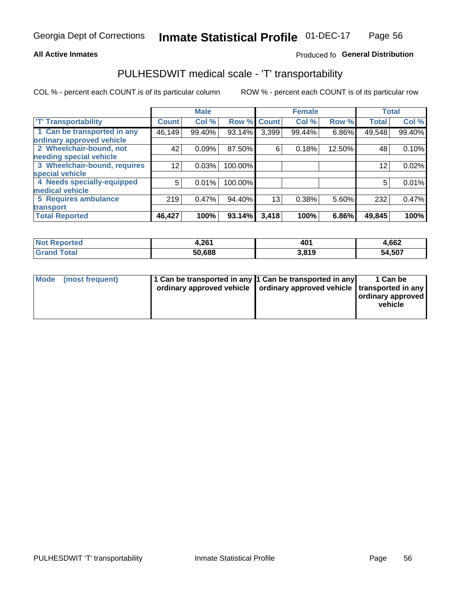### **All Active Inmates**

### Produced fo General Distribution

## PULHESDWIT medical scale - 'T' transportability

COL % - percent each COUNT is of its particular column

|                              |              | <b>Male</b> |         |              | <b>Female</b> |        |              | <b>Total</b> |
|------------------------------|--------------|-------------|---------|--------------|---------------|--------|--------------|--------------|
| <b>T' Transportability</b>   | <b>Count</b> | Col %       | Row %   | <b>Count</b> | Col %         | Row %  | <b>Total</b> | Col %        |
| 1 Can be transported in any  | 46,149       | 99.40%      | 93.14%  | 3,399        | 99.44%        | 6.86%  | 49,548       | 99.40%       |
| ordinary approved vehicle    |              |             |         |              |               |        |              |              |
| 2 Wheelchair-bound, not      | 42           | 0.09%       | 87.50%  | 6            | 0.18%         | 12.50% | 48           | 0.10%        |
| needing special vehicle      |              |             |         |              |               |        |              |              |
| 3 Wheelchair-bound, requires | 12           | 0.03%       | 100.00% |              |               |        | 12           | 0.02%        |
| special vehicle              |              |             |         |              |               |        |              |              |
| 4 Needs specially-equipped   | 5            | 0.01%       | 100.00% |              |               |        | 5            | 0.01%        |
| medical vehicle              |              |             |         |              |               |        |              |              |
| <b>5 Requires ambulance</b>  | 219          | 0.47%       | 94.40%  | 13           | 0.38%         | 5.60%  | 232          | 0.47%        |
| transport                    |              |             |         |              |               |        |              |              |
| <b>Total Reported</b>        | 46,427       | 100%        | 93.14%  | 3,418        | 100%          | 6.86%  | 49,845       | 100%         |

| <b>Not</b><br>Reported | 1,261  | $\Lambda$ n<br>וטד | 4,662  |
|------------------------|--------|--------------------|--------|
| Total                  | 50,688 | 3.819              | 54,507 |

|  | Mode (most frequent) | 1 Can be transported in any 1 Can be transported in any<br>ordinary approved vehicle   ordinary approved vehicle   transported in any |  | 1 Can be<br>  ordinary approved  <br>vehicle |
|--|----------------------|---------------------------------------------------------------------------------------------------------------------------------------|--|----------------------------------------------|
|--|----------------------|---------------------------------------------------------------------------------------------------------------------------------------|--|----------------------------------------------|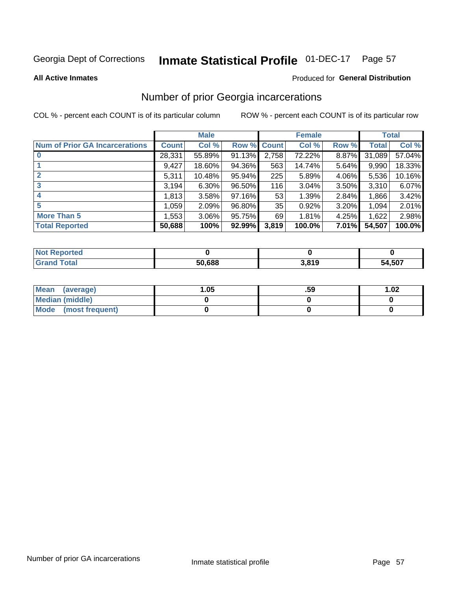#### **Inmate Statistical Profile 01-DEC-17** Page 57

#### **All Active Inmates**

#### Produced for General Distribution

## Number of prior Georgia incarcerations

COL % - percent each COUNT is of its particular column

|                                       |              | <b>Male</b> |                    |       | <b>Female</b> |       |        | <b>Total</b> |
|---------------------------------------|--------------|-------------|--------------------|-------|---------------|-------|--------|--------------|
| <b>Num of Prior GA Incarcerations</b> | <b>Count</b> | Col %       | <b>Row % Count</b> |       | Col %         | Row % | Total  | Col %        |
|                                       | 28,331       | 55.89%      | 91.13%             | 2,758 | 72.22%        | 8.87% | 31,089 | 57.04%       |
|                                       | 9,427        | 18.60%      | 94.36%             | 563   | 14.74%        | 5.64% | 9,990  | 18.33%       |
| $\overline{2}$                        | 5,311        | 10.48%      | $95.94\%$          | 225   | 5.89%         | 4.06% | 5,536  | 10.16%       |
| 3                                     | 3,194        | 6.30%       | 96.50%             | 116   | 3.04%         | 3.50% | 3,310  | 6.07%        |
| 4                                     | 1,813        | 3.58%       | 97.16%             | 53    | 1.39%         | 2.84% | 1,866  | 3.42%        |
| 5                                     | 1,059        | 2.09%       | 96.80%             | 35    | 0.92%         | 3.20% | 1,094  | 2.01%        |
| <b>More Than 5</b>                    | 1,553        | 3.06%       | 95.75%             | 69    | 1.81%         | 4.25% | 1,622  | 2.98%        |
| <b>Total Reported</b>                 | 50,688       | 100%        | 92.99%             | 3,819 | 100.0%        | 7.01% | 54,507 | 100.0%       |

| ----<br>once<br>Nt |        |       |             |
|--------------------|--------|-------|-------------|
|                    | 50,688 | , 040 | 4,507<br>54 |

| Mean (average)       | .05 | .59 | 1.02 |
|----------------------|-----|-----|------|
| Median (middle)      |     |     |      |
| Mode (most frequent) |     |     |      |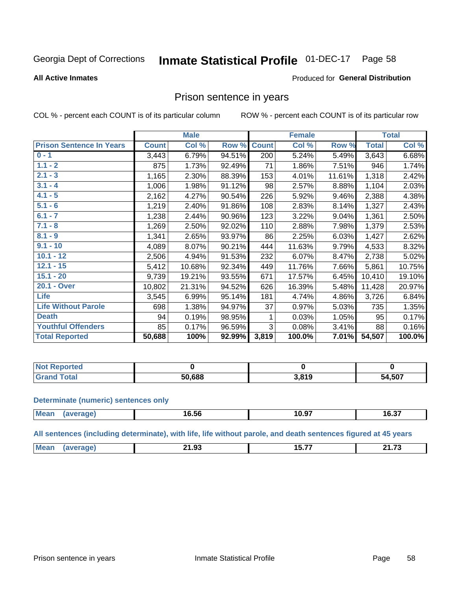#### Inmate Statistical Profile 01-DEC-17 Page 58

#### **All Active Inmates**

#### Produced for General Distribution

### Prison sentence in years

COL % - percent each COUNT is of its particular column

ROW % - percent each COUNT is of its particular row

|                                 |              | <b>Male</b> |        |              | <b>Female</b> |        |              | <b>Total</b> |
|---------------------------------|--------------|-------------|--------|--------------|---------------|--------|--------------|--------------|
| <b>Prison Sentence In Years</b> | <b>Count</b> | Col %       | Row %  | <b>Count</b> | Col %         | Row %  | <b>Total</b> | Col %        |
| $0 - 1$                         | 3,443        | 6.79%       | 94.51% | 200          | 5.24%         | 5.49%  | 3,643        | 6.68%        |
| $1.1 - 2$                       | 875          | 1.73%       | 92.49% | 71           | 1.86%         | 7.51%  | 946          | 1.74%        |
| $2.1 - 3$                       | 1,165        | 2.30%       | 88.39% | 153          | 4.01%         | 11.61% | 1,318        | 2.42%        |
| $3.1 - 4$                       | 1,006        | 1.98%       | 91.12% | 98           | 2.57%         | 8.88%  | 1,104        | 2.03%        |
| $4.1 - 5$                       | 2,162        | 4.27%       | 90.54% | 226          | 5.92%         | 9.46%  | 2,388        | 4.38%        |
| $5.1 - 6$                       | 1,219        | 2.40%       | 91.86% | 108          | 2.83%         | 8.14%  | 1,327        | 2.43%        |
| $6.1 - 7$                       | 1,238        | 2.44%       | 90.96% | 123          | 3.22%         | 9.04%  | 1,361        | 2.50%        |
| $7.1 - 8$                       | 1,269        | 2.50%       | 92.02% | 110          | 2.88%         | 7.98%  | 1,379        | 2.53%        |
| $8.1 - 9$                       | 1,341        | 2.65%       | 93.97% | 86           | 2.25%         | 6.03%  | 1,427        | 2.62%        |
| $9.1 - 10$                      | 4,089        | 8.07%       | 90.21% | 444          | 11.63%        | 9.79%  | 4,533        | 8.32%        |
| $10.1 - 12$                     | 2,506        | 4.94%       | 91.53% | 232          | 6.07%         | 8.47%  | 2,738        | 5.02%        |
| $12.1 - 15$                     | 5,412        | 10.68%      | 92.34% | 449          | 11.76%        | 7.66%  | 5,861        | 10.75%       |
| $15.1 - 20$                     | 9,739        | 19.21%      | 93.55% | 671          | 17.57%        | 6.45%  | 10,410       | 19.10%       |
| 20.1 - Over                     | 10,802       | 21.31%      | 94.52% | 626          | 16.39%        | 5.48%  | 11,428       | 20.97%       |
| <b>Life</b>                     | 3,545        | 6.99%       | 95.14% | 181          | 4.74%         | 4.86%  | 3,726        | 6.84%        |
| <b>Life Without Parole</b>      | 698          | 1.38%       | 94.97% | 37           | 0.97%         | 5.03%  | 735          | 1.35%        |
| <b>Death</b>                    | 94           | 0.19%       | 98.95% | 1            | 0.03%         | 1.05%  | 95           | 0.17%        |
| <b>Youthful Offenders</b>       | 85           | 0.17%       | 96.59% | 3            | 0.08%         | 3.41%  | 88           | 0.16%        |
| <b>Total Reported</b>           | 50,688       | 100%        | 92.99% | 3,819        | 100.0%        | 7.01%  | 54,507       | 100.0%       |

| Reported<br>. NOT |               |                   |        |
|-------------------|---------------|-------------------|--------|
|                   | 50.688<br>וור | 3.810<br>J, U I J | 54,507 |

#### **Determinate (numeric) sentences only**

| <b>Mean</b> | $\sim$ $\sim$ $\sim$<br>16.56 | $\sim$ $\sim$<br>ាប.๖. | $-2 - 1$<br>16.3. |
|-------------|-------------------------------|------------------------|-------------------|
|             |                               |                        |                   |

All sentences (including determinate), with life, life without parole, and death sentences figured at 45 years

| $M_{\odot}$<br><b>04.72</b><br>. .<br>---<br>.<br>. .<br>.<br>. . J .<br>_____<br>___<br>_______ |  |  |  |
|--------------------------------------------------------------------------------------------------|--|--|--|
|                                                                                                  |  |  |  |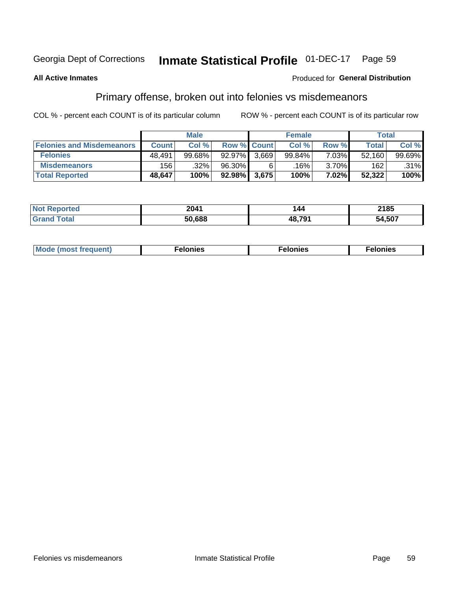#### **Inmate Statistical Profile 01-DEC-17** Page 59

### **All Active Inmates**

#### Produced for General Distribution

## Primary offense, broken out into felonies vs misdemeanors

COL % - percent each COUNT is of its particular column

|                                  |              | <b>Male</b> |           |                    | <b>Female</b> |          | Total  |        |
|----------------------------------|--------------|-------------|-----------|--------------------|---------------|----------|--------|--------|
| <b>Felonies and Misdemeanors</b> | <b>Count</b> | Col%        |           | <b>Row % Count</b> | Col%          | Row %    | Total, | Col %  |
| <b>Felonies</b>                  | 48.491       | 99.68%      | $92.97\%$ | 3.669              | 99.84%        | 7.03%    | 52.160 | 99.69% |
| <b>Misdemeanors</b>              | 156          | .32%        | 96.30%    |                    | 16%           | $3.70\%$ | 162    | .31%   |
| <b>Total Reported</b>            | 48,647       | 100%        | $92.98\%$ | 3,675              | 100%          | 7.02%    | 52,322 | 100%   |

| ted  | 2041   | -44         | 2185   |
|------|--------|-------------|--------|
| ota. | 50.688 | $AB$ 70 $'$ | 54,507 |

| Mo | ____ | 11 C.S<br>. | onies<br>. |
|----|------|-------------|------------|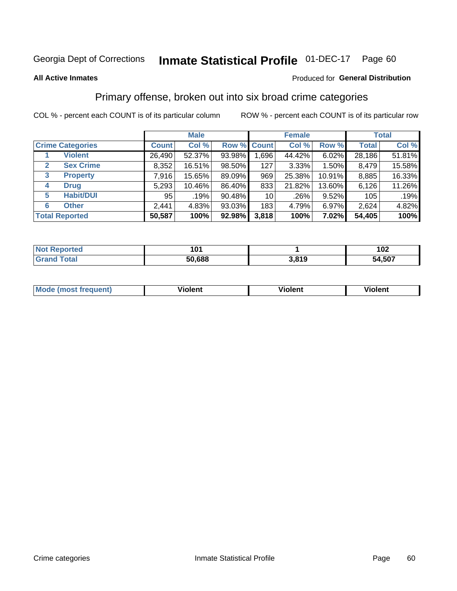#### **Inmate Statistical Profile 01-DEC-17** Page 60

#### **All Active Inmates**

### **Produced for General Distribution**

## Primary offense, broken out into six broad crime categories

COL % - percent each COUNT is of its particular column

|                                  |              | <b>Male</b> |        |                 | <b>Female</b> |        |              | <b>Total</b> |
|----------------------------------|--------------|-------------|--------|-----------------|---------------|--------|--------------|--------------|
| <b>Crime Categories</b>          | <b>Count</b> | Col %       |        | Row % Count     | Col %         | Row %  | <b>Total</b> | Col %        |
| <b>Violent</b>                   | 26,490       | 52.37%      | 93.98% | 1,696           | 44.42%        | 6.02%  | 28,186       | 51.81%       |
| <b>Sex Crime</b><br>$\mathbf{2}$ | 8,352        | 16.51%      | 98.50% | 127             | $3.33\%$      | 1.50%  | 8,479        | 15.58%       |
| 3<br><b>Property</b>             | 7,916        | 15.65%      | 89.09% | 969             | 25.38%        | 10.91% | 8,885        | 16.33%       |
| <b>Drug</b><br>4                 | 5,293        | 10.46%      | 86.40% | 833             | 21.82%        | 13.60% | 6,126        | 11.26%       |
| <b>Habit/DUI</b><br>5            | 95           | .19%        | 90.48% | 10 <sup>1</sup> | .26%          | 9.52%  | 105          | .19%         |
| <b>Other</b><br>6                | 2,441        | 4.83%       | 93.03% | 183             | 4.79%         | 6.97%  | 2,624        | 4.82%        |
| <b>Total Reported</b>            | 50,587       | 100%        | 92.98% | 3,818           | 100%          | 7.02%  | 54,405       | 100%         |

| rted<br>NO  | n.     |       | 102    |
|-------------|--------|-------|--------|
| <b>Tata</b> | 50.688 | 3,819 | 54,507 |

| M | - --<br>1010111 | .<br><b>VIOIGIIL</b> | 1.91311 |
|---|-----------------|----------------------|---------|
|   |                 |                      |         |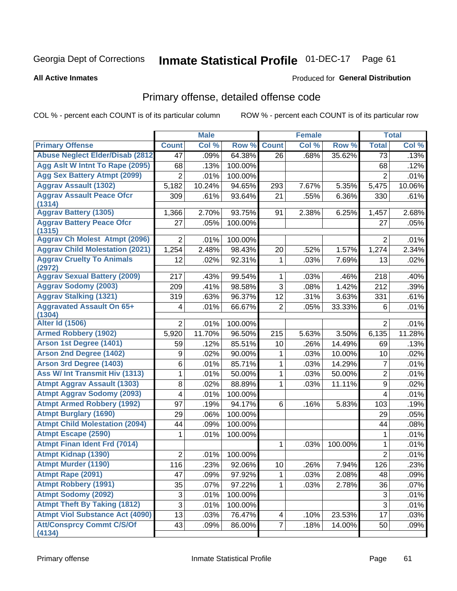#### **Inmate Statistical Profile 01-DEC-17** Page 61

#### **All Active Inmates**

#### Produced for General Distribution

## Primary offense, detailed offense code

COL % - percent each COUNT is of its particular column

|                                            |                | <b>Male</b> |         |                | <b>Female</b> |         |                  | <b>Total</b> |
|--------------------------------------------|----------------|-------------|---------|----------------|---------------|---------|------------------|--------------|
| <b>Primary Offense</b>                     | <b>Count</b>   | Col %       | Row %   | <b>Count</b>   | Col %         | Row %   | <b>Total</b>     | Col %        |
| <b>Abuse Neglect Elder/Disab (2812)</b>    | 47             | .09%        | 64.38%  | 26             | .68%          | 35.62%  | 73               | .13%         |
| Agg Aslt W Intnt To Rape (2095)            | 68             | .13%        | 100.00% |                |               |         | 68               | .12%         |
| <b>Agg Sex Battery Atmpt (2099)</b>        | $\overline{2}$ | .01%        | 100.00% |                |               |         | $\overline{2}$   | .01%         |
| <b>Aggrav Assault (1302)</b>               | 5,182          | 10.24%      | 94.65%  | 293            | 7.67%         | 5.35%   | 5,475            | 10.06%       |
| <b>Aggrav Assault Peace Ofcr</b>           | 309            | .61%        | 93.64%  | 21             | .55%          | 6.36%   | 330              | .61%         |
| (1314)<br><b>Aggrav Battery (1305)</b>     | 1,366          | 2.70%       | 93.75%  | 91             | 2.38%         | 6.25%   | 1,457            | 2.68%        |
| <b>Aggrav Battery Peace Ofcr</b>           | 27             | .05%        | 100.00% |                |               |         | 27               | .05%         |
| (1315)                                     |                |             |         |                |               |         |                  |              |
| <b>Aggrav Ch Molest Atmpt (2096)</b>       | $\overline{2}$ | .01%        | 100.00% |                |               |         | $\overline{2}$   | .01%         |
| <b>Aggrav Child Molestation (2021)</b>     | 1,254          | 2.48%       | 98.43%  | 20             | .52%          | 1.57%   | 1,274            | 2.34%        |
| <b>Aggrav Cruelty To Animals</b><br>(2972) | 12             | .02%        | 92.31%  | 1              | .03%          | 7.69%   | 13               | .02%         |
| <b>Aggrav Sexual Battery (2009)</b>        | 217            | .43%        | 99.54%  | 1              | .03%          | .46%    | 218              | .40%         |
| <b>Aggrav Sodomy (2003)</b>                | 209            | .41%        | 98.58%  | 3              | .08%          | 1.42%   | 212              | .39%         |
| <b>Aggrav Stalking (1321)</b>              | 319            | .63%        | 96.37%  | 12             | .31%          | 3.63%   | 331              | .61%         |
| <b>Aggravated Assault On 65+</b>           | 4              | .01%        | 66.67%  | $\overline{2}$ | .05%          | 33.33%  | 6                | .01%         |
| (1304)                                     |                |             |         |                |               |         |                  |              |
| <b>Alter Id (1506)</b>                     | $\overline{2}$ | .01%        | 100.00% |                |               |         | $\overline{2}$   | .01%         |
| <b>Armed Robbery (1902)</b>                | 5,920          | 11.70%      | 96.50%  | 215            | 5.63%         | 3.50%   | 6,135            | 11.28%       |
| Arson 1st Degree (1401)                    | 59             | .12%        | 85.51%  | 10             | .26%          | 14.49%  | 69               | .13%         |
| <b>Arson 2nd Degree (1402)</b>             | 9              | .02%        | 90.00%  | 1              | .03%          | 10.00%  | 10               | .02%         |
| <b>Arson 3rd Degree (1403)</b>             | 6              | .01%        | 85.71%  | 1              | .03%          | 14.29%  | 7                | .01%         |
| Ass W/ Int Transmit Hiv (1313)             | 1              | .01%        | 50.00%  | 1              | .03%          | 50.00%  | $\overline{2}$   | .01%         |
| <b>Atmpt Aggrav Assault (1303)</b>         | 8              | .02%        | 88.89%  | 1              | .03%          | 11.11%  | 9                | .02%         |
| <b>Atmpt Aggrav Sodomy (2093)</b>          | 4              | .01%        | 100.00% |                |               |         | 4                | .01%         |
| <b>Atmpt Armed Robbery (1992)</b>          | 97             | .19%        | 94.17%  | 6              | .16%          | 5.83%   | 103              | .19%         |
| <b>Atmpt Burglary (1690)</b>               | 29             | .06%        | 100.00% |                |               |         | 29               | .05%         |
| <b>Atmpt Child Molestation (2094)</b>      | 44             | .09%        | 100.00% |                |               |         | 44               | .08%         |
| <b>Atmpt Escape (2590)</b>                 | 1              | .01%        | 100.00% |                |               |         | 1                | .01%         |
| <b>Atmpt Finan Ident Frd (7014)</b>        |                |             |         | 1              | .03%          | 100.00% | 1                | .01%         |
| <b>Atmpt Kidnap (1390)</b>                 | 2              | .01%        | 100.00% |                |               |         | $\overline{2}$   | .01%         |
| <b>Atmpt Murder (1190)</b>                 | 116            | .23%        | 92.06%  | 10             | .26%          | 7.94%   | $\overline{126}$ | .23%         |
| Atmpt Rape (2091)                          | 47             | .09%        | 97.92%  | 1              | .03%          | 2.08%   | 48               | .09%         |
| <b>Atmpt Robbery (1991)</b>                | 35             | .07%        | 97.22%  | 1.             | .03%          | 2.78%   | 36               | .07%         |
| <b>Atmpt Sodomy (2092)</b>                 | 3              | .01%        | 100.00% |                |               |         | $\mathfrak{S}$   | .01%         |
| <b>Atmpt Theft By Taking (1812)</b>        | $\overline{3}$ | .01%        | 100.00% |                |               |         | $\overline{3}$   | .01%         |
| <b>Atmpt Viol Substance Act (4090)</b>     | 13             | .03%        | 76.47%  | 4              | .10%          | 23.53%  | 17               | .03%         |
| <b>Att/Consprcy Commt C/S/Of</b><br>(4134) | 43             | .09%        | 86.00%  | $\overline{7}$ | .18%          | 14.00%  | 50               | .09%         |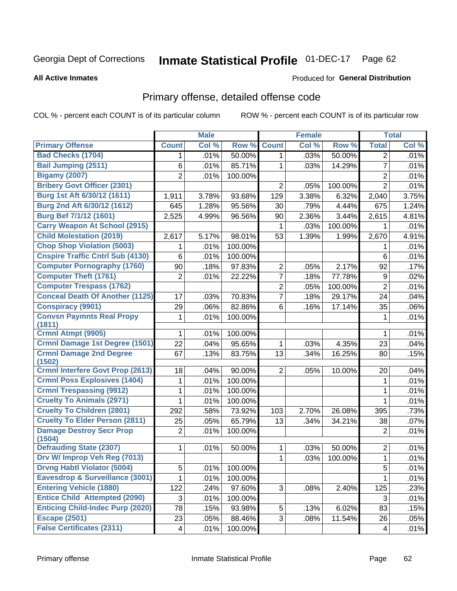#### **Inmate Statistical Profile 01-DEC-17** Page 62

#### **All Active Inmates**

#### Produced for General Distribution

## Primary offense, detailed offense code

COL % - percent each COUNT is of its particular column

|                                            |                          | <b>Male</b> |                  |                | <b>Female</b> |         |                | <b>Total</b> |
|--------------------------------------------|--------------------------|-------------|------------------|----------------|---------------|---------|----------------|--------------|
| <b>Primary Offense</b>                     | <b>Count</b>             | Col %       | Row <sup>%</sup> | <b>Count</b>   | Col %         | Row %   | <b>Total</b>   | Col %        |
| <b>Bad Checks (1704)</b>                   | 1                        | .01%        | 50.00%           | 1              | .03%          | 50.00%  | $\overline{2}$ | .01%         |
| <b>Bail Jumping (2511)</b>                 | 6                        | .01%        | 85.71%           | 1              | .03%          | 14.29%  | $\overline{7}$ | .01%         |
| <b>Bigamy (2007)</b>                       | $\overline{2}$           | .01%        | 100.00%          |                |               |         | $\overline{2}$ | .01%         |
| <b>Bribery Govt Officer (2301)</b>         |                          |             |                  | $\overline{2}$ | .05%          | 100.00% | $\overline{2}$ | .01%         |
| Burg 1st Aft 6/30/12 (1611)                | 1,911                    | 3.78%       | 93.68%           | 129            | 3.38%         | 6.32%   | 2,040          | 3.75%        |
| Burg 2nd Aft 6/30/12 (1612)                | 645                      | 1.28%       | 95.56%           | 30             | .79%          | 4.44%   | 675            | 1.24%        |
| <b>Burg Bef 7/1/12 (1601)</b>              | 2,525                    | 4.99%       | 96.56%           | 90             | 2.36%         | 3.44%   | 2,615          | 4.81%        |
| <b>Carry Weapon At School (2915)</b>       |                          |             |                  | 1              | .03%          | 100.00% | 1              | .01%         |
| <b>Child Molestation (2019)</b>            | 2,617                    | 5.17%       | 98.01%           | 53             | 1.39%         | 1.99%   | 2,670          | 4.91%        |
| <b>Chop Shop Violation (5003)</b>          | 1                        | .01%        | 100.00%          |                |               |         | 1              | .01%         |
| <b>Cnspire Traffic Cntrl Sub (4130)</b>    | 6                        | .01%        | 100.00%          |                |               |         | 6              | .01%         |
| <b>Computer Pornography (1760)</b>         | 90                       | .18%        | 97.83%           | $\overline{2}$ | .05%          | 2.17%   | 92             | .17%         |
| <b>Computer Theft (1761)</b>               | $\overline{2}$           | .01%        | 22.22%           | $\overline{7}$ | .18%          | 77.78%  | 9              | .02%         |
| <b>Computer Trespass (1762)</b>            |                          |             |                  | 2              | .05%          | 100.00% | $\overline{2}$ | .01%         |
| <b>Conceal Death Of Another (1125)</b>     | 17                       | .03%        | 70.83%           | 7              | .18%          | 29.17%  | 24             | .04%         |
| <b>Conspiracy (9901)</b>                   | 29                       | .06%        | 82.86%           | 6              | .16%          | 17.14%  | 35             | .06%         |
| <b>Convsn Paymnts Real Propy</b>           | 1                        | .01%        | 100.00%          |                |               |         | 1              | .01%         |
| (1811)                                     |                          |             |                  |                |               |         |                |              |
| Crmnl Atmpt (9905)                         | 1                        | .01%        | 100.00%          |                |               |         | 1              | .01%         |
| Crmnl Damage 1st Degree (1501)             | 22                       | .04%        | 95.65%           | 1              | .03%          | 4.35%   | 23             | .04%         |
| <b>Crmnl Damage 2nd Degree</b><br>(1502)   | 67                       | .13%        | 83.75%           | 13             | .34%          | 16.25%  | 80             | .15%         |
| <b>Crmnl Interfere Govt Prop (2613)</b>    | 18                       | .04%        | 90.00%           | $\overline{2}$ | .05%          | 10.00%  | 20             | .04%         |
| <b>Crmnl Poss Explosives (1404)</b>        | 1                        | .01%        | 100.00%          |                |               |         | 1              | .01%         |
| <b>Crmnl Trespassing (9912)</b>            | 1                        | .01%        | 100.00%          |                |               |         | 1              | .01%         |
| <b>Cruelty To Animals (2971)</b>           | 1                        | .01%        | 100.00%          |                |               |         | 1              | .01%         |
| <b>Cruelty To Children (2801)</b>          | 292                      | .58%        | 73.92%           | 103            | 2.70%         | 26.08%  | 395            | .73%         |
| <b>Cruelty To Elder Person (2811)</b>      | 25                       | .05%        | 65.79%           | 13             | .34%          | 34.21%  | 38             | .07%         |
| <b>Damage Destroy Secr Prop</b><br>(1504)  | $\overline{2}$           | .01%        | 100.00%          |                |               |         | $\overline{2}$ | .01%         |
| <b>Defrauding State (2307)</b>             | 1                        | .01%        | 50.00%           | 1              | .03%          | 50.00%  | $\overline{c}$ | .01%         |
| Drv W/ Improp Veh Reg (7013)               |                          |             |                  | 1              | .03%          | 100.00% | 1              | .01%         |
| <b>Drvng Habtl Violator (5004)</b>         | 5                        | .01%        | 100.00%          |                |               |         | 5              | .01%         |
| <b>Eavesdrop &amp; Surveillance (3001)</b> | 1                        | .01%        | 100.00%          |                |               |         | 1              | .01%         |
| <b>Entering Vehicle (1880)</b>             | 122                      | .24%        | 97.60%           | 3              | .08%          | 2.40%   | 125            | .23%         |
| <b>Entice Child Attempted (2090)</b>       | 3                        | .01%        | 100.00%          |                |               |         | 3              | .01%         |
| <b>Enticing Child-Indec Purp (2020)</b>    | 78                       | .15%        | 93.98%           | 5              | .13%          | 6.02%   | 83             | .15%         |
| <b>Escape (2501)</b>                       | 23                       | .05%        | 88.46%           | 3              | .08%          | 11.54%  | 26             | .05%         |
| <b>False Certificates (2311)</b>           | $\overline{\mathcal{A}}$ | .01%        | 100.00%          |                |               |         | 4              | .01%         |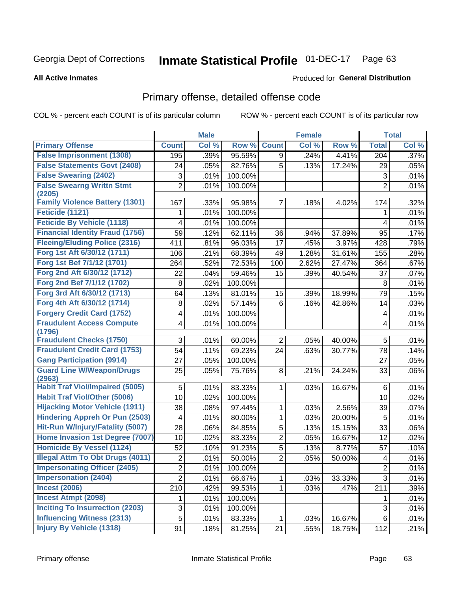#### **Inmate Statistical Profile 01-DEC-17** Page 63

#### **All Active Inmates**

#### Produced for General Distribution

## Primary offense, detailed offense code

COL % - percent each COUNT is of its particular column

|                                            |                | <b>Male</b> |         |                         | <b>Female</b> |        |                         | <b>Total</b> |
|--------------------------------------------|----------------|-------------|---------|-------------------------|---------------|--------|-------------------------|--------------|
| <b>Primary Offense</b>                     | <b>Count</b>   | Col %       | Row %   | <b>Count</b>            | Col %         | Row %  | <b>Total</b>            | Col %        |
| <b>False Imprisonment (1308)</b>           | 195            | .39%        | 95.59%  | 9                       | .24%          | 4.41%  | 204                     | .37%         |
| <b>False Statements Govt (2408)</b>        | 24             | .05%        | 82.76%  | 5                       | .13%          | 17.24% | 29                      | .05%         |
| <b>False Swearing (2402)</b>               | 3              | .01%        | 100.00% |                         |               |        | $\sqrt{3}$              | .01%         |
| <b>False Swearng Writtn Stmt</b>           | $\overline{2}$ | .01%        | 100.00% |                         |               |        | $\overline{2}$          | .01%         |
| (2205)                                     |                |             |         |                         |               |        |                         |              |
| <b>Family Violence Battery (1301)</b>      | 167            | .33%        | 95.98%  | $\overline{7}$          | .18%          | 4.02%  | 174                     | .32%         |
| Feticide (1121)                            | 1              | .01%        | 100.00% |                         |               |        | 1                       | .01%         |
| <b>Feticide By Vehicle (1118)</b>          | 4              | .01%        | 100.00% |                         |               |        | 4                       | .01%         |
| <b>Financial Identity Fraud (1756)</b>     | 59             | .12%        | 62.11%  | 36                      | .94%          | 37.89% | 95                      | .17%         |
| <b>Fleeing/Eluding Police (2316)</b>       | 411            | .81%        | 96.03%  | 17                      | .45%          | 3.97%  | 428                     | .79%         |
| Forg 1st Aft 6/30/12 (1711)                | 106            | .21%        | 68.39%  | 49                      | 1.28%         | 31.61% | 155                     | .28%         |
| Forg 1st Bef 7/1/12 (1701)                 | 264            | .52%        | 72.53%  | 100                     | 2.62%         | 27.47% | 364                     | .67%         |
| Forg 2nd Aft 6/30/12 (1712)                | 22             | .04%        | 59.46%  | 15                      | .39%          | 40.54% | 37                      | .07%         |
| Forg 2nd Bef 7/1/12 (1702)                 | 8              | .02%        | 100.00% |                         |               |        | 8                       | .01%         |
| Forg 3rd Aft 6/30/12 (1713)                | 64             | .13%        | 81.01%  | 15                      | .39%          | 18.99% | 79                      | .15%         |
| Forg 4th Aft 6/30/12 (1714)                | 8              | .02%        | 57.14%  | 6                       | .16%          | 42.86% | 14                      | .03%         |
| <b>Forgery Credit Card (1752)</b>          | 4              | .01%        | 100.00% |                         |               |        | 4                       | .01%         |
| <b>Fraudulent Access Compute</b>           | 4              | .01%        | 100.00% |                         |               |        | 4                       | .01%         |
| (1796)                                     |                |             |         |                         |               |        |                         |              |
| <b>Fraudulent Checks (1750)</b>            | 3              | .01%        | 60.00%  | $\overline{2}$          | .05%          | 40.00% | 5                       | .01%         |
| <b>Fraudulent Credit Card (1753)</b>       | 54             | .11%        | 69.23%  | 24                      | .63%          | 30.77% | 78                      | .14%         |
| <b>Gang Participation (9914)</b>           | 27             | .05%        | 100.00% |                         |               |        | 27                      | .05%         |
| <b>Guard Line W/Weapon/Drugs</b><br>(2963) | 25             | .05%        | 75.76%  | 8                       | .21%          | 24.24% | 33                      | .06%         |
| <b>Habit Traf Viol/Impaired (5005)</b>     | 5              | .01%        | 83.33%  | 1                       | .03%          | 16.67% | 6                       | .01%         |
| <b>Habit Traf Viol/Other (5006)</b>        | 10             | .02%        | 100.00% |                         |               |        | 10                      | .02%         |
| <b>Hijacking Motor Vehicle (1911)</b>      | 38             | .08%        | 97.44%  | 1                       | .03%          | 2.56%  | 39                      | .07%         |
| <b>Hindering Appreh Or Pun (2503)</b>      | 4              | .01%        | 80.00%  | 1                       | .03%          | 20.00% | 5                       | .01%         |
| Hit-Run W/Injury/Fatality (5007)           | 28             | .06%        | 84.85%  | 5                       | .13%          | 15.15% | 33                      | .06%         |
| Home Invasion 1st Degree (7007)            | 10             | .02%        | 83.33%  | $\overline{\mathbf{c}}$ | .05%          | 16.67% | 12                      | .02%         |
| <b>Homicide By Vessel (1124)</b>           | 52             | .10%        | 91.23%  | 5                       | .13%          | 8.77%  | 57                      | .10%         |
| <b>Illegal Attm To Obt Drugs (4011)</b>    | $\overline{2}$ | .01%        | 50.00%  | $\overline{2}$          | .05%          | 50.00% | $\overline{\mathbf{4}}$ | .01%         |
| <b>Impersonating Officer (2405)</b>        | $\overline{2}$ | .01%        | 100.00% |                         |               |        | $\overline{c}$          | .01%         |
| <b>Impersonation (2404)</b>                | $\overline{2}$ | .01%        | 66.67%  | 1                       | .03%          | 33.33% | $\overline{3}$          | .01%         |
| <b>Incest (2006)</b>                       | 210            | .42%        | 99.53%  | 1                       | .03%          | .47%   | 211                     | .39%         |
| <b>Incest Atmpt (2098)</b>                 | 1              | .01%        | 100.00% |                         |               |        | 1                       | .01%         |
| <b>Inciting To Insurrection (2203)</b>     | 3              | .01%        | 100.00% |                         |               |        | 3                       | .01%         |
| <b>Influencing Witness (2313)</b>          | 5              | .01%        | 83.33%  | 1                       | .03%          | 16.67% | 6                       | .01%         |
| <b>Injury By Vehicle (1318)</b>            | 91             | .18%        | 81.25%  | 21                      | .55%          | 18.75% | 112                     | .21%         |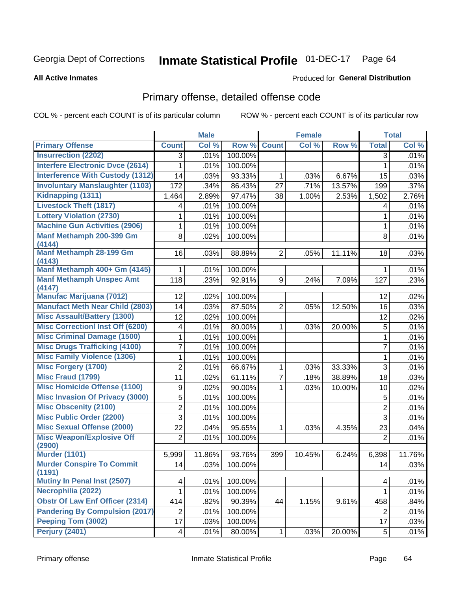#### **Inmate Statistical Profile 01-DEC-17** Page 64

#### **All Active Inmates**

### **Produced for General Distribution**

## Primary offense, detailed offense code

COL % - percent each COUNT is of its particular column

|                                            |                | <b>Male</b> |         |                | <b>Female</b> |        |                | <b>Total</b> |
|--------------------------------------------|----------------|-------------|---------|----------------|---------------|--------|----------------|--------------|
| <b>Primary Offense</b>                     | <b>Count</b>   | Col %       | Row %   | <b>Count</b>   | Col %         | Row %  | <b>Total</b>   | Col %        |
| <b>Insurrection (2202)</b>                 | 3              | .01%        | 100.00% |                |               |        | 3              | .01%         |
| <b>Interfere Electronic Dvce (2614)</b>    | 1              | .01%        | 100.00% |                |               |        | $\mathbf{1}$   | .01%         |
| <b>Interference With Custody (1312)</b>    | 14             | .03%        | 93.33%  | 1              | .03%          | 6.67%  | 15             | .03%         |
| <b>Involuntary Manslaughter (1103)</b>     | 172            | .34%        | 86.43%  | 27             | .71%          | 13.57% | 199            | .37%         |
| Kidnapping (1311)                          | 1,464          | 2.89%       | 97.47%  | 38             | 1.00%         | 2.53%  | 1,502          | 2.76%        |
| <b>Livestock Theft (1817)</b>              | 4              | .01%        | 100.00% |                |               |        | 4              | .01%         |
| <b>Lottery Violation (2730)</b>            | 1              | .01%        | 100.00% |                |               |        | 1              | .01%         |
| <b>Machine Gun Activities (2906)</b>       | 1              | .01%        | 100.00% |                |               |        | 1              | .01%         |
| Manf Methamph 200-399 Gm<br>(4144)         | 8              | .02%        | 100.00% |                |               |        | 8              | .01%         |
| Manf Methamph 28-199 Gm<br>(4143)          | 16             | .03%        | 88.89%  | $\overline{2}$ | .05%          | 11.11% | 18             | .03%         |
| Manf Methamph 400+ Gm (4145)               | 1              | .01%        | 100.00% |                |               |        | 1              | .01%         |
| <b>Manf Methamph Unspec Amt</b><br>(4147)  | 118            | .23%        | 92.91%  | 9              | .24%          | 7.09%  | 127            | .23%         |
| <b>Manufac Marijuana (7012)</b>            | 12             | .02%        | 100.00% |                |               |        | 12             | .02%         |
| <b>Manufact Meth Near Child (2803)</b>     | 14             | .03%        | 87.50%  | $\overline{2}$ | .05%          | 12.50% | 16             | .03%         |
| <b>Misc Assault/Battery (1300)</b>         | 12             | .02%        | 100.00% |                |               |        | 12             | .02%         |
| <b>Misc Correctionl Inst Off (6200)</b>    | 4              | .01%        | 80.00%  | 1              | .03%          | 20.00% | 5              | .01%         |
| <b>Misc Criminal Damage (1500)</b>         | 1              | .01%        | 100.00% |                |               |        | 1              | .01%         |
| <b>Misc Drugs Trafficking (4100)</b>       | 7              | .01%        | 100.00% |                |               |        | $\overline{7}$ | .01%         |
| <b>Misc Family Violence (1306)</b>         | $\mathbf{1}$   | .01%        | 100.00% |                |               |        | $\mathbf{1}$   | .01%         |
| <b>Misc Forgery (1700)</b>                 | $\overline{2}$ | .01%        | 66.67%  | 1              | .03%          | 33.33% | 3              | .01%         |
| <b>Misc Fraud (1799)</b>                   | 11             | .02%        | 61.11%  | $\overline{7}$ | .18%          | 38.89% | 18             | .03%         |
| <b>Misc Homicide Offense (1100)</b>        | 9              | .02%        | 90.00%  | 1              | .03%          | 10.00% | 10             | .02%         |
| <b>Misc Invasion Of Privacy (3000)</b>     | 5              | .01%        | 100.00% |                |               |        | 5              | .01%         |
| <b>Misc Obscenity (2100)</b>               | $\overline{2}$ | .01%        | 100.00% |                |               |        | $\overline{2}$ | .01%         |
| <b>Misc Public Order (2200)</b>            | 3              | .01%        | 100.00% |                |               |        | 3              | .01%         |
| <b>Misc Sexual Offense (2000)</b>          | 22             | .04%        | 95.65%  | 1              | .03%          | 4.35%  | 23             | .04%         |
| <b>Misc Weapon/Explosive Off</b><br>(2900) | $\overline{2}$ | .01%        | 100.00% |                |               |        | $\overline{2}$ | .01%         |
| <b>Murder (1101)</b>                       | 5,999          | 11.86%      | 93.76%  | 399            | 10.45%        | 6.24%  | 6,398          | 11.76%       |
| <b>Murder Conspire To Commit</b><br>(1191) | 14             | .03%        | 100.00% |                |               |        | 14             | .03%         |
| <b>Mutiny In Penal Inst (2507)</b>         | 4              | .01%        | 100.00% |                |               |        | $\overline{4}$ | .01%         |
| Necrophilia (2022)                         | $\mathbf{1}$   | .01%        | 100.00% |                |               |        | $\mathbf 1$    | .01%         |
| <b>Obstr Of Law Enf Officer (2314)</b>     | 414            | .82%        | 90.39%  | 44             | 1.15%         | 9.61%  | 458            | .84%         |
| <b>Pandering By Compulsion (2017)</b>      | $\overline{2}$ | .01%        | 100.00% |                |               |        | $\overline{2}$ | .01%         |
| Peeping Tom (3002)                         | 17             | .03%        | 100.00% |                |               |        | 17             | .03%         |
| <b>Perjury (2401)</b>                      | 4              | .01%        | 80.00%  | $\mathbf 1$    | .03%          | 20.00% | 5              | .01%         |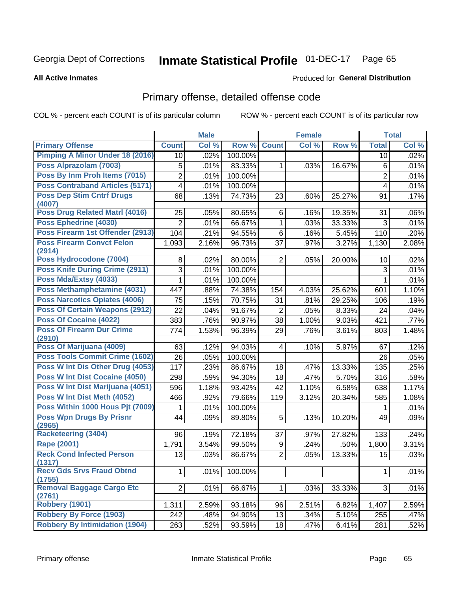#### **Inmate Statistical Profile 01-DEC-17** Page 65

#### **All Active Inmates**

#### Produced for General Distribution

## Primary offense, detailed offense code

COL % - percent each COUNT is of its particular column

|                                            |                         | <b>Male</b> |         |                | <b>Female</b> |        |                | <b>Total</b> |
|--------------------------------------------|-------------------------|-------------|---------|----------------|---------------|--------|----------------|--------------|
| <b>Primary Offense</b>                     | <b>Count</b>            | Col %       | Row %   | <b>Count</b>   | Col %         | Row %  | <b>Total</b>   | Col %        |
| <b>Pimping A Minor Under 18 (2016)</b>     | 10                      | .02%        | 100.00% |                |               |        | 10             | .02%         |
| Poss Alprazolam (7003)                     | 5                       | .01%        | 83.33%  | 1              | .03%          | 16.67% | $\,6$          | .01%         |
| Poss By Inm Proh Items (7015)              | $\overline{2}$          | .01%        | 100.00% |                |               |        | $\overline{2}$ | .01%         |
| <b>Poss Contraband Articles (5171)</b>     | $\overline{\mathbf{4}}$ | .01%        | 100.00% |                |               |        | 4              | .01%         |
| <b>Poss Dep Stim Cntrf Drugs</b>           | 68                      | .13%        | 74.73%  | 23             | .60%          | 25.27% | 91             | .17%         |
| (4007)                                     |                         |             |         |                |               |        |                |              |
| Poss Drug Related Matrl (4016)             | 25                      | .05%        | 80.65%  | 6              | .16%          | 19.35% | 31             | .06%         |
| Poss Ephedrine (4030)                      | $\overline{2}$          | .01%        | 66.67%  | $\mathbf{1}$   | .03%          | 33.33% | 3              | .01%         |
| Poss Firearm 1st Offender (2913)           | 104                     | .21%        | 94.55%  | 6              | .16%          | 5.45%  | 110            | .20%         |
| <b>Poss Firearm Convct Felon</b><br>(2914) | 1,093                   | 2.16%       | 96.73%  | 37             | .97%          | 3.27%  | 1,130          | 2.08%        |
| Poss Hydrocodone (7004)                    | 8                       | .02%        | 80.00%  | $\overline{2}$ | .05%          | 20.00% | 10             | .02%         |
| <b>Poss Knife During Crime (2911)</b>      | 3                       | .01%        | 100.00% |                |               |        | 3              | .01%         |
| Poss Mda/Extsy (4033)                      | 1                       | .01%        | 100.00% |                |               |        | 1              | .01%         |
| Poss Methamphetamine (4031)                | 447                     | .88%        | 74.38%  | 154            | 4.03%         | 25.62% | 601            | 1.10%        |
| <b>Poss Narcotics Opiates (4006)</b>       | 75                      | .15%        | 70.75%  | 31             | .81%          | 29.25% | 106            | .19%         |
| <b>Poss Of Certain Weapons (2912)</b>      | 22                      | .04%        | 91.67%  | $\overline{2}$ | .05%          | 8.33%  | 24             | .04%         |
| <b>Poss Of Cocaine (4022)</b>              | 383                     | .76%        | 90.97%  | 38             | 1.00%         | 9.03%  | 421            | .77%         |
| <b>Poss Of Firearm Dur Crime</b>           | 774                     | 1.53%       | 96.39%  | 29             | .76%          | 3.61%  | 803            | 1.48%        |
| (2910)                                     |                         |             |         |                |               |        |                |              |
| Poss Of Marijuana (4009)                   | 63                      | .12%        | 94.03%  | $\overline{4}$ | .10%          | 5.97%  | 67             | .12%         |
| Poss Tools Commit Crime (1602)             | 26                      | .05%        | 100.00% |                |               |        | 26             | .05%         |
| Poss W Int Dis Other Drug (4053)           | 117                     | .23%        | 86.67%  | 18             | .47%          | 13.33% | 135            | .25%         |
| <b>Poss W Int Dist Cocaine (4050)</b>      | 298                     | .59%        | 94.30%  | 18             | .47%          | 5.70%  | 316            | .58%         |
| Poss W Int Dist Marijuana (4051)           | 596                     | 1.18%       | 93.42%  | 42             | 1.10%         | 6.58%  | 638            | 1.17%        |
| Poss W Int Dist Meth (4052)                | 466                     | .92%        | 79.66%  | 119            | 3.12%         | 20.34% | 585            | 1.08%        |
| Poss Within 1000 Hous Pjt (7009)           | 1                       | .01%        | 100.00% |                |               |        | 1              | .01%         |
| <b>Poss Wpn Drugs By Prisnr</b><br>(2965)  | 44                      | .09%        | 89.80%  | 5              | .13%          | 10.20% | 49             | .09%         |
| <b>Racketeering (3404)</b>                 | 96                      | .19%        | 72.18%  | 37             | .97%          | 27.82% | 133            | .24%         |
| Rape (2001)                                | 1,791                   | 3.54%       | 99.50%  | 9              | .24%          | .50%   | 1,800          | 3.31%        |
| <b>Reck Cond Infected Person</b>           | 13                      | .03%        | 86.67%  | $\overline{2}$ | .05%          | 13.33% | 15             | .03%         |
| (1317)                                     |                         |             |         |                |               |        |                |              |
| <b>Recv Gds Srvs Fraud Obtnd</b><br>(1755) | 1                       | .01%        | 100.00% |                |               |        | $\mathbf{1}$   | .01%         |
| Removal Baggage Cargo Etc<br>(2761)        | 2                       | .01%        | 66.67%  | $\mathbf{1}$   | .03%          | 33.33% | 3              | .01%         |
| <b>Robbery (1901)</b>                      | 1,311                   | 2.59%       | 93.18%  | 96             | 2.51%         | 6.82%  | 1,407          | 2.59%        |
| <b>Robbery By Force (1903)</b>             | 242                     | .48%        | 94.90%  | 13             | .34%          | 5.10%  | 255            | .47%         |
| <b>Robbery By Intimidation (1904)</b>      | 263                     | .52%        | 93.59%  | 18             | .47%          | 6.41%  | 281            | .52%         |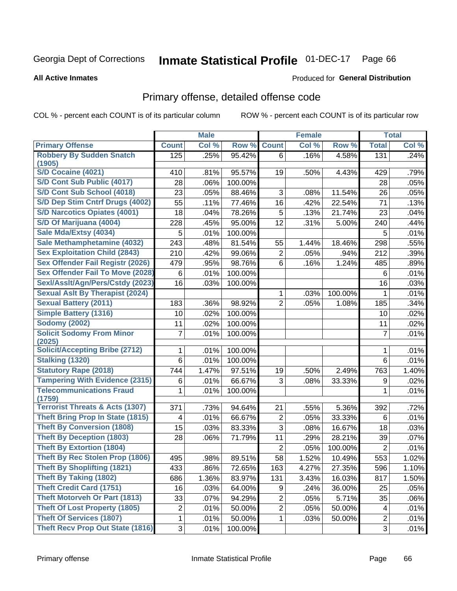#### **Inmate Statistical Profile 01-DEC-17** Page 66

Produced for General Distribution

#### **All Active Inmates**

## Primary offense, detailed offense code

COL % - percent each COUNT is of its particular column

| Col %<br><b>Primary Offense</b><br><b>Count</b><br>Col %<br>Row %<br><b>Count</b><br>Col %<br>Row %<br><b>Total</b><br><b>Robbery By Sudden Snatch</b><br>125<br>.25%<br>95.42%<br>.16%<br>.24%<br>4.58%<br>131<br>6<br>(1905)<br>S/D Cocaine (4021)<br>95.57%<br>410<br>.81%<br>19<br>.50%<br>4.43%<br>429<br>.79%<br>S/D Cont Sub Public (4017)<br>28<br>.06%<br>100.00%<br>.05%<br>28<br>S/D Cont Sub School (4018)<br>23<br>88.46%<br>3<br>11.54%<br>.05%<br>.05%<br>.08%<br>26<br>S/D Dep Stim Cntrf Drugs (4002)<br>55<br>77.46%<br>16<br>71<br>.11%<br>.42%<br>22.54%<br>.13%<br><b>S/D Narcotics Opiates (4001)</b><br>18<br>78.26%<br>5<br>.04%<br>.13%<br>21.74%<br>23<br>.04%<br>S/D Of Marijuana (4004)<br>12<br>228<br>.45%<br>95.00%<br>.31%<br>240<br>.44%<br>5.00%<br>Sale Mda/Extsy (4034)<br>5<br>.01%<br>100.00%<br>5<br>.01%<br>Sale Methamphetamine (4032)<br>243<br>81.54%<br>298<br>.48%<br>55<br>1.44%<br>18.46%<br>.55%<br><b>Sex Exploitation Child (2843)</b><br>210<br>99.06%<br>$\overline{c}$<br>212<br>.42%<br>.05%<br>.94%<br>.39%<br>Sex Offender Fail Registr (2026)<br>479<br>98.76%<br>6<br>$\overline{1.24\%}$<br>.89%<br>.95%<br>.16%<br>485<br><b>Sex Offender Fail To Move (2028)</b><br>100.00%<br>6<br>.01%<br>.01%<br>6<br>Sexl/Asslt/Agn/Pers/Cstdy (2023)<br>16<br>100.00%<br>.03%<br>16<br>.03%<br><b>Sexual Aslt By Therapist (2024)</b><br>.03%<br>100.00%<br>.01%<br>1<br>1<br><b>Sexual Battery (2011)</b><br>183<br>.36%<br>98.92%<br>$\overline{2}$<br>.34%<br>.05%<br>1.08%<br>185<br><b>Simple Battery (1316)</b><br>100.00%<br>10<br>.02%<br>.02%<br>10<br><b>Sodomy (2002)</b><br>11<br>100.00%<br>.02%<br>11<br>.02%<br><b>Solicit Sodomy From Minor</b><br>7<br>$\overline{7}$<br>.01%<br>.01%<br>100.00%<br>(2025)<br><b>Solicit/Accepting Bribe (2712)</b><br>100.00%<br>.01%<br>.01%<br>1<br>1<br><b>Stalking (1320)</b><br>6<br>.01%<br>100.00%<br>.01%<br>6<br><b>Statutory Rape (2018)</b><br>744<br>1.47%<br>97.51%<br>2.49%<br>763<br>1.40%<br>19<br>.50%<br><b>Tampering With Evidence (2315)</b><br>66.67%<br>3<br>33.33%<br>.01%<br>.02%<br>6<br>.08%<br>9<br><b>Telecommunications Fraud</b><br>100.00%<br>.01%<br>1<br>.01%<br>1<br>(1759)<br><b>Terrorist Threats &amp; Acts (1307)</b><br>.73%<br>94.64%<br>5.36%<br>.72%<br>371<br>21<br>.55%<br>392<br><b>Theft Bring Prop In State (1815)</b><br>2<br>.01%<br>.01%<br>66.67%<br>.05%<br>33.33%<br>6<br>4<br><b>Theft By Conversion (1808)</b><br>3<br>15<br>.03%<br>83.33%<br>.08%<br>16.67%<br>18<br>.03% |                                  |    | <b>Male</b> |        |    | <b>Female</b> |        |    | <b>Total</b> |
|----------------------------------------------------------------------------------------------------------------------------------------------------------------------------------------------------------------------------------------------------------------------------------------------------------------------------------------------------------------------------------------------------------------------------------------------------------------------------------------------------------------------------------------------------------------------------------------------------------------------------------------------------------------------------------------------------------------------------------------------------------------------------------------------------------------------------------------------------------------------------------------------------------------------------------------------------------------------------------------------------------------------------------------------------------------------------------------------------------------------------------------------------------------------------------------------------------------------------------------------------------------------------------------------------------------------------------------------------------------------------------------------------------------------------------------------------------------------------------------------------------------------------------------------------------------------------------------------------------------------------------------------------------------------------------------------------------------------------------------------------------------------------------------------------------------------------------------------------------------------------------------------------------------------------------------------------------------------------------------------------------------------------------------------------------------------------------------------------------------------------------------------------------------------------------------------------------------------------------------------------------------------------------------------------------------------------------------------------------------------------------------------------------------------------------------------------------------------------------------------------------------------------------------|----------------------------------|----|-------------|--------|----|---------------|--------|----|--------------|
|                                                                                                                                                                                                                                                                                                                                                                                                                                                                                                                                                                                                                                                                                                                                                                                                                                                                                                                                                                                                                                                                                                                                                                                                                                                                                                                                                                                                                                                                                                                                                                                                                                                                                                                                                                                                                                                                                                                                                                                                                                                                                                                                                                                                                                                                                                                                                                                                                                                                                                                                        |                                  |    |             |        |    |               |        |    |              |
|                                                                                                                                                                                                                                                                                                                                                                                                                                                                                                                                                                                                                                                                                                                                                                                                                                                                                                                                                                                                                                                                                                                                                                                                                                                                                                                                                                                                                                                                                                                                                                                                                                                                                                                                                                                                                                                                                                                                                                                                                                                                                                                                                                                                                                                                                                                                                                                                                                                                                                                                        |                                  |    |             |        |    |               |        |    |              |
|                                                                                                                                                                                                                                                                                                                                                                                                                                                                                                                                                                                                                                                                                                                                                                                                                                                                                                                                                                                                                                                                                                                                                                                                                                                                                                                                                                                                                                                                                                                                                                                                                                                                                                                                                                                                                                                                                                                                                                                                                                                                                                                                                                                                                                                                                                                                                                                                                                                                                                                                        |                                  |    |             |        |    |               |        |    |              |
|                                                                                                                                                                                                                                                                                                                                                                                                                                                                                                                                                                                                                                                                                                                                                                                                                                                                                                                                                                                                                                                                                                                                                                                                                                                                                                                                                                                                                                                                                                                                                                                                                                                                                                                                                                                                                                                                                                                                                                                                                                                                                                                                                                                                                                                                                                                                                                                                                                                                                                                                        |                                  |    |             |        |    |               |        |    |              |
|                                                                                                                                                                                                                                                                                                                                                                                                                                                                                                                                                                                                                                                                                                                                                                                                                                                                                                                                                                                                                                                                                                                                                                                                                                                                                                                                                                                                                                                                                                                                                                                                                                                                                                                                                                                                                                                                                                                                                                                                                                                                                                                                                                                                                                                                                                                                                                                                                                                                                                                                        |                                  |    |             |        |    |               |        |    |              |
|                                                                                                                                                                                                                                                                                                                                                                                                                                                                                                                                                                                                                                                                                                                                                                                                                                                                                                                                                                                                                                                                                                                                                                                                                                                                                                                                                                                                                                                                                                                                                                                                                                                                                                                                                                                                                                                                                                                                                                                                                                                                                                                                                                                                                                                                                                                                                                                                                                                                                                                                        |                                  |    |             |        |    |               |        |    |              |
|                                                                                                                                                                                                                                                                                                                                                                                                                                                                                                                                                                                                                                                                                                                                                                                                                                                                                                                                                                                                                                                                                                                                                                                                                                                                                                                                                                                                                                                                                                                                                                                                                                                                                                                                                                                                                                                                                                                                                                                                                                                                                                                                                                                                                                                                                                                                                                                                                                                                                                                                        |                                  |    |             |        |    |               |        |    |              |
|                                                                                                                                                                                                                                                                                                                                                                                                                                                                                                                                                                                                                                                                                                                                                                                                                                                                                                                                                                                                                                                                                                                                                                                                                                                                                                                                                                                                                                                                                                                                                                                                                                                                                                                                                                                                                                                                                                                                                                                                                                                                                                                                                                                                                                                                                                                                                                                                                                                                                                                                        |                                  |    |             |        |    |               |        |    |              |
|                                                                                                                                                                                                                                                                                                                                                                                                                                                                                                                                                                                                                                                                                                                                                                                                                                                                                                                                                                                                                                                                                                                                                                                                                                                                                                                                                                                                                                                                                                                                                                                                                                                                                                                                                                                                                                                                                                                                                                                                                                                                                                                                                                                                                                                                                                                                                                                                                                                                                                                                        |                                  |    |             |        |    |               |        |    |              |
|                                                                                                                                                                                                                                                                                                                                                                                                                                                                                                                                                                                                                                                                                                                                                                                                                                                                                                                                                                                                                                                                                                                                                                                                                                                                                                                                                                                                                                                                                                                                                                                                                                                                                                                                                                                                                                                                                                                                                                                                                                                                                                                                                                                                                                                                                                                                                                                                                                                                                                                                        |                                  |    |             |        |    |               |        |    |              |
|                                                                                                                                                                                                                                                                                                                                                                                                                                                                                                                                                                                                                                                                                                                                                                                                                                                                                                                                                                                                                                                                                                                                                                                                                                                                                                                                                                                                                                                                                                                                                                                                                                                                                                                                                                                                                                                                                                                                                                                                                                                                                                                                                                                                                                                                                                                                                                                                                                                                                                                                        |                                  |    |             |        |    |               |        |    |              |
|                                                                                                                                                                                                                                                                                                                                                                                                                                                                                                                                                                                                                                                                                                                                                                                                                                                                                                                                                                                                                                                                                                                                                                                                                                                                                                                                                                                                                                                                                                                                                                                                                                                                                                                                                                                                                                                                                                                                                                                                                                                                                                                                                                                                                                                                                                                                                                                                                                                                                                                                        |                                  |    |             |        |    |               |        |    |              |
|                                                                                                                                                                                                                                                                                                                                                                                                                                                                                                                                                                                                                                                                                                                                                                                                                                                                                                                                                                                                                                                                                                                                                                                                                                                                                                                                                                                                                                                                                                                                                                                                                                                                                                                                                                                                                                                                                                                                                                                                                                                                                                                                                                                                                                                                                                                                                                                                                                                                                                                                        |                                  |    |             |        |    |               |        |    |              |
|                                                                                                                                                                                                                                                                                                                                                                                                                                                                                                                                                                                                                                                                                                                                                                                                                                                                                                                                                                                                                                                                                                                                                                                                                                                                                                                                                                                                                                                                                                                                                                                                                                                                                                                                                                                                                                                                                                                                                                                                                                                                                                                                                                                                                                                                                                                                                                                                                                                                                                                                        |                                  |    |             |        |    |               |        |    |              |
|                                                                                                                                                                                                                                                                                                                                                                                                                                                                                                                                                                                                                                                                                                                                                                                                                                                                                                                                                                                                                                                                                                                                                                                                                                                                                                                                                                                                                                                                                                                                                                                                                                                                                                                                                                                                                                                                                                                                                                                                                                                                                                                                                                                                                                                                                                                                                                                                                                                                                                                                        |                                  |    |             |        |    |               |        |    |              |
|                                                                                                                                                                                                                                                                                                                                                                                                                                                                                                                                                                                                                                                                                                                                                                                                                                                                                                                                                                                                                                                                                                                                                                                                                                                                                                                                                                                                                                                                                                                                                                                                                                                                                                                                                                                                                                                                                                                                                                                                                                                                                                                                                                                                                                                                                                                                                                                                                                                                                                                                        |                                  |    |             |        |    |               |        |    |              |
|                                                                                                                                                                                                                                                                                                                                                                                                                                                                                                                                                                                                                                                                                                                                                                                                                                                                                                                                                                                                                                                                                                                                                                                                                                                                                                                                                                                                                                                                                                                                                                                                                                                                                                                                                                                                                                                                                                                                                                                                                                                                                                                                                                                                                                                                                                                                                                                                                                                                                                                                        |                                  |    |             |        |    |               |        |    |              |
|                                                                                                                                                                                                                                                                                                                                                                                                                                                                                                                                                                                                                                                                                                                                                                                                                                                                                                                                                                                                                                                                                                                                                                                                                                                                                                                                                                                                                                                                                                                                                                                                                                                                                                                                                                                                                                                                                                                                                                                                                                                                                                                                                                                                                                                                                                                                                                                                                                                                                                                                        |                                  |    |             |        |    |               |        |    |              |
|                                                                                                                                                                                                                                                                                                                                                                                                                                                                                                                                                                                                                                                                                                                                                                                                                                                                                                                                                                                                                                                                                                                                                                                                                                                                                                                                                                                                                                                                                                                                                                                                                                                                                                                                                                                                                                                                                                                                                                                                                                                                                                                                                                                                                                                                                                                                                                                                                                                                                                                                        |                                  |    |             |        |    |               |        |    |              |
|                                                                                                                                                                                                                                                                                                                                                                                                                                                                                                                                                                                                                                                                                                                                                                                                                                                                                                                                                                                                                                                                                                                                                                                                                                                                                                                                                                                                                                                                                                                                                                                                                                                                                                                                                                                                                                                                                                                                                                                                                                                                                                                                                                                                                                                                                                                                                                                                                                                                                                                                        |                                  |    |             |        |    |               |        |    |              |
|                                                                                                                                                                                                                                                                                                                                                                                                                                                                                                                                                                                                                                                                                                                                                                                                                                                                                                                                                                                                                                                                                                                                                                                                                                                                                                                                                                                                                                                                                                                                                                                                                                                                                                                                                                                                                                                                                                                                                                                                                                                                                                                                                                                                                                                                                                                                                                                                                                                                                                                                        |                                  |    |             |        |    |               |        |    |              |
|                                                                                                                                                                                                                                                                                                                                                                                                                                                                                                                                                                                                                                                                                                                                                                                                                                                                                                                                                                                                                                                                                                                                                                                                                                                                                                                                                                                                                                                                                                                                                                                                                                                                                                                                                                                                                                                                                                                                                                                                                                                                                                                                                                                                                                                                                                                                                                                                                                                                                                                                        |                                  |    |             |        |    |               |        |    |              |
|                                                                                                                                                                                                                                                                                                                                                                                                                                                                                                                                                                                                                                                                                                                                                                                                                                                                                                                                                                                                                                                                                                                                                                                                                                                                                                                                                                                                                                                                                                                                                                                                                                                                                                                                                                                                                                                                                                                                                                                                                                                                                                                                                                                                                                                                                                                                                                                                                                                                                                                                        |                                  |    |             |        |    |               |        |    |              |
|                                                                                                                                                                                                                                                                                                                                                                                                                                                                                                                                                                                                                                                                                                                                                                                                                                                                                                                                                                                                                                                                                                                                                                                                                                                                                                                                                                                                                                                                                                                                                                                                                                                                                                                                                                                                                                                                                                                                                                                                                                                                                                                                                                                                                                                                                                                                                                                                                                                                                                                                        |                                  |    |             |        |    |               |        |    |              |
|                                                                                                                                                                                                                                                                                                                                                                                                                                                                                                                                                                                                                                                                                                                                                                                                                                                                                                                                                                                                                                                                                                                                                                                                                                                                                                                                                                                                                                                                                                                                                                                                                                                                                                                                                                                                                                                                                                                                                                                                                                                                                                                                                                                                                                                                                                                                                                                                                                                                                                                                        |                                  |    |             |        |    |               |        |    |              |
|                                                                                                                                                                                                                                                                                                                                                                                                                                                                                                                                                                                                                                                                                                                                                                                                                                                                                                                                                                                                                                                                                                                                                                                                                                                                                                                                                                                                                                                                                                                                                                                                                                                                                                                                                                                                                                                                                                                                                                                                                                                                                                                                                                                                                                                                                                                                                                                                                                                                                                                                        |                                  |    |             |        |    |               |        |    |              |
|                                                                                                                                                                                                                                                                                                                                                                                                                                                                                                                                                                                                                                                                                                                                                                                                                                                                                                                                                                                                                                                                                                                                                                                                                                                                                                                                                                                                                                                                                                                                                                                                                                                                                                                                                                                                                                                                                                                                                                                                                                                                                                                                                                                                                                                                                                                                                                                                                                                                                                                                        |                                  |    |             |        |    |               |        |    |              |
|                                                                                                                                                                                                                                                                                                                                                                                                                                                                                                                                                                                                                                                                                                                                                                                                                                                                                                                                                                                                                                                                                                                                                                                                                                                                                                                                                                                                                                                                                                                                                                                                                                                                                                                                                                                                                                                                                                                                                                                                                                                                                                                                                                                                                                                                                                                                                                                                                                                                                                                                        |                                  |    |             |        |    |               |        |    |              |
|                                                                                                                                                                                                                                                                                                                                                                                                                                                                                                                                                                                                                                                                                                                                                                                                                                                                                                                                                                                                                                                                                                                                                                                                                                                                                                                                                                                                                                                                                                                                                                                                                                                                                                                                                                                                                                                                                                                                                                                                                                                                                                                                                                                                                                                                                                                                                                                                                                                                                                                                        |                                  |    |             |        |    |               |        |    |              |
|                                                                                                                                                                                                                                                                                                                                                                                                                                                                                                                                                                                                                                                                                                                                                                                                                                                                                                                                                                                                                                                                                                                                                                                                                                                                                                                                                                                                                                                                                                                                                                                                                                                                                                                                                                                                                                                                                                                                                                                                                                                                                                                                                                                                                                                                                                                                                                                                                                                                                                                                        | <b>Theft By Deception (1803)</b> | 28 | .06%        | 71.79% | 11 | .29%          | 28.21% | 39 | .07%         |
| <b>Theft By Extortion (1804)</b><br>$\overline{c}$<br>100.00%<br>$\overline{2}$<br>.01%<br>.05%                                                                                                                                                                                                                                                                                                                                                                                                                                                                                                                                                                                                                                                                                                                                                                                                                                                                                                                                                                                                                                                                                                                                                                                                                                                                                                                                                                                                                                                                                                                                                                                                                                                                                                                                                                                                                                                                                                                                                                                                                                                                                                                                                                                                                                                                                                                                                                                                                                        |                                  |    |             |        |    |               |        |    |              |
| <b>Theft By Rec Stolen Prop (1806)</b><br>58<br>553<br>495<br>.98%<br>89.51%<br>1.52%<br>10.49%<br>1.02%                                                                                                                                                                                                                                                                                                                                                                                                                                                                                                                                                                                                                                                                                                                                                                                                                                                                                                                                                                                                                                                                                                                                                                                                                                                                                                                                                                                                                                                                                                                                                                                                                                                                                                                                                                                                                                                                                                                                                                                                                                                                                                                                                                                                                                                                                                                                                                                                                               |                                  |    |             |        |    |               |        |    |              |
| <b>Theft By Shoplifting (1821)</b><br>433<br>.86%<br>72.65%<br>163<br>4.27%<br>27.35%<br>596<br>1.10%                                                                                                                                                                                                                                                                                                                                                                                                                                                                                                                                                                                                                                                                                                                                                                                                                                                                                                                                                                                                                                                                                                                                                                                                                                                                                                                                                                                                                                                                                                                                                                                                                                                                                                                                                                                                                                                                                                                                                                                                                                                                                                                                                                                                                                                                                                                                                                                                                                  |                                  |    |             |        |    |               |        |    |              |
| <b>Theft By Taking (1802)</b><br>83.97%<br>1.50%<br>686<br>1.36%<br>131<br>3.43%<br>16.03%<br>817                                                                                                                                                                                                                                                                                                                                                                                                                                                                                                                                                                                                                                                                                                                                                                                                                                                                                                                                                                                                                                                                                                                                                                                                                                                                                                                                                                                                                                                                                                                                                                                                                                                                                                                                                                                                                                                                                                                                                                                                                                                                                                                                                                                                                                                                                                                                                                                                                                      |                                  |    |             |        |    |               |        |    |              |
| <b>Theft Credit Card (1751)</b><br>16<br>.03%<br>64.00%<br>9<br>.24%<br>36.00%<br>25<br>.05%                                                                                                                                                                                                                                                                                                                                                                                                                                                                                                                                                                                                                                                                                                                                                                                                                                                                                                                                                                                                                                                                                                                                                                                                                                                                                                                                                                                                                                                                                                                                                                                                                                                                                                                                                                                                                                                                                                                                                                                                                                                                                                                                                                                                                                                                                                                                                                                                                                           |                                  |    |             |        |    |               |        |    |              |
| <b>Theft Motorveh Or Part (1813)</b><br>$\overline{2}$<br>33<br>94.29%<br>5.71%<br>.07%<br>.05%<br>35<br>.06%                                                                                                                                                                                                                                                                                                                                                                                                                                                                                                                                                                                                                                                                                                                                                                                                                                                                                                                                                                                                                                                                                                                                                                                                                                                                                                                                                                                                                                                                                                                                                                                                                                                                                                                                                                                                                                                                                                                                                                                                                                                                                                                                                                                                                                                                                                                                                                                                                          |                                  |    |             |        |    |               |        |    |              |
| <b>Theft Of Lost Property (1805)</b><br>$\overline{c}$<br>$\overline{2}$<br>.01%<br>50.00%<br>.05%<br>50.00%<br>.01%<br>4                                                                                                                                                                                                                                                                                                                                                                                                                                                                                                                                                                                                                                                                                                                                                                                                                                                                                                                                                                                                                                                                                                                                                                                                                                                                                                                                                                                                                                                                                                                                                                                                                                                                                                                                                                                                                                                                                                                                                                                                                                                                                                                                                                                                                                                                                                                                                                                                              |                                  |    |             |        |    |               |        |    |              |
| <b>Theft Of Services (1807)</b><br>1<br>.01%<br>50.00%<br>$\mathbf{1}$<br>50.00%<br>$\mathbf{2}$<br>.01%<br>.03%                                                                                                                                                                                                                                                                                                                                                                                                                                                                                                                                                                                                                                                                                                                                                                                                                                                                                                                                                                                                                                                                                                                                                                                                                                                                                                                                                                                                                                                                                                                                                                                                                                                                                                                                                                                                                                                                                                                                                                                                                                                                                                                                                                                                                                                                                                                                                                                                                       |                                  |    |             |        |    |               |        |    |              |
| <b>Theft Recv Prop Out State (1816)</b><br>$\overline{3}$<br>$\mathfrak{B}$<br>100.00%<br>.01%<br>.01%                                                                                                                                                                                                                                                                                                                                                                                                                                                                                                                                                                                                                                                                                                                                                                                                                                                                                                                                                                                                                                                                                                                                                                                                                                                                                                                                                                                                                                                                                                                                                                                                                                                                                                                                                                                                                                                                                                                                                                                                                                                                                                                                                                                                                                                                                                                                                                                                                                 |                                  |    |             |        |    |               |        |    |              |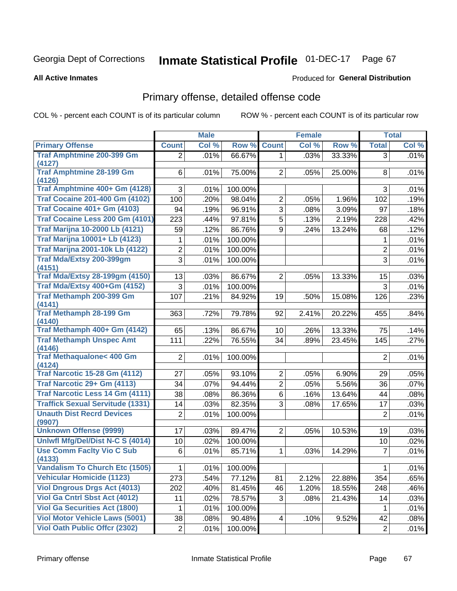#### **Inmate Statistical Profile 01-DEC-17** Page 67

**All Active Inmates** 

#### Produced for General Distribution

## Primary offense, detailed offense code

COL % - percent each COUNT is of its particular column

|                                            |                | <b>Male</b> |         |                | <b>Female</b> |        |                | <b>Total</b> |
|--------------------------------------------|----------------|-------------|---------|----------------|---------------|--------|----------------|--------------|
| <b>Primary Offense</b>                     | <b>Count</b>   | Col %       | Row %   | <b>Count</b>   | Col %         | Row %  | <b>Total</b>   | Col %        |
| <b>Traf Amphtmine 200-399 Gm</b>           | $\overline{2}$ | .01%        | 66.67%  | 1 <sup>1</sup> | .03%          | 33.33% | $\overline{3}$ | .01%         |
| (4127)                                     |                |             |         |                |               |        |                |              |
| <b>Traf Amphtmine 28-199 Gm</b><br>(4126)  | 6              | .01%        | 75.00%  | $\overline{2}$ | .05%          | 25.00% | 8              | .01%         |
| Traf Amphtmine 400+ Gm (4128)              | 3              | .01%        | 100.00% |                |               |        | 3              | .01%         |
| <b>Traf Cocaine 201-400 Gm (4102)</b>      | 100            | .20%        | 98.04%  | $\overline{2}$ | .05%          | 1.96%  | 102            | .19%         |
| <b>Traf Cocaine 401+ Gm (4103)</b>         | 94             | .19%        | 96.91%  | 3              | .08%          | 3.09%  | 97             | .18%         |
| Traf Cocaine Less 200 Gm (4101)            | 223            | .44%        | 97.81%  | $\overline{5}$ | .13%          | 2.19%  | 228            | .42%         |
| <b>Traf Marijna 10-2000 Lb (4121)</b>      | 59             | .12%        | 86.76%  | 9              | .24%          | 13.24% | 68             | .12%         |
| <b>Traf Marijna 10001+ Lb (4123)</b>       | 1              | .01%        | 100.00% |                |               |        | 1              | .01%         |
| <b>Traf Marijna 2001-10k Lb (4122)</b>     | $\overline{2}$ | .01%        | 100.00% |                |               |        | $\overline{2}$ | .01%         |
| <b>Traf Mda/Extsy 200-399gm</b>            | 3              | .01%        | 100.00% |                |               |        | 3              | .01%         |
| (4151)                                     |                |             |         |                |               |        |                |              |
| <b>Traf Mda/Extsy 28-199gm (4150)</b>      | 13             | .03%        | 86.67%  | $\overline{2}$ | .05%          | 13.33% | 15             | .03%         |
| Traf Mda/Extsy 400+Gm (4152)               | 3              | .01%        | 100.00% |                |               |        | 3              | .01%         |
| Traf Methamph 200-399 Gm                   | 107            | .21%        | 84.92%  | 19             | .50%          | 15.08% | 126            | .23%         |
| (4141)                                     |                |             |         |                |               |        |                |              |
| <b>Traf Methamph 28-199 Gm</b><br>(4140)   | 363            | .72%        | 79.78%  | 92             | 2.41%         | 20.22% | 455            | .84%         |
| Traf Methamph 400+ Gm (4142)               | 65             | .13%        | 86.67%  | 10             | .26%          | 13.33% | 75             | .14%         |
| <b>Traf Methamph Unspec Amt</b>            | 111            | .22%        | 76.55%  | 34             | .89%          | 23.45% | 145            | .27%         |
| (4146)                                     |                |             |         |                |               |        |                |              |
| <b>Traf Methaqualone&lt; 400 Gm</b>        | $\overline{2}$ | .01%        | 100.00% |                |               |        | $\overline{2}$ | .01%         |
| (4124)                                     |                |             |         |                |               |        |                |              |
| <b>Traf Narcotic 15-28 Gm (4112)</b>       | 27             | .05%        | 93.10%  | $\overline{2}$ | .05%          | 6.90%  | 29             | .05%         |
| Traf Narcotic 29+ Gm (4113)                | 34             | .07%        | 94.44%  | $\overline{2}$ | .05%          | 5.56%  | 36             | .07%         |
| Traf Narcotic Less 14 Gm (4111)            | 38             | .08%        | 86.36%  | $6\phantom{a}$ | .16%          | 13.64% | 44             | .08%         |
| <b>Traffick Sexual Servitude (1331)</b>    | 14             | .03%        | 82.35%  | 3              | .08%          | 17.65% | 17             | .03%         |
| <b>Unauth Dist Recrd Devices</b><br>(9907) | $\overline{2}$ | .01%        | 100.00% |                |               |        | $\overline{2}$ | .01%         |
| <b>Unknown Offense (9999)</b>              | 17             | .03%        | 89.47%  | $\overline{2}$ | .05%          | 10.53% | 19             | .03%         |
| Uniwfl Mfg/Del/Dist N-C S (4014)           | 10             | .02%        | 100.00% |                |               |        | 10             | .02%         |
| <b>Use Comm Facity Vio C Sub</b>           | 6              | .01%        | 85.71%  | 1              | .03%          | 14.29% | $\overline{7}$ | .01%         |
| (4133)                                     |                |             |         |                |               |        |                |              |
| <b>Vandalism To Church Etc (1505)</b>      | $\mathbf{1}$   | .01%        | 100.00% |                |               |        | $\mathbf{1}$   | .01%         |
| <b>Vehicular Homicide (1123)</b>           | 273            | .54%        | 77.12%  | 81             | 2.12%         | 22.88% | 354            | .65%         |
| <b>Viol Dngrous Drgs Act (4013)</b>        | 202            | .40%        | 81.45%  | 46             | 1.20%         | 18.55% | 248            | .46%         |
| <b>Viol Ga Cntrl Sbst Act (4012)</b>       | 11             | .02%        | 78.57%  | 3              | .08%          | 21.43% | 14             | .03%         |
| <b>Viol Ga Securities Act (1800)</b>       | 1              | .01%        | 100.00% |                |               |        | 1              | .01%         |
| <b>Viol Motor Vehicle Laws (5001)</b>      | 38             | .08%        | 90.48%  | 4              | .10%          | 9.52%  | 42             | .08%         |
| <b>Viol Oath Public Offcr (2302)</b>       | $\overline{c}$ | .01%        | 100.00% |                |               |        | $\overline{2}$ | .01%         |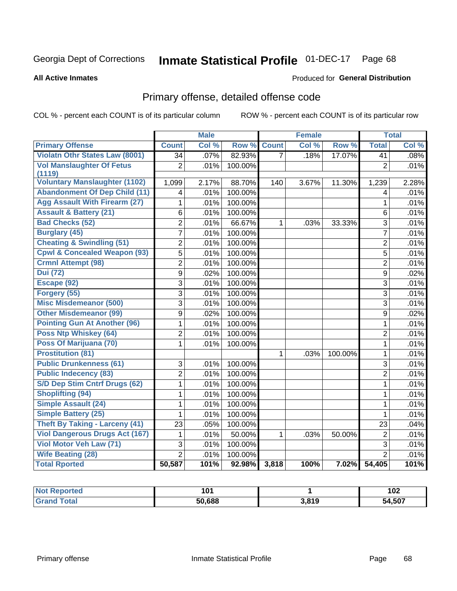#### **Inmate Statistical Profile 01-DEC-17** Page 68

#### **All Active Inmates**

#### Produced for General Distribution

## Primary offense, detailed offense code

COL % - percent each COUNT is of its particular column

|                                         |                         | <b>Male</b> |         |                | <b>Female</b> |         |                  | <b>Total</b> |
|-----------------------------------------|-------------------------|-------------|---------|----------------|---------------|---------|------------------|--------------|
| <b>Primary Offense</b>                  | <b>Count</b>            | Col %       | Row %   | <b>Count</b>   | Col %         | Row %   | <b>Total</b>     | Col %        |
| <b>Violatn Othr States Law (8001)</b>   | $\overline{34}$         | .07%        | 82.93%  | $\overline{7}$ | .18%          | 17.07%  | $\overline{41}$  | .08%         |
| <b>Vol Manslaughter Of Fetus</b>        | $\overline{2}$          | .01%        | 100.00% |                |               |         | $\overline{2}$   | .01%         |
| (1119)                                  |                         |             |         |                |               |         |                  |              |
| <b>Voluntary Manslaughter (1102)</b>    | 1,099                   | 2.17%       | 88.70%  | 140            | 3.67%         | 11.30%  | 1,239            | 2.28%        |
| <b>Abandonment Of Dep Child (11)</b>    | $\overline{\mathbf{4}}$ | .01%        | 100.00% |                |               |         | $\overline{4}$   | .01%         |
| <b>Agg Assault With Firearm (27)</b>    | 1                       | .01%        | 100.00% |                |               |         | $\mathbf{1}$     | .01%         |
| <b>Assault &amp; Battery (21)</b>       | 6                       | .01%        | 100.00% |                |               |         | 6                | .01%         |
| <b>Bad Checks (52)</b>                  | $\overline{2}$          | .01%        | 66.67%  | $\mathbf{1}$   | .03%          | 33.33%  | 3                | .01%         |
| <b>Burglary (45)</b>                    | $\overline{7}$          | .01%        | 100.00% |                |               |         | $\overline{7}$   | .01%         |
| <b>Cheating &amp; Swindling (51)</b>    | $\overline{2}$          | .01%        | 100.00% |                |               |         | $\overline{2}$   | .01%         |
| <b>Cpwl &amp; Concealed Weapon (93)</b> | $\overline{5}$          | .01%        | 100.00% |                |               |         | 5                | .01%         |
| <b>Crmnl Attempt (98)</b>               | $\overline{2}$          | .01%        | 100.00% |                |               |         | $\overline{2}$   | .01%         |
| <b>Dui</b> (72)                         | $\overline{9}$          | .02%        | 100.00% |                |               |         | 9                | .02%         |
| Escape (92)                             | $\overline{3}$          | .01%        | 100.00% |                |               |         | 3                | .01%         |
| Forgery (55)                            | $\overline{3}$          | .01%        | 100.00% |                |               |         | 3                | .01%         |
| <b>Misc Misdemeanor (500)</b>           | $\overline{3}$          | .01%        | 100.00% |                |               |         | 3                | .01%         |
| <b>Other Misdemeanor (99)</b>           | $\overline{9}$          | .02%        | 100.00% |                |               |         | $\boldsymbol{9}$ | .02%         |
| <b>Pointing Gun At Another (96)</b>     | $\mathbf{1}$            | .01%        | 100.00% |                |               |         | $\mathbf{1}$     | .01%         |
| <b>Poss Ntp Whiskey (64)</b>            | $\overline{2}$          | .01%        | 100.00% |                |               |         | $\overline{2}$   | .01%         |
| Poss Of Marijuana (70)                  | $\overline{1}$          | .01%        | 100.00% |                |               |         | $\mathbf{1}$     | .01%         |
| <b>Prostitution (81)</b>                |                         |             |         | 1              | .03%          | 100.00% | $\mathbf{1}$     | .01%         |
| <b>Public Drunkenness (61)</b>          | 3                       | .01%        | 100.00% |                |               |         | 3                | .01%         |
| <b>Public Indecency (83)</b>            | $\overline{2}$          | .01%        | 100.00% |                |               |         | $\overline{2}$   | .01%         |
| <b>S/D Dep Stim Cntrf Drugs (62)</b>    | $\mathbf{1}$            | .01%        | 100.00% |                |               |         | $\mathbf{1}$     | .01%         |
| <b>Shoplifting (94)</b>                 | 1                       | .01%        | 100.00% |                |               |         | $\mathbf 1$      | .01%         |
| <b>Simple Assault (24)</b>              | 1                       | .01%        | 100.00% |                |               |         | 1                | .01%         |
| <b>Simple Battery (25)</b>              | 1                       | .01%        | 100.00% |                |               |         | 1                | .01%         |
| <b>Theft By Taking - Larceny (41)</b>   | 23                      | .05%        | 100.00% |                |               |         | 23               | .04%         |
| <b>Viol Dangerous Drugs Act (167)</b>   | $\mathbf{1}$            | .01%        | 50.00%  | 1              | .03%          | 50.00%  | $\overline{2}$   | .01%         |
| Viol Motor Veh Law (71)                 | $\overline{3}$          | .01%        | 100.00% |                |               |         | 3                | .01%         |
| <b>Wife Beating (28)</b>                | $\overline{2}$          | .01%        | 100.00% |                |               |         | $\overline{2}$   | .01%         |
| <b>Total Rported</b>                    | 50,587                  | 101%        | 92.98%  | 3,818          | 100%          | 7.02%   | 54,405           | 101%         |

| <b>ported</b> | 1 N 1<br>וטו |                        | 102         |
|---------------|--------------|------------------------|-------------|
| 'ota.         | 50,688       | <b>3810</b><br>J.O I J | ,507<br>'nД |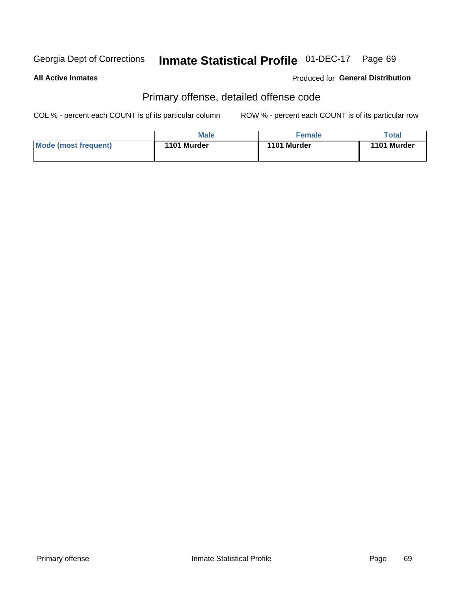#### **Inmate Statistical Profile 01-DEC-17** Page 69

#### **All Active Inmates**

#### Produced for General Distribution

## Primary offense, detailed offense code

COL % - percent each COUNT is of its particular column

|                      | <b>Male</b> | <b>Female</b> | Total       |
|----------------------|-------------|---------------|-------------|
| Mode (most frequent) | 1101 Murder | 1101 Murder   | 1101 Murder |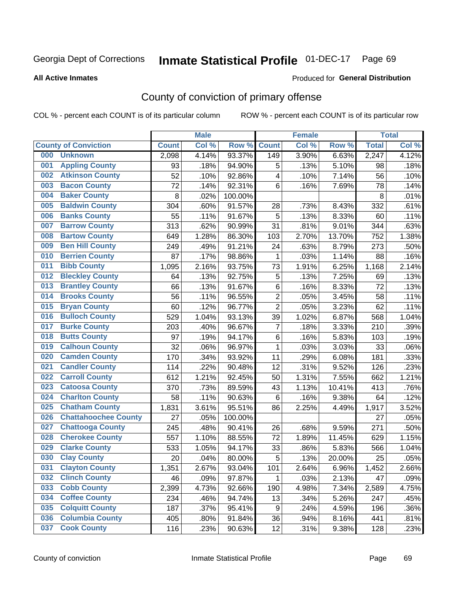# Inmate Statistical Profile 01-DEC-17 Page 69

#### **All Active Inmates**

#### Produced for General Distribution

## County of conviction of primary offense

COL % - percent each COUNT is of its particular column

|     |                             |              | <b>Male</b> |         |                | <b>Female</b> |        |              | <b>Total</b> |
|-----|-----------------------------|--------------|-------------|---------|----------------|---------------|--------|--------------|--------------|
|     | <b>County of Conviction</b> | <b>Count</b> | Col %       | Row %   | <b>Count</b>   | Col %         | Row %  | <b>Total</b> | Col %        |
| 000 | <b>Unknown</b>              | 2,098        | 4.14%       | 93.37%  | 149            | 3.90%         | 6.63%  | 2,247        | 4.12%        |
| 001 | <b>Appling County</b>       | 93           | .18%        | 94.90%  | 5              | .13%          | 5.10%  | 98           | .18%         |
| 002 | <b>Atkinson County</b>      | 52           | .10%        | 92.86%  | 4              | .10%          | 7.14%  | 56           | .10%         |
| 003 | <b>Bacon County</b>         | 72           | .14%        | 92.31%  | 6              | .16%          | 7.69%  | 78           | .14%         |
| 004 | <b>Baker County</b>         | 8            | .02%        | 100.00% |                |               |        | 8            | .01%         |
| 005 | <b>Baldwin County</b>       | 304          | .60%        | 91.57%  | 28             | .73%          | 8.43%  | 332          | .61%         |
| 006 | <b>Banks County</b>         | 55           | .11%        | 91.67%  | 5              | .13%          | 8.33%  | 60           | .11%         |
| 007 | <b>Barrow County</b>        | 313          | .62%        | 90.99%  | 31             | .81%          | 9.01%  | 344          | .63%         |
| 008 | <b>Bartow County</b>        | 649          | 1.28%       | 86.30%  | 103            | 2.70%         | 13.70% | 752          | 1.38%        |
| 009 | <b>Ben Hill County</b>      | 249          | .49%        | 91.21%  | 24             | .63%          | 8.79%  | 273          | .50%         |
| 010 | <b>Berrien County</b>       | 87           | .17%        | 98.86%  | 1              | .03%          | 1.14%  | 88           | .16%         |
| 011 | <b>Bibb County</b>          | 1,095        | 2.16%       | 93.75%  | 73             | 1.91%         | 6.25%  | 1,168        | 2.14%        |
| 012 | <b>Bleckley County</b>      | 64           | .13%        | 92.75%  | 5              | .13%          | 7.25%  | 69           | .13%         |
| 013 | <b>Brantley County</b>      | 66           | .13%        | 91.67%  | 6              | .16%          | 8.33%  | 72           | .13%         |
| 014 | <b>Brooks County</b>        | 56           | .11%        | 96.55%  | $\overline{2}$ | .05%          | 3.45%  | 58           | .11%         |
| 015 | <b>Bryan County</b>         | 60           | .12%        | 96.77%  | $\overline{2}$ | .05%          | 3.23%  | 62           | .11%         |
| 016 | <b>Bulloch County</b>       | 529          | 1.04%       | 93.13%  | 39             | 1.02%         | 6.87%  | 568          | 1.04%        |
| 017 | <b>Burke County</b>         | 203          | .40%        | 96.67%  | $\overline{7}$ | .18%          | 3.33%  | 210          | .39%         |
| 018 | <b>Butts County</b>         | 97           | .19%        | 94.17%  | 6              | .16%          | 5.83%  | 103          | .19%         |
| 019 | <b>Calhoun County</b>       | 32           | .06%        | 96.97%  | $\mathbf{1}$   | .03%          | 3.03%  | 33           | .06%         |
| 020 | <b>Camden County</b>        | 170          | .34%        | 93.92%  | 11             | .29%          | 6.08%  | 181          | .33%         |
| 021 | <b>Candler County</b>       | 114          | .22%        | 90.48%  | 12             | .31%          | 9.52%  | 126          | .23%         |
| 022 | <b>Carroll County</b>       | 612          | 1.21%       | 92.45%  | 50             | 1.31%         | 7.55%  | 662          | 1.21%        |
| 023 | <b>Catoosa County</b>       | 370          | .73%        | 89.59%  | 43             | 1.13%         | 10.41% | 413          | .76%         |
| 024 | <b>Charlton County</b>      | 58           | .11%        | 90.63%  | 6              | .16%          | 9.38%  | 64           | .12%         |
| 025 | <b>Chatham County</b>       | 1,831        | 3.61%       | 95.51%  | 86             | 2.25%         | 4.49%  | 1,917        | 3.52%        |
| 026 | <b>Chattahoochee County</b> | 27           | .05%        | 100.00% |                |               |        | 27           | .05%         |
| 027 | <b>Chattooga County</b>     | 245          | .48%        | 90.41%  | 26             | .68%          | 9.59%  | 271          | .50%         |
| 028 | <b>Cherokee County</b>      | 557          | 1.10%       | 88.55%  | 72             | 1.89%         | 11.45% | 629          | 1.15%        |
| 029 | <b>Clarke County</b>        | 533          | 1.05%       | 94.17%  | 33             | .86%          | 5.83%  | 566          | 1.04%        |
| 030 | <b>Clay County</b>          | 20           | .04%        | 80.00%  | 5              | .13%          | 20.00% | 25           | .05%         |
| 031 | <b>Clayton County</b>       | 1,351        | 2.67%       | 93.04%  | 101            | 2.64%         | 6.96%  | 1,452        | 2.66%        |
| 032 | <b>Clinch County</b>        | 46           | .09%        | 97.87%  | 1              | .03%          | 2.13%  | 47           | .09%         |
| 033 | <b>Cobb County</b>          | 2,399        | 4.73%       | 92.66%  | 190            | 4.98%         | 7.34%  | 2,589        | 4.75%        |
| 034 | <b>Coffee County</b>        | 234          | .46%        | 94.74%  | 13             | .34%          | 5.26%  | 247          | .45%         |
| 035 | <b>Colquitt County</b>      | 187          | .37%        | 95.41%  | 9              | .24%          | 4.59%  | 196          | .36%         |
| 036 | <b>Columbia County</b>      | 405          | .80%        | 91.84%  | 36             | .94%          | 8.16%  | 441          | .81%         |
| 037 | <b>Cook County</b>          | 116          | .23%        | 90.63%  | 12             | .31%          | 9.38%  | 128          | .23%         |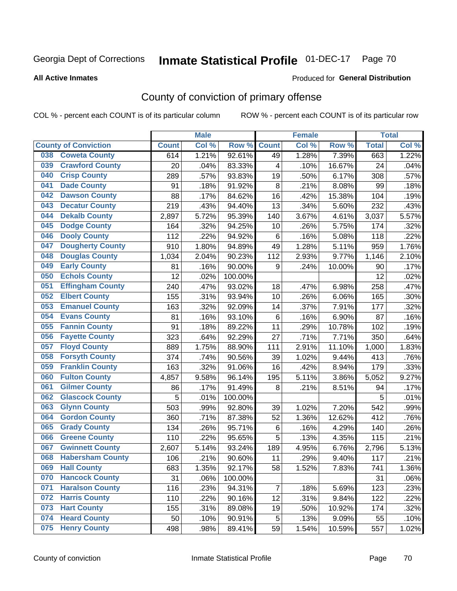# Inmate Statistical Profile 01-DEC-17 Page 70

#### **All Active Inmates**

#### Produced for General Distribution

## County of conviction of primary offense

COL % - percent each COUNT is of its particular column

|                                |              | <b>Male</b> |         |                | <b>Female</b> |        |              | <b>Total</b> |
|--------------------------------|--------------|-------------|---------|----------------|---------------|--------|--------------|--------------|
| <b>County of Conviction</b>    | <b>Count</b> | Col %       | Row %   | <b>Count</b>   | Col %         | Row %  | <b>Total</b> | Col %        |
| <b>Coweta County</b><br>038    | 614          | 1.21%       | 92.61%  | 49             | 1.28%         | 7.39%  | 663          | 1.22%        |
| <b>Crawford County</b><br>039  | 20           | .04%        | 83.33%  | 4              | .10%          | 16.67% | 24           | .04%         |
| <b>Crisp County</b><br>040     | 289          | .57%        | 93.83%  | 19             | .50%          | 6.17%  | 308          | .57%         |
| <b>Dade County</b><br>041      | 91           | .18%        | 91.92%  | 8              | .21%          | 8.08%  | 99           | .18%         |
| <b>Dawson County</b><br>042    | 88           | .17%        | 84.62%  | 16             | .42%          | 15.38% | 104          | .19%         |
| 043<br><b>Decatur County</b>   | 219          | .43%        | 94.40%  | 13             | .34%          | 5.60%  | 232          | .43%         |
| <b>Dekalb County</b><br>044    | 2,897        | 5.72%       | 95.39%  | 140            | 3.67%         | 4.61%  | 3,037        | 5.57%        |
| <b>Dodge County</b><br>045     | 164          | .32%        | 94.25%  | 10             | .26%          | 5.75%  | 174          | .32%         |
| <b>Dooly County</b><br>046     | 112          | .22%        | 94.92%  | 6              | .16%          | 5.08%  | 118          | .22%         |
| 047<br><b>Dougherty County</b> | 910          | 1.80%       | 94.89%  | 49             | 1.28%         | 5.11%  | 959          | 1.76%        |
| <b>Douglas County</b><br>048   | 1,034        | 2.04%       | 90.23%  | 112            | 2.93%         | 9.77%  | 1,146        | 2.10%        |
| <b>Early County</b><br>049     | 81           | .16%        | 90.00%  | 9              | .24%          | 10.00% | 90           | .17%         |
| <b>Echols County</b><br>050    | 12           | .02%        | 100.00% |                |               |        | 12           | .02%         |
| 051<br><b>Effingham County</b> | 240          | .47%        | 93.02%  | 18             | .47%          | 6.98%  | 258          | .47%         |
| <b>Elbert County</b><br>052    | 155          | .31%        | 93.94%  | 10             | .26%          | 6.06%  | 165          | .30%         |
| <b>Emanuel County</b><br>053   | 163          | .32%        | 92.09%  | 14             | .37%          | 7.91%  | 177          | .32%         |
| <b>Evans County</b><br>054     | 81           | .16%        | 93.10%  | 6              | .16%          | 6.90%  | 87           | .16%         |
| <b>Fannin County</b><br>055    | 91           | .18%        | 89.22%  | 11             | .29%          | 10.78% | 102          | .19%         |
| <b>Fayette County</b><br>056   | 323          | .64%        | 92.29%  | 27             | .71%          | 7.71%  | 350          | .64%         |
| <b>Floyd County</b><br>057     | 889          | 1.75%       | 88.90%  | 111            | 2.91%         | 11.10% | 1,000        | 1.83%        |
| <b>Forsyth County</b><br>058   | 374          | .74%        | 90.56%  | 39             | 1.02%         | 9.44%  | 413          | .76%         |
| <b>Franklin County</b><br>059  | 163          | .32%        | 91.06%  | 16             | .42%          | 8.94%  | 179          | .33%         |
| <b>Fulton County</b><br>060    | 4,857        | 9.58%       | 96.14%  | 195            | 5.11%         | 3.86%  | 5,052        | 9.27%        |
| <b>Gilmer County</b><br>061    | 86           | .17%        | 91.49%  | 8              | .21%          | 8.51%  | 94           | .17%         |
| <b>Glascock County</b><br>062  | 5            | .01%        | 100.00% |                |               |        | 5            | .01%         |
| 063<br><b>Glynn County</b>     | 503          | .99%        | 92.80%  | 39             | 1.02%         | 7.20%  | 542          | .99%         |
| <b>Gordon County</b><br>064    | 360          | .71%        | 87.38%  | 52             | 1.36%         | 12.62% | 412          | .76%         |
| <b>Grady County</b><br>065     | 134          | .26%        | 95.71%  | 6              | .16%          | 4.29%  | 140          | .26%         |
| <b>Greene County</b><br>066    | 110          | .22%        | 95.65%  | 5              | .13%          | 4.35%  | 115          | .21%         |
| <b>Gwinnett County</b><br>067  | 2,607        | 5.14%       | 93.24%  | 189            | 4.95%         | 6.76%  | 2,796        | 5.13%        |
| <b>Habersham County</b><br>068 | 106          | .21%        | 90.60%  | 11             | .29%          | 9.40%  | 117          | .21%         |
| 069<br><b>Hall County</b>      | 683          | 1.35%       | 92.17%  | 58             | 1.52%         | 7.83%  | 741          | 1.36%        |
| <b>Hancock County</b><br>070   | 31           | .06%        | 100.00% |                |               |        | 31           | .06%         |
| <b>Haralson County</b><br>071  | 116          | .23%        | 94.31%  | $\overline{7}$ | .18%          | 5.69%  | 123          | .23%         |
| <b>Harris County</b><br>072    | 110          | .22%        | 90.16%  | 12             | .31%          | 9.84%  | 122          | .22%         |
| <b>Hart County</b><br>073      | 155          | .31%        | 89.08%  | 19             | .50%          | 10.92% | 174          | .32%         |
| <b>Heard County</b><br>074     | 50           | .10%        | 90.91%  | 5              | .13%          | 9.09%  | 55           | .10%         |
| <b>Henry County</b><br>075     | 498          | .98%        | 89.41%  | 59             | 1.54%         | 10.59% | 557          | 1.02%        |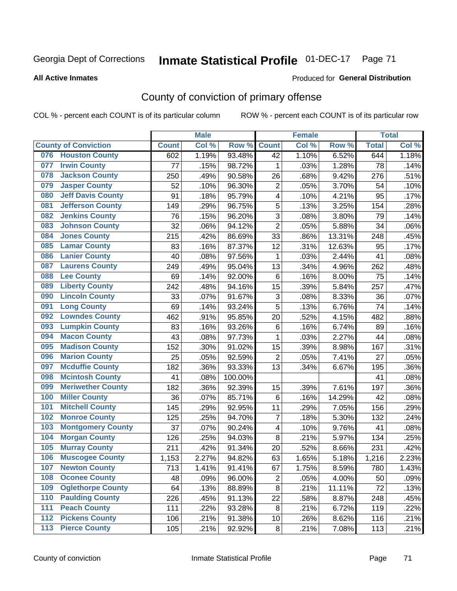# Inmate Statistical Profile 01-DEC-17 Page 71

#### **All Active Inmates**

#### Produced for General Distribution

## County of conviction of primary offense

COL % - percent each COUNT is of its particular column

|     |                             |              | <b>Male</b> |         |                | <b>Female</b> |        |              | <b>Total</b> |
|-----|-----------------------------|--------------|-------------|---------|----------------|---------------|--------|--------------|--------------|
|     | <b>County of Conviction</b> | <b>Count</b> | Col %       | Row %   | <b>Count</b>   | Col %         | Row %  | <b>Total</b> | Col %        |
| 076 | <b>Houston County</b>       | 602          | 1.19%       | 93.48%  | 42             | 1.10%         | 6.52%  | 644          | 1.18%        |
| 077 | <b>Irwin County</b>         | 77           | .15%        | 98.72%  | 1              | .03%          | 1.28%  | 78           | .14%         |
| 078 | <b>Jackson County</b>       | 250          | .49%        | 90.58%  | 26             | .68%          | 9.42%  | 276          | .51%         |
| 079 | <b>Jasper County</b>        | 52           | .10%        | 96.30%  | $\overline{2}$ | .05%          | 3.70%  | 54           | .10%         |
| 080 | <b>Jeff Davis County</b>    | 91           | .18%        | 95.79%  | 4              | .10%          | 4.21%  | 95           | .17%         |
| 081 | <b>Jefferson County</b>     | 149          | .29%        | 96.75%  | 5              | .13%          | 3.25%  | 154          | .28%         |
| 082 | <b>Jenkins County</b>       | 76           | .15%        | 96.20%  | 3              | .08%          | 3.80%  | 79           | .14%         |
| 083 | <b>Johnson County</b>       | 32           | .06%        | 94.12%  | $\overline{2}$ | .05%          | 5.88%  | 34           | .06%         |
| 084 | <b>Jones County</b>         | 215          | .42%        | 86.69%  | 33             | .86%          | 13.31% | 248          | .45%         |
| 085 | <b>Lamar County</b>         | 83           | .16%        | 87.37%  | 12             | .31%          | 12.63% | 95           | .17%         |
| 086 | <b>Lanier County</b>        | 40           | .08%        | 97.56%  | 1              | .03%          | 2.44%  | 41           | .08%         |
| 087 | <b>Laurens County</b>       | 249          | .49%        | 95.04%  | 13             | .34%          | 4.96%  | 262          | .48%         |
| 088 | <b>Lee County</b>           | 69           | .14%        | 92.00%  | 6              | .16%          | 8.00%  | 75           | .14%         |
| 089 | <b>Liberty County</b>       | 242          | .48%        | 94.16%  | 15             | .39%          | 5.84%  | 257          | .47%         |
| 090 | <b>Lincoln County</b>       | 33           | .07%        | 91.67%  | 3              | .08%          | 8.33%  | 36           | .07%         |
| 091 | <b>Long County</b>          | 69           | .14%        | 93.24%  | 5              | .13%          | 6.76%  | 74           | .14%         |
| 092 | <b>Lowndes County</b>       | 462          | .91%        | 95.85%  | 20             | .52%          | 4.15%  | 482          | .88%         |
| 093 | <b>Lumpkin County</b>       | 83           | .16%        | 93.26%  | 6              | .16%          | 6.74%  | 89           | .16%         |
| 094 | <b>Macon County</b>         | 43           | .08%        | 97.73%  | 1              | .03%          | 2.27%  | 44           | .08%         |
| 095 | <b>Madison County</b>       | 152          | .30%        | 91.02%  | 15             | .39%          | 8.98%  | 167          | .31%         |
| 096 | <b>Marion County</b>        | 25           | .05%        | 92.59%  | $\overline{2}$ | .05%          | 7.41%  | 27           | .05%         |
| 097 | <b>Mcduffie County</b>      | 182          | .36%        | 93.33%  | 13             | .34%          | 6.67%  | 195          | .36%         |
| 098 | <b>Mcintosh County</b>      | 41           | .08%        | 100.00% |                |               |        | 41           | .08%         |
| 099 | <b>Meriwether County</b>    | 182          | .36%        | 92.39%  | 15             | .39%          | 7.61%  | 197          | .36%         |
| 100 | <b>Miller County</b>        | 36           | .07%        | 85.71%  | 6              | .16%          | 14.29% | 42           | .08%         |
| 101 | <b>Mitchell County</b>      | 145          | .29%        | 92.95%  | 11             | .29%          | 7.05%  | 156          | .29%         |
| 102 | <b>Monroe County</b>        | 125          | .25%        | 94.70%  | $\overline{7}$ | .18%          | 5.30%  | 132          | .24%         |
| 103 | <b>Montgomery County</b>    | 37           | .07%        | 90.24%  | 4              | .10%          | 9.76%  | 41           | .08%         |
| 104 | <b>Morgan County</b>        | 126          | .25%        | 94.03%  | 8              | .21%          | 5.97%  | 134          | .25%         |
| 105 | <b>Murray County</b>        | 211          | .42%        | 91.34%  | 20             | .52%          | 8.66%  | 231          | .42%         |
| 106 | <b>Muscogee County</b>      | 1,153        | 2.27%       | 94.82%  | 63             | 1.65%         | 5.18%  | 1,216        | 2.23%        |
| 107 | <b>Newton County</b>        | 713          | 1.41%       | 91.41%  | 67             | 1.75%         | 8.59%  | 780          | 1.43%        |
| 108 | <b>Oconee County</b>        | 48           | .09%        | 96.00%  | $\overline{2}$ | .05%          | 4.00%  | 50           | .09%         |
| 109 | <b>Oglethorpe County</b>    | 64           | .13%        | 88.89%  | 8              | .21%          | 11.11% | 72           | .13%         |
| 110 | <b>Paulding County</b>      | 226          | .45%        | 91.13%  | 22             | .58%          | 8.87%  | 248          | .45%         |
| 111 | <b>Peach County</b>         | 111          | .22%        | 93.28%  | 8              | .21%          | 6.72%  | 119          | .22%         |
| 112 | <b>Pickens County</b>       | 106          | .21%        | 91.38%  | 10             | .26%          | 8.62%  | 116          | .21%         |
| 113 | <b>Pierce County</b>        | 105          | .21%        | 92.92%  | 8              | .21%          | 7.08%  | 113          | .21%         |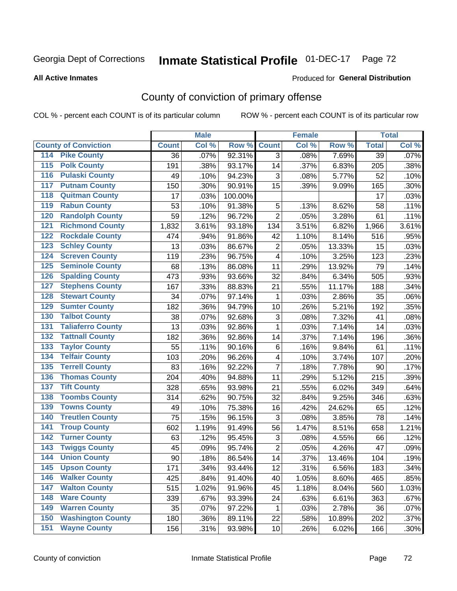# Inmate Statistical Profile 01-DEC-17 Page 72

#### **All Active Inmates**

#### Produced for General Distribution

## County of conviction of primary offense

COL % - percent each COUNT is of its particular column

|                                          |              | <b>Male</b> |         |                         | <b>Female</b> |        |                 | <b>Total</b> |
|------------------------------------------|--------------|-------------|---------|-------------------------|---------------|--------|-----------------|--------------|
| <b>County of Conviction</b>              | <b>Count</b> | Col %       | Row %   | <b>Count</b>            | Col %         | Row %  | <b>Total</b>    | Col %        |
| <b>Pike County</b><br>114                | 36           | .07%        | 92.31%  | 3                       | .08%          | 7.69%  | $\overline{39}$ | .07%         |
| <b>Polk County</b><br>$\overline{115}$   | 191          | .38%        | 93.17%  | 14                      | .37%          | 6.83%  | 205             | .38%         |
| <b>Pulaski County</b><br>116             | 49           | .10%        | 94.23%  | 3                       | .08%          | 5.77%  | 52              | .10%         |
| <b>Putnam County</b><br>117              | 150          | .30%        | 90.91%  | 15                      | .39%          | 9.09%  | 165             | .30%         |
| <b>Quitman County</b><br>118             | 17           | .03%        | 100.00% |                         |               |        | 17              | .03%         |
| <b>Rabun County</b><br>119               | 53           | .10%        | 91.38%  | 5                       | .13%          | 8.62%  | 58              | .11%         |
| <b>Randolph County</b><br>120            | 59           | .12%        | 96.72%  | $\overline{2}$          | .05%          | 3.28%  | 61              | .11%         |
| <b>Richmond County</b><br>121            | 1,832        | 3.61%       | 93.18%  | 134                     | 3.51%         | 6.82%  | 1,966           | 3.61%        |
| <b>Rockdale County</b><br>122            | 474          | .94%        | 91.86%  | 42                      | 1.10%         | 8.14%  | 516             | .95%         |
| <b>Schley County</b><br>123              | 13           | .03%        | 86.67%  | $\overline{2}$          | .05%          | 13.33% | 15              | .03%         |
| <b>Screven County</b><br>124             | 119          | .23%        | 96.75%  | 4                       | .10%          | 3.25%  | 123             | .23%         |
| <b>Seminole County</b><br>125            | 68           | .13%        | 86.08%  | 11                      | .29%          | 13.92% | 79              | .14%         |
| <b>Spalding County</b><br>126            | 473          | .93%        | 93.66%  | 32                      | .84%          | 6.34%  | 505             | .93%         |
| <b>Stephens County</b><br>127            | 167          | .33%        | 88.83%  | 21                      | .55%          | 11.17% | 188             | .34%         |
| <b>Stewart County</b><br>128             | 34           | .07%        | 97.14%  | 1                       | .03%          | 2.86%  | 35              | .06%         |
| <b>Sumter County</b><br>129              | 182          | .36%        | 94.79%  | 10                      | .26%          | 5.21%  | 192             | .35%         |
| <b>Talbot County</b><br>130              | 38           | .07%        | 92.68%  | 3                       | .08%          | 7.32%  | 41              | .08%         |
| <b>Taliaferro County</b><br>131          | 13           | .03%        | 92.86%  | 1                       | .03%          | 7.14%  | 14              | .03%         |
| <b>Tattnall County</b><br>132            | 182          | .36%        | 92.86%  | 14                      | .37%          | 7.14%  | 196             | .36%         |
| <b>Taylor County</b><br>133              | 55           | .11%        | 90.16%  | $\,6\,$                 | .16%          | 9.84%  | 61              | .11%         |
| <b>Telfair County</b><br>134             | 103          | .20%        | 96.26%  | $\overline{\mathbf{4}}$ | .10%          | 3.74%  | 107             | .20%         |
| <b>Terrell County</b><br>135             | 83           | .16%        | 92.22%  | $\overline{7}$          | .18%          | 7.78%  | 90              | .17%         |
| <b>Thomas County</b><br>136              | 204          | .40%        | 94.88%  | 11                      | .29%          | 5.12%  | 215             | .39%         |
| <b>Tift County</b><br>137                | 328          | .65%        | 93.98%  | 21                      | .55%          | 6.02%  | 349             | .64%         |
| <b>Toombs County</b><br>138              | 314          | .62%        | 90.75%  | 32                      | .84%          | 9.25%  | 346             | .63%         |
| <b>Towns County</b><br>139               | 49           | .10%        | 75.38%  | 16                      | .42%          | 24.62% | 65              | .12%         |
| <b>Treutlen County</b><br>140            | 75           | .15%        | 96.15%  | 3                       | .08%          | 3.85%  | 78              | .14%         |
| <b>Troup County</b><br>141               | 602          | 1.19%       | 91.49%  | 56                      | 1.47%         | 8.51%  | 658             | 1.21%        |
| <b>Turner County</b><br>142              | 63           | .12%        | 95.45%  | 3                       | .08%          | 4.55%  | 66              | .12%         |
| <b>Twiggs County</b><br>$\overline{143}$ | 45           | .09%        | 95.74%  | $\overline{2}$          | .05%          | 4.26%  | 47              | .09%         |
| <b>Union County</b><br>144               | 90           | .18%        | 86.54%  | 14                      | .37%          | 13.46% | 104             | .19%         |
| 145<br><b>Upson County</b>               | 171          | .34%        | 93.44%  | 12                      | .31%          | 6.56%  | 183             | .34%         |
| <b>Walker County</b><br>146              | 425          | .84%        | 91.40%  | 40                      | 1.05%         | 8.60%  | 465             | .85%         |
| <b>Walton County</b><br>147              | 515          | 1.02%       | 91.96%  | 45                      | 1.18%         | 8.04%  | 560             | 1.03%        |
| <b>Ware County</b><br>148                | 339          | .67%        | 93.39%  | 24                      | .63%          | 6.61%  | 363             | .67%         |
| <b>Warren County</b><br>149              | 35           | .07%        | 97.22%  | $\mathbf 1$             | .03%          | 2.78%  | 36              | .07%         |
| <b>Washington County</b><br>150          | 180          | .36%        | 89.11%  | 22                      | .58%          | 10.89% | 202             | .37%         |
| <b>Wayne County</b><br>151               | 156          | .31%        | 93.98%  | 10                      | .26%          | 6.02%  | 166             | .30%         |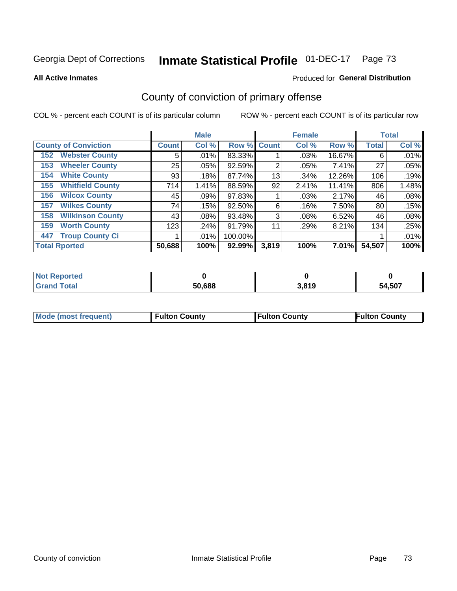# Inmate Statistical Profile 01-DEC-17 Page 73

**All Active Inmates** 

#### Produced for General Distribution

## County of conviction of primary offense

COL % - percent each COUNT is of its particular column

|                                |              | <b>Male</b> |         |              | <b>Female</b> |        |              | <b>Total</b> |
|--------------------------------|--------------|-------------|---------|--------------|---------------|--------|--------------|--------------|
| <b>County of Conviction</b>    | <b>Count</b> | Col %       | Row %   | <b>Count</b> | Col %         | Row %  | <b>Total</b> | Col %        |
| <b>Webster County</b><br>152   | 5            | $.01\%$     | 83.33%  |              | .03%          | 16.67% | 6            | .01%         |
| <b>Wheeler County</b><br>153   | 25           | .05%        | 92.59%  | 2            | .05%          | 7.41%  | 27           | .05%         |
| <b>White County</b><br>154     | 93           | .18%        | 87.74%  | 13           | .34%          | 12.26% | 106          | .19%         |
| <b>Whitfield County</b><br>155 | 714          | 1.41%       | 88.59%  | 92           | 2.41%         | 11.41% | 806          | 1.48%        |
| <b>Wilcox County</b><br>156    | 45           | .09%        | 97.83%  |              | .03%          | 2.17%  | 46           | .08%         |
| <b>Wilkes County</b><br>157    | 74           | .15%        | 92.50%  | 6            | .16%          | 7.50%  | 80           | .15%         |
| <b>Wilkinson County</b><br>158 | 43           | $.08\%$     | 93.48%  | 3            | .08%          | 6.52%  | 46           | .08%         |
| <b>Worth County</b><br>159     | 123          | .24%        | 91.79%  | 11           | .29%          | 8.21%  | 134          | .25%         |
| <b>Troup County Ci</b><br>447  |              | .01%        | 100.00% |              |               |        |              | .01%         |
| <b>Total Rported</b>           | 50,688       | 100%        | 92.99%  | 3,819        | 100%          | 7.01%  | 54,507       | 100%         |

| <b>Not Reported</b> |        |       |        |
|---------------------|--------|-------|--------|
| <b>Grand Total</b>  | 50,688 | 3,819 | 54,507 |

|  | <b>Mode (most frequent)</b> | <b>Fulton County</b> | <b>Fulton County</b> | <b>Fulton County</b> |
|--|-----------------------------|----------------------|----------------------|----------------------|
|--|-----------------------------|----------------------|----------------------|----------------------|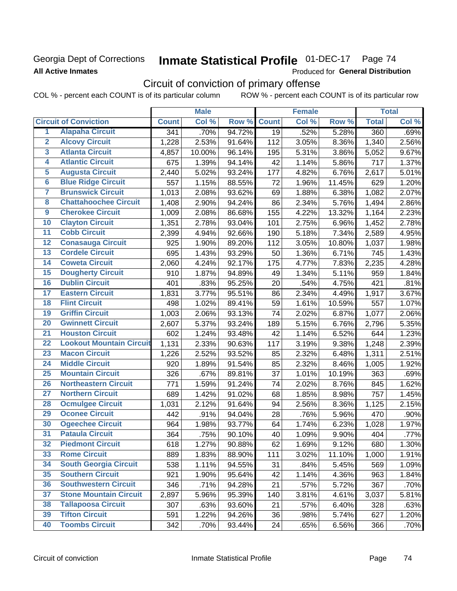### **Georgia Dept of Corrections All Active Inmates**

# Inmate Statistical Profile 01-DEC-17 Page 74

Produced for General Distribution

# Circuit of conviction of primary offense

COL % - percent each COUNT is of its particular column ROW % - percent each COUNT is of its particular row

|                         |                                 |              | <b>Male</b> |        |              | <b>Female</b> |        |              | <b>Total</b> |
|-------------------------|---------------------------------|--------------|-------------|--------|--------------|---------------|--------|--------------|--------------|
|                         | <b>Circuit of Conviction</b>    | <b>Count</b> | Col %       | Row %  | <b>Count</b> | Col %         | Row %  | <b>Total</b> | Col %        |
| $\overline{1}$          | <b>Alapaha Circuit</b>          | 341          | .70%        | 94.72% | 19           | .52%          | 5.28%  | 360          | .69%         |
| $\overline{2}$          | <b>Alcovy Circuit</b>           | 1,228        | 2.53%       | 91.64% | 112          | 3.05%         | 8.36%  | 1,340        | 2.56%        |
| $\overline{\mathbf{3}}$ | <b>Atlanta Circuit</b>          | 4,857        | 10.00%      | 96.14% | 195          | 5.31%         | 3.86%  | 5,052        | 9.67%        |
| 4                       | <b>Atlantic Circuit</b>         | 675          | 1.39%       | 94.14% | 42           | 1.14%         | 5.86%  | 717          | 1.37%        |
| 5                       | <b>Augusta Circuit</b>          | 2,440        | 5.02%       | 93.24% | 177          | 4.82%         | 6.76%  | 2,617        | 5.01%        |
| $\overline{\mathbf{6}}$ | <b>Blue Ridge Circuit</b>       | 557          | 1.15%       | 88.55% | 72           | 1.96%         | 11.45% | 629          | 1.20%        |
| $\overline{\mathbf{7}}$ | <b>Brunswick Circuit</b>        | 1,013        | 2.08%       | 93.62% | 69           | 1.88%         | 6.38%  | 1,082        | 2.07%        |
| 8                       | <b>Chattahoochee Circuit</b>    | 1,408        | 2.90%       | 94.24% | 86           | 2.34%         | 5.76%  | 1,494        | 2.86%        |
| $\overline{9}$          | <b>Cherokee Circuit</b>         | 1,009        | 2.08%       | 86.68% | 155          | 4.22%         | 13.32% | 1,164        | 2.23%        |
| 10                      | <b>Clayton Circuit</b>          | 1,351        | 2.78%       | 93.04% | 101          | 2.75%         | 6.96%  | 1,452        | 2.78%        |
| $\overline{11}$         | <b>Cobb Circuit</b>             | 2,399        | 4.94%       | 92.66% | 190          | 5.18%         | 7.34%  | 2,589        | 4.95%        |
| 12                      | <b>Conasauga Circuit</b>        | 925          | 1.90%       | 89.20% | 112          | 3.05%         | 10.80% | 1,037        | 1.98%        |
| 13                      | <b>Cordele Circuit</b>          | 695          | 1.43%       | 93.29% | 50           | 1.36%         | 6.71%  | 745          | 1.43%        |
| $\overline{14}$         | <b>Coweta Circuit</b>           | 2,060        | 4.24%       | 92.17% | 175          | 4.77%         | 7.83%  | 2,235        | 4.28%        |
| $\overline{15}$         | <b>Dougherty Circuit</b>        | 910          | 1.87%       | 94.89% | 49           | 1.34%         | 5.11%  | 959          | 1.84%        |
| 16                      | <b>Dublin Circuit</b>           | 401          | .83%        | 95.25% | 20           | .54%          | 4.75%  | 421          | .81%         |
| $\overline{17}$         | <b>Eastern Circuit</b>          | 1,831        | 3.77%       | 95.51% | 86           | 2.34%         | 4.49%  | 1,917        | 3.67%        |
| 18                      | <b>Flint Circuit</b>            | 498          | 1.02%       | 89.41% | 59           | 1.61%         | 10.59% | 557          | 1.07%        |
| 19                      | <b>Griffin Circuit</b>          | 1,003        | 2.06%       | 93.13% | 74           | 2.02%         | 6.87%  | 1,077        | 2.06%        |
| 20                      | <b>Gwinnett Circuit</b>         | 2,607        | 5.37%       | 93.24% | 189          | 5.15%         | 6.76%  | 2,796        | 5.35%        |
| $\overline{21}$         | <b>Houston Circuit</b>          | 602          | 1.24%       | 93.48% | 42           | 1.14%         | 6.52%  | 644          | 1.23%        |
| $\overline{22}$         | <b>Lookout Mountain Circuit</b> | 1,131        | 2.33%       | 90.63% | 117          | 3.19%         | 9.38%  | 1,248        | 2.39%        |
| 23                      | <b>Macon Circuit</b>            | 1,226        | 2.52%       | 93.52% | 85           | 2.32%         | 6.48%  | 1,311        | 2.51%        |
| 24                      | <b>Middle Circuit</b>           | 920          | 1.89%       | 91.54% | 85           | 2.32%         | 8.46%  | 1,005        | 1.92%        |
| $\overline{25}$         | <b>Mountain Circuit</b>         | 326          | .67%        | 89.81% | 37           | 1.01%         | 10.19% | 363          | .69%         |
| 26                      | <b>Northeastern Circuit</b>     | 771          | 1.59%       | 91.24% | 74           | 2.02%         | 8.76%  | 845          | 1.62%        |
| $\overline{27}$         | <b>Northern Circuit</b>         | 689          | 1.42%       | 91.02% | 68           | 1.85%         | 8.98%  | 757          | 1.45%        |
| 28                      | <b>Ocmulgee Circuit</b>         | 1,031        | 2.12%       | 91.64% | 94           | 2.56%         | 8.36%  | 1,125        | 2.15%        |
| 29                      | <b>Oconee Circuit</b>           | 442          | .91%        | 94.04% | 28           | .76%          | 5.96%  | 470          | .90%         |
| 30                      | <b>Ogeechee Circuit</b>         | 964          | 1.98%       | 93.77% | 64           | 1.74%         | 6.23%  | 1,028        | 1.97%        |
| $\overline{31}$         | <b>Pataula Circuit</b>          | 364          | .75%        | 90.10% | 40           | 1.09%         | 9.90%  | 404          | .77%         |
| 32                      | <b>Piedmont Circuit</b>         | 618          | 1.27%       | 90.88% | 62           | 1.69%         | 9.12%  | 680          | 1.30%        |
| 33                      | <b>Rome Circuit</b>             | 889          | 1.83%       | 88.90% | 111          | 3.02%         | 11.10% | 1,000        | 1.91%        |
| 34                      | <b>South Georgia Circuit</b>    | 538          | 1.11%       | 94.55% | 31           | .84%          | 5.45%  | 569          | 1.09%        |
| 35                      | <b>Southern Circuit</b>         | 921          | 1.90%       | 95.64% | 42           | 1.14%         | 4.36%  | 963          | 1.84%        |
| 36                      | <b>Southwestern Circuit</b>     | 346          | .71%        | 94.28% | 21           | .57%          | 5.72%  | 367          | .70%         |
| 37                      | <b>Stone Mountain Circuit</b>   | 2,897        | 5.96%       | 95.39% | 140          | 3.81%         | 4.61%  | 3,037        | 5.81%        |
| 38                      | <b>Tallapoosa Circuit</b>       | 307          | .63%        | 93.60% | 21           | .57%          | 6.40%  | 328          | .63%         |
| 39                      | <b>Tifton Circuit</b>           | 591          | 1.22%       | 94.26% | 36           | .98%          | 5.74%  | 627          | 1.20%        |
| 40                      | <b>Toombs Circuit</b>           | 342          | .70%        | 93.44% | 24           | .65%          | 6.56%  | 366          | .70%         |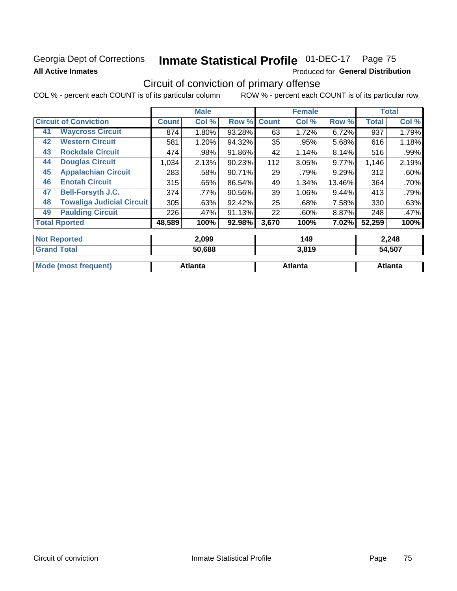### Georgia Dept of Corrections **All Active Inmates**

# Inmate Statistical Profile 01-DEC-17 Page 75

Produced for General Distribution

# Circuit of conviction of primary offense

|                      |                                  |              | <b>Male</b> |        |              | <b>Female</b> |        |              | <b>Total</b> |  |
|----------------------|----------------------------------|--------------|-------------|--------|--------------|---------------|--------|--------------|--------------|--|
|                      | <b>Circuit of Conviction</b>     | <b>Count</b> | Col %       | Row %  | <b>Count</b> | Col %         | Row %  | <b>Total</b> | Col %        |  |
| 41                   | <b>Waycross Circuit</b>          | 874          | 1.80%       | 93.28% | 63           | 1.72%         | 6.72%  | 937          | 1.79%        |  |
| 42                   | <b>Western Circuit</b>           | 581          | 1.20%       | 94.32% | 35           | .95%          | 5.68%  | 616          | 1.18%        |  |
| 43                   | <b>Rockdale Circuit</b>          | 474          | .98%        | 91.86% | 42           | 1.14%         | 8.14%  | 516          | .99%         |  |
| 44                   | <b>Douglas Circuit</b>           | 1,034        | 2.13%       | 90.23% | 112          | 3.05%         | 9.77%  | 1,146        | 2.19%        |  |
| 45                   | <b>Appalachian Circuit</b>       | 283          | .58%        | 90.71% | 29           | .79%          | 9.29%  | 312          | .60%         |  |
| 46                   | <b>Enotah Circuit</b>            | 315          | .65%        | 86.54% | 49           | 1.34%         | 13.46% | 364          | .70%         |  |
| 47                   | <b>Bell-Forsyth J.C.</b>         | 374          | .77%        | 90.56% | 39           | 1.06%         | 9.44%  | 413          | .79%         |  |
| 48                   | <b>Towaliga Judicial Circuit</b> | 305          | .63%        | 92.42% | 25           | .68%          | 7.58%  | 330          | .63%         |  |
| 49                   | <b>Paulding Circuit</b>          | 226          | .47%        | 91.13% | 22           | .60%          | 8.87%  | 248          | .47%         |  |
| <b>Total Rported</b> |                                  | 48,589       | 100%        | 92.98% | 3,670        | 100%          | 7.02%  | 52,259       | 100%         |  |
| <b>Not Reported</b>  |                                  |              | 2,099       |        |              | 149           |        |              | 2,248        |  |
| <b>Grand Total</b>   |                                  |              | 50,688      |        |              | 3,819         |        |              | 54,507       |  |

| ' otal           | <b>JU.DOO</b> | 3.0 I Y | <b>106,40</b> |
|------------------|---------------|---------|---------------|
| Mo.<br>frequent) | Atlanta       | Atlanta | Atlanta       |
|                  |               |         |               |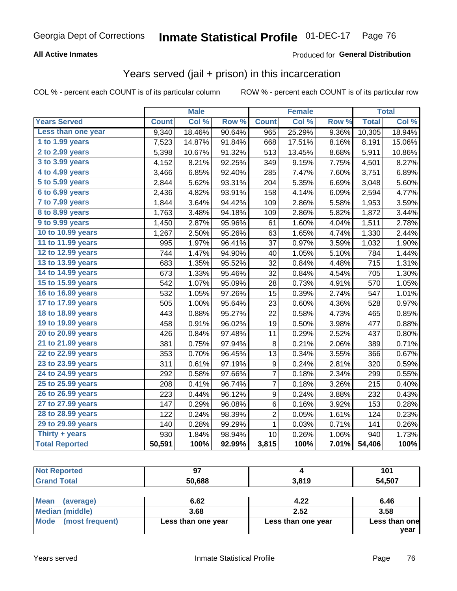#### **All Active Inmates**

### Produced for **General Distribution**

## Years served (jail + prison) in this incarceration

|                              |              | <b>Male</b> |                  |                  | <b>Female</b> |                  |              | <b>Total</b> |
|------------------------------|--------------|-------------|------------------|------------------|---------------|------------------|--------------|--------------|
| <b>Years Served</b>          | <b>Count</b> | Col %       | Row <sup>%</sup> | <b>Count</b>     | Col %         | Row <sub>%</sub> | <b>Total</b> | Col%         |
| Less than one year           | 9,340        | 18.46%      | 90.64%           | 965              | 25.29%        | 9.36%            | 10,305       | 18.94%       |
| 1 to 1.99 years              | 7,523        | 14.87%      | 91.84%           | 668              | 17.51%        | 8.16%            | 8,191        | 15.06%       |
| 2 to 2.99 years              | 5,398        | 10.67%      | 91.32%           | 513              | 13.45%        | 8.68%            | 5,911        | 10.86%       |
| 3 to 3.99 years              | 4,152        | 8.21%       | 92.25%           | 349              | 9.15%         | 7.75%            | 4,501        | 8.27%        |
| 4 to 4.99 years              | 3,466        | 6.85%       | 92.40%           | 285              | 7.47%         | 7.60%            | 3,751        | 6.89%        |
| $\overline{5}$ to 5.99 years | 2,844        | 5.62%       | 93.31%           | 204              | 5.35%         | 6.69%            | 3,048        | 5.60%        |
| 6 to 6.99 years              | 2,436        | 4.82%       | 93.91%           | 158              | 4.14%         | 6.09%            | 2,594        | 4.77%        |
| 7 to 7.99 years              | 1,844        | 3.64%       | 94.42%           | 109              | 2.86%         | 5.58%            | 1,953        | 3.59%        |
| <b>8 to 8.99 years</b>       | 1,763        | 3.48%       | 94.18%           | 109              | 2.86%         | 5.82%            | 1,872        | 3.44%        |
| 9 to 9.99 years              | 1,450        | 2.87%       | 95.96%           | 61               | 1.60%         | 4.04%            | 1,511        | 2.78%        |
| 10 to 10.99 years            | 1,267        | 2.50%       | 95.26%           | 63               | 1.65%         | 4.74%            | 1,330        | 2.44%        |
| 11 to 11.99 years            | 995          | 1.97%       | 96.41%           | 37               | 0.97%         | 3.59%            | 1,032        | 1.90%        |
| 12 to 12.99 years            | 744          | 1.47%       | 94.90%           | 40               | 1.05%         | 5.10%            | 784          | 1.44%        |
| 13 to 13.99 years            | 683          | 1.35%       | 95.52%           | 32               | 0.84%         | 4.48%            | 715          | 1.31%        |
| 14 to 14.99 years            | 673          | 1.33%       | 95.46%           | 32               | 0.84%         | 4.54%            | 705          | 1.30%        |
| 15 to 15.99 years            | 542          | 1.07%       | 95.09%           | 28               | 0.73%         | 4.91%            | 570          | 1.05%        |
| 16 to 16.99 years            | 532          | 1.05%       | 97.26%           | 15               | 0.39%         | 2.74%            | 547          | 1.01%        |
| 17 to 17.99 years            | 505          | 1.00%       | 95.64%           | 23               | 0.60%         | 4.36%            | 528          | 0.97%        |
| 18 to 18.99 years            | 443          | 0.88%       | 95.27%           | 22               | 0.58%         | 4.73%            | 465          | 0.85%        |
| 19 to 19.99 years            | 458          | 0.91%       | 96.02%           | 19               | 0.50%         | 3.98%            | 477          | 0.88%        |
| 20 to 20.99 years            | 426          | 0.84%       | 97.48%           | 11               | 0.29%         | 2.52%            | 437          | 0.80%        |
| 21 to 21.99 years            | 381          | 0.75%       | 97.94%           | 8                | 0.21%         | 2.06%            | 389          | 0.71%        |
| 22 to 22.99 years            | 353          | 0.70%       | 96.45%           | 13               | 0.34%         | 3.55%            | 366          | 0.67%        |
| 23 to 23.99 years            | 311          | 0.61%       | 97.19%           | $\boldsymbol{9}$ | 0.24%         | 2.81%            | 320          | 0.59%        |
| 24 to 24.99 years            | 292          | 0.58%       | 97.66%           | 7                | 0.18%         | 2.34%            | 299          | 0.55%        |
| 25 to 25.99 years            | 208          | 0.41%       | 96.74%           | 7                | 0.18%         | 3.26%            | 215          | 0.40%        |
| 26 to 26.99 years            | 223          | 0.44%       | 96.12%           | $\boldsymbol{9}$ | 0.24%         | 3.88%            | 232          | 0.43%        |
| 27 to 27.99 years            | 147          | 0.29%       | 96.08%           | 6                | 0.16%         | 3.92%            | 153          | 0.28%        |
| 28 to 28.99 years            | 122          | 0.24%       | 98.39%           | $\overline{c}$   | 0.05%         | 1.61%            | 124          | 0.23%        |
| 29 to 29.99 years            | 140          | 0.28%       | 99.29%           | $\mathbf 1$      | 0.03%         | 0.71%            | 141          | 0.26%        |
| Thirty + years               | 930          | 1.84%       | 98.94%           | 10               | 0.26%         | 1.06%            | 940          | 1.73%        |
| <b>Total Reported</b>        | 50,591       | 100%        | 92.99%           | 3,815            | 100%          | 7.01%            | 54,406       | 100%         |

| <b>Not Reported</b>      |        |       | 101    |
|--------------------------|--------|-------|--------|
| <b>Grand Total</b>       | 50,688 | 3,819 | 54,507 |
|                          |        |       |        |
| <b>Mean</b><br>(average) | 6.62   | 4.22  | 6.46   |

|                      | v.vz               | 4.ZZ               | v.4v          |
|----------------------|--------------------|--------------------|---------------|
| Median (middle)      | 3.68               | 2.52               | 3.58          |
| Mode (most frequent) | Less than one year | Less than one year | Less than one |
|                      |                    |                    | vear          |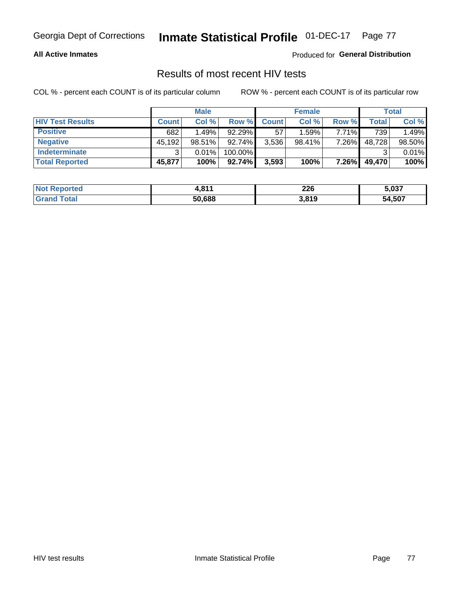#### **All Active Inmates**

Produced for **General Distribution**

### Results of most recent HIV tests

|                         | <b>Male</b>  |           | <b>Female</b> |              |           | Total |        |        |
|-------------------------|--------------|-----------|---------------|--------------|-----------|-------|--------|--------|
| <b>HIV Test Results</b> | <b>Count</b> | Col %     | Row %I        | <b>Count</b> | Col %     | Row % | Total  | Col %  |
| <b>Positive</b>         | 682          | 1.49%     | $92.29\%$     | 57           | 1.59%     | 7.71% | 739    | 1.49%  |
| <b>Negative</b>         | 45,192       | $98.51\%$ | 92.74%        | 3,536        | $98.41\%$ | 7.26% | 48,728 | 98.50% |
| Indeterminate           | ົ            | 0.01%     | 100.00%       |              |           |       |        | 0.01%  |
| <b>Total Reported</b>   | 45,877       | 100%      | 92.74%        | 3,593        | 100%      | 7.26% | 49,470 | 100%   |

| <b>Not Reported</b> | 044<br>. . | 226   | 5,037  |
|---------------------|------------|-------|--------|
| Total<br>Gran       | 50,688     | 3,819 | 54,507 |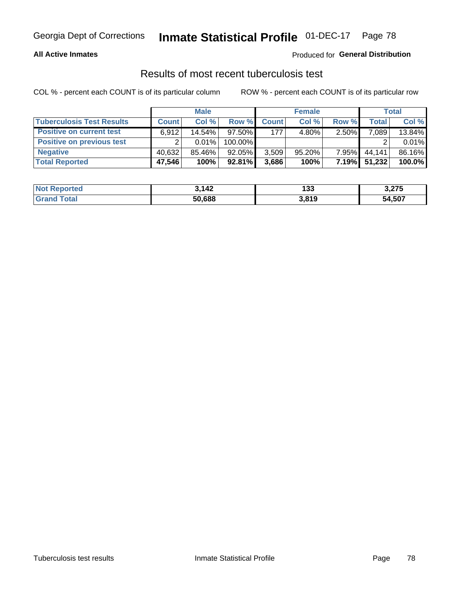#### **All Active Inmates**

#### Produced for **General Distribution**

### Results of most recent tuberculosis test

|                                  | <b>Male</b>  |          | <b>Female</b> |              |           | Total    |        |        |
|----------------------------------|--------------|----------|---------------|--------------|-----------|----------|--------|--------|
| <b>Tuberculosis Test Results</b> | <b>Count</b> | Col%     | Row %         | <b>Count</b> | Col %     | Row %    | Total  | Col %  |
| <b>Positive on current test</b>  | 6.912        | 14.54%   | $97.50\%$     | 177          | $4.80\%$  | 2.50%    | 7,089  | 13.84% |
| <b>Positive on previous test</b> | ົ            | $0.01\%$ | 100.00%       |              |           |          |        | 0.01%  |
| <b>Negative</b>                  | 40.632       | 85.46%   | 92.05%        | 3,509        | $95.20\%$ | $7.95\%$ | 44.141 | 86.16% |
| <b>Total Reported</b>            | 47,546       | 100%     | $92.81\%$     | 3,686        | 100%      | 7.19%    | 51,232 | 100.0% |

| <b>Not Reported</b>   | 3.142  | 20<br>دد ا | う つフに<br>3.ZI J |
|-----------------------|--------|------------|-----------------|
| Total<br><b>Grand</b> | 50,688 | 3,819      | 54,507          |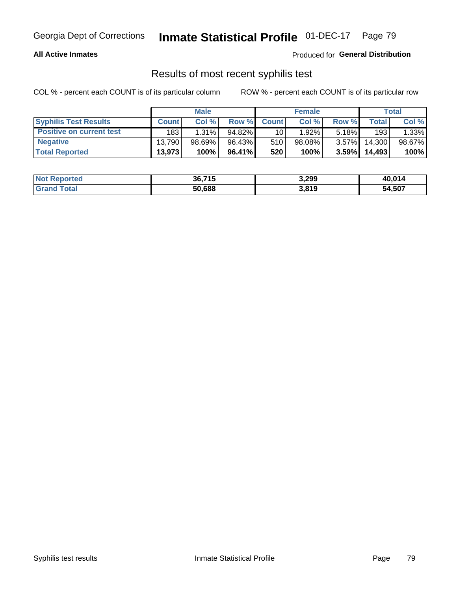#### **All Active Inmates**

Produced for **General Distribution**

### Results of most recent syphilis test

|                                 | <b>Male</b>  |           |           | <b>Female</b> | Total     |          |        |        |
|---------------------------------|--------------|-----------|-----------|---------------|-----------|----------|--------|--------|
| <b>Syphilis Test Results</b>    | <b>Count</b> | Col%      | Row %     | <b>Count</b>  | Col %     | Row %    | Total  | Col %  |
| <b>Positive on current test</b> | 183          | $1.31\%$  | $94.82\%$ | 10            | $1.92\%$  | $5.18\%$ | 193    | 1.33%  |
| <b>Negative</b>                 | 13.790       | $98.69\%$ | 96.43%    | 510           | $98.08\%$ | $3.57\%$ | 14,300 | 98.67% |
| <b>Total Reported</b>           | 13,973       | 100%      | 96.41%    | 520           | 100%      | 3.59%    | 14,493 | 100%   |

| <b>Not Reported</b> | 36,715 | 3,299 | 40,014 |
|---------------------|--------|-------|--------|
| <b>Grand Total</b>  | 50,688 | 3,819 | 54,507 |